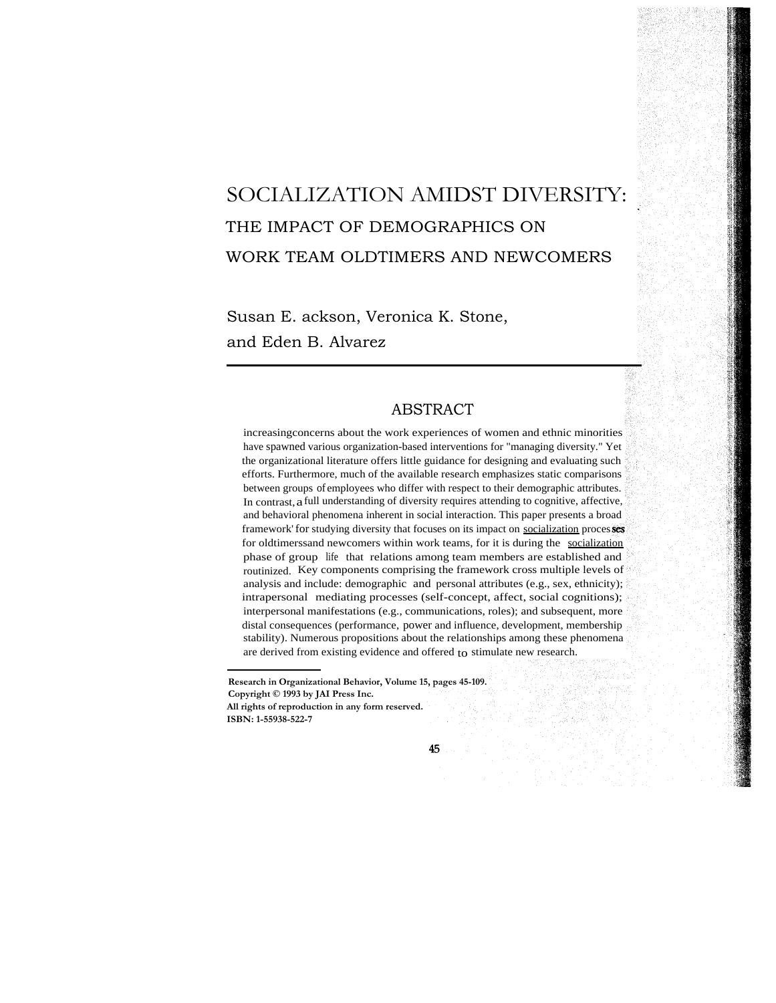# SOCIALIZATION AMIDST DIVERSITY: THE IMPACT OF DEMOGRAPHICS ON WORK TEAM OLDTIMERS AND NEWCOMERS

Susan E. ackson, Veronica K. Stone, and Eden B. Alvarez

# ABSTRACT

increasingconcerns about the work experiences of women and ethnic minorities have spawned various organization-based interventions for "managing diversity." Yet the organizational literature offers little guidance for designing and evaluating such efforts. Furthermore, much of the available research emphasizes static comparisons between groups of employees who differ with respect to their demographic attributes. In contrast, a full understanding of diversity requires attending to cognitive, affective, and behavioral phenomena inherent in social interaction. This paper presents a broad framework' for studying diversity that focuses on its impact on socialization processes for oldtimerssand newcomers within work teams, for it is during the socialization phase of group life that relations among team members are established and routinized. Key components comprising the framework cross multiple levels of analysis and include: demographic and personal attributes (e.g., sex, ethnicity); intrapersonal mediating processes (self-concept, affect, social cognitions); interpersonal manifestations (e.g., communications, roles); and subsequent, more distal consequences (performance, power and influence, development, membership stability). Numerous propositions about the relationships among these phenomena are derived from existing evidence and offered to stimulate new research.

**Research in Organizational Behavior, Volume 15, pages 45-109. Copyright © 1993 by JAI Press Inc. All rights of reproduction in any form reserved. ISBN: 1-55938-522-7**

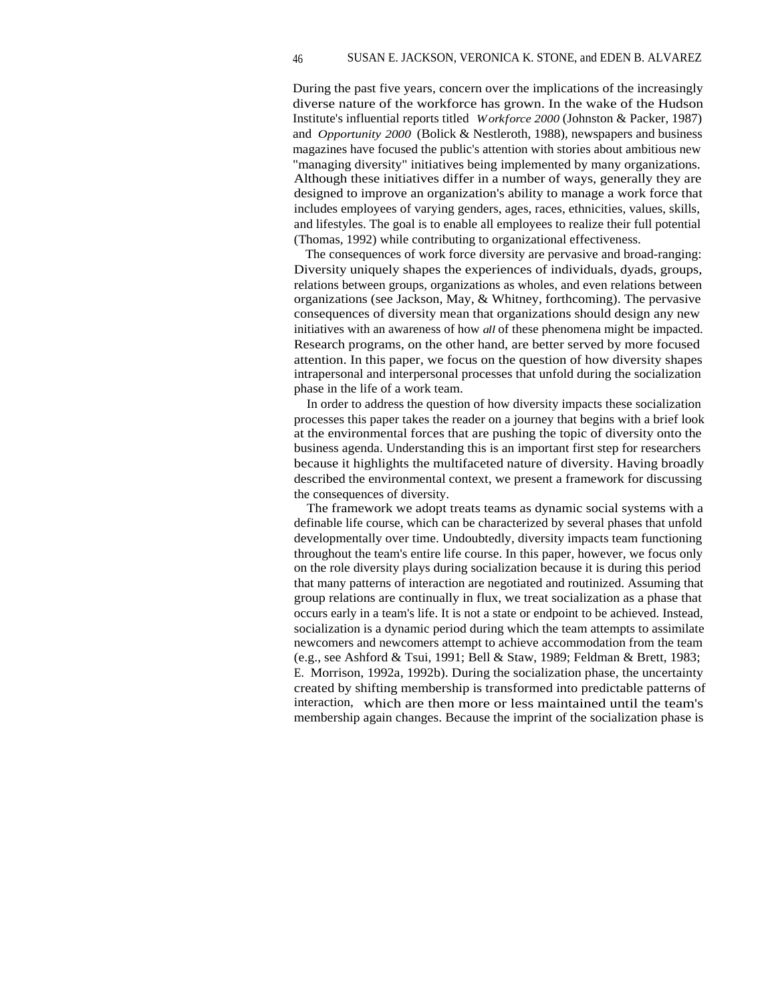During the past five years, concern over the implications of the increasingly diverse nature of the workforce has grown. In the wake of the Hudson Institute's influential reports titled *Workforce 2000* (Johnston & Packer, 1987) and *Opportunity 2000* (Bolick & Nestleroth, 1988), newspapers and business magazines have focused the public's attention with stories about ambitious new "managing diversity" initiatives being implemented by many organizations. Although these initiatives differ in a number of ways, generally they are designed to improve an organization's ability to manage a work force that includes employees of varying genders, ages, races, ethnicities, values, skills, and lifestyles. The goal is to enable all employees to realize their full potential (Thomas, 1992) while contributing to organizational effectiveness.

The consequences of work force diversity are pervasive and broad-ranging: Diversity uniquely shapes the experiences of individuals, dyads, groups, relations between groups, organizations as wholes, and even relations between organizations (see Jackson, May, & Whitney, forthcoming). The pervasive consequences of diversity mean that organizations should design any new initiatives with an awareness of how *all* of these phenomena might be impacted. Research programs, on the other hand, are better served by more focused attention. In this paper, we focus on the question of how diversity shapes intrapersonal and interpersonal processes that unfold during the socialization phase in the life of a work team.

In order to address the question of how diversity impacts these socialization processes this paper takes the reader on a journey that begins with a brief look at the environmental forces that are pushing the topic of diversity onto the business agenda. Understanding this is an important first step for researchers because it highlights the multifaceted nature of diversity. Having broadly described the environmental context, we present a framework for discussing the consequences of diversity.

The framework we adopt treats teams as dynamic social systems with a definable life course, which can be characterized by several phases that unfold developmentally over time. Undoubtedly, diversity impacts team functioning throughout the team's entire life course. In this paper, however, we focus only on the role diversity plays during socialization because it is during this period that many patterns of interaction are negotiated and routinized. Assuming that group relations are continually in flux, we treat socialization as a phase that occurs early in a team's life. It is not a state or endpoint to be achieved. Instead, socialization is a dynamic period during which the team attempts to assimilate newcomers and newcomers attempt to achieve accommodation from the team (e.g., see Ashford & Tsui, 1991; Bell & Staw, 1989; Feldman & Brett, 1983; E. Morrison, 1992a, 1992b). During the socialization phase, the uncertainty created by shifting membership is transformed into predictable patterns of interaction, which are then more or less maintained until the team's membership again changes. Because the imprint of the socialization phase is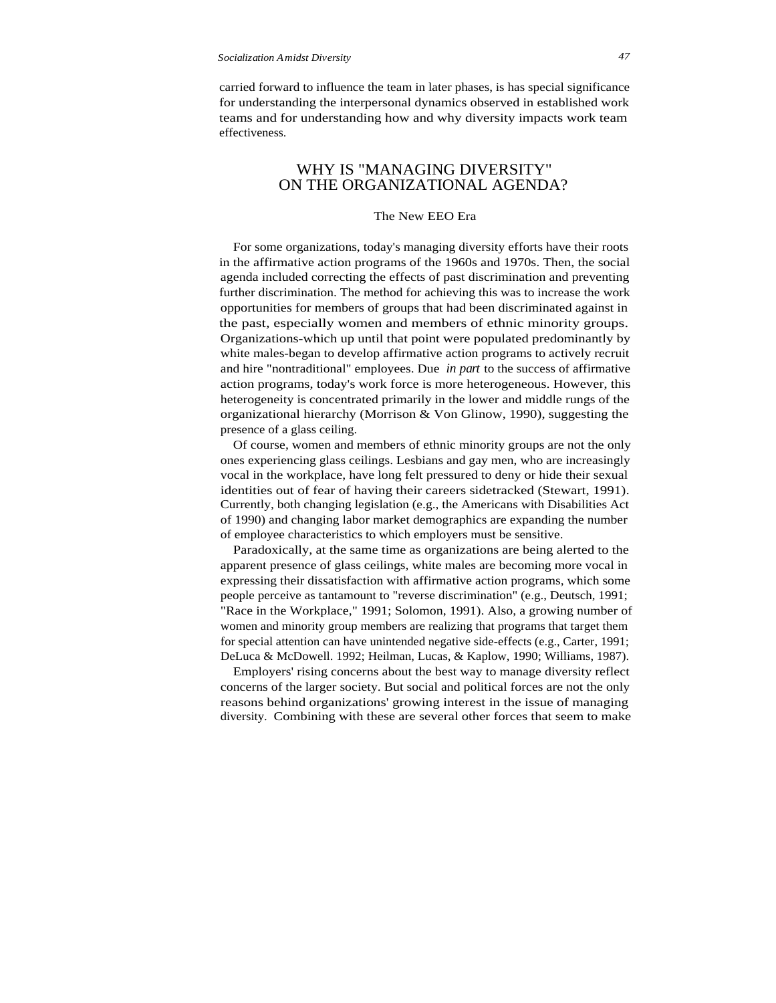carried forward to influence the team in later phases, is has special significance for understanding the interpersonal dynamics observed in established work teams and for understanding how and why diversity impacts work team effectiveness.

# WHY IS "MANAGING DIVERSITY" ON THE ORGANIZATIONAL AGENDA?

## The New EEO Era

For some organizations, today's managing diversity efforts have their roots in the affirmative action programs of the 1960s and 1970s. Then, the social agenda included correcting the effects of past discrimination and preventing further discrimination. The method for achieving this was to increase the work opportunities for members of groups that had been discriminated against in the past, especially women and members of ethnic minority groups. Organizations-which up until that point were populated predominantly by white males-began to develop affirmative action programs to actively recruit and hire "nontraditional" employees. Due *in part* to the success of affirmative action programs, today's work force is more heterogeneous. However, this heterogeneity is concentrated primarily in the lower and middle rungs of the organizational hierarchy (Morrison & Von Glinow, 1990), suggesting the presence of a glass ceiling.

Of course, women and members of ethnic minority groups are not the only ones experiencing glass ceilings. Lesbians and gay men, who are increasingly vocal in the workplace, have long felt pressured to deny or hide their sexual identities out of fear of having their careers sidetracked (Stewart, 1991). Currently, both changing legislation (e.g., the Americans with Disabilities Act of 1990) and changing labor market demographics are expanding the number of employee characteristics to which employers must be sensitive.

Paradoxically, at the same time as organizations are being alerted to the apparent presence of glass ceilings, white males are becoming more vocal in expressing their dissatisfaction with affirmative action programs, which some people perceive as tantamount to "reverse discrimination" (e.g., Deutsch, 1991; "Race in the Workplace," 1991; Solomon, 1991). Also, a growing number of women and minority group members are realizing that programs that target them for special attention can have unintended negative side-effects (e.g., Carter, 1991; DeLuca & McDowell. 1992; Heilman, Lucas, & Kaplow, 1990; Williams, 1987).

Employers' rising concerns about the best way to manage diversity reflect concerns of the larger society. But social and political forces are not the only reasons behind organizations' growing interest in the issue of managing diversity. Combining with these are several other forces that seem to make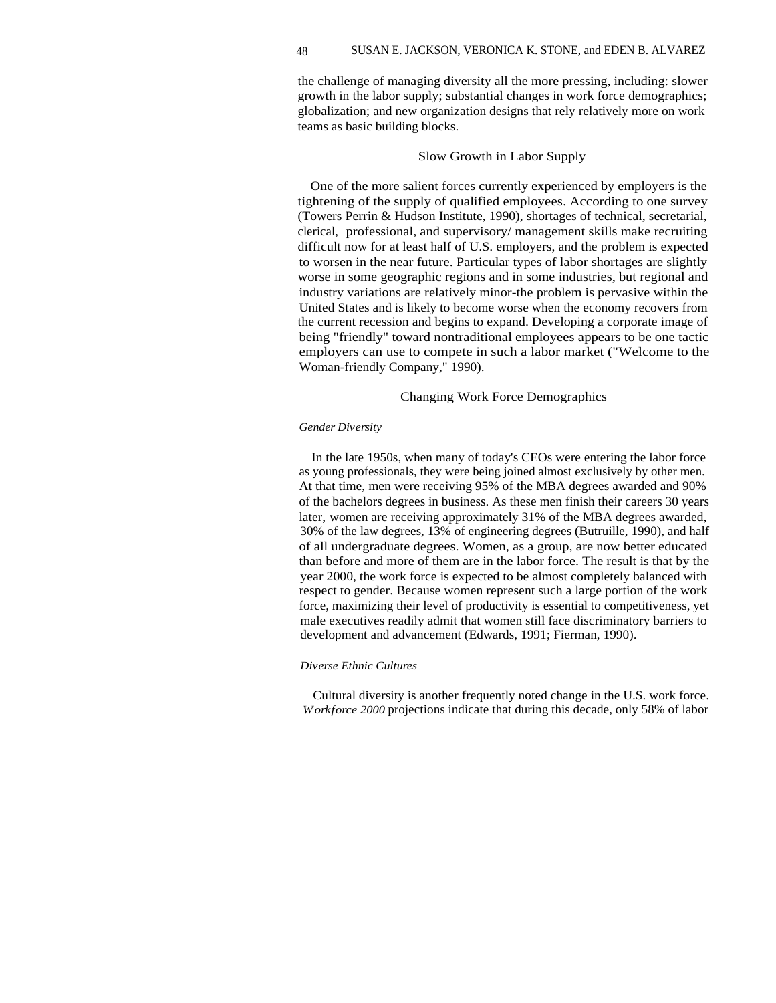the challenge of managing diversity all the more pressing, including: slower growth in the labor supply; substantial changes in work force demographics; globalization; and new organization designs that rely relatively more on work teams as basic building blocks.

#### Slow Growth in Labor Supply

One of the more salient forces currently experienced by employers is the tightening of the supply of qualified employees. According to one survey (Towers Perrin & Hudson Institute, 1990), shortages of technical, secretarial, clerical, professional, and supervisory/ management skills make recruiting difficult now for at least half of U.S. employers, and the problem is expected to worsen in the near future. Particular types of labor shortages are slightly worse in some geographic regions and in some industries, but regional and industry variations are relatively minor-the problem is pervasive within the United States and is likely to become worse when the economy recovers from the current recession and begins to expand. Developing a corporate image of being "friendly" toward nontraditional employees appears to be one tactic employers can use to compete in such a labor market ("Welcome to the Woman-friendly Company," 1990).

## Changing Work Force Demographics

#### *Gender Diversity*

In the late 1950s, when many of today's CEOs were entering the labor force as young professionals, they were being joined almost exclusively by other men. At that time, men were receiving 95% of the MBA degrees awarded and 90% of the bachelors degrees in business. As these men finish their careers 30 years later, women are receiving approximately 31% of the MBA degrees awarded, 30% of the law degrees, 13% of engineering degrees (Butruille, 1990), and half of all undergraduate degrees. Women, as a group, are now better educated than before and more of them are in the labor force. The result is that by the year 2000, the work force is expected to be almost completely balanced with respect to gender. Because women represent such a large portion of the work force, maximizing their level of productivity is essential to competitiveness, yet male executives readily admit that women still face discriminatory barriers to development and advancement (Edwards, 1991; Fierman, 1990).

#### *Diverse Ethnic Cultures*

Cultural diversity is another frequently noted change in the U.S. work force. *Workforce 2000* projections indicate that during this decade, only 58% of labor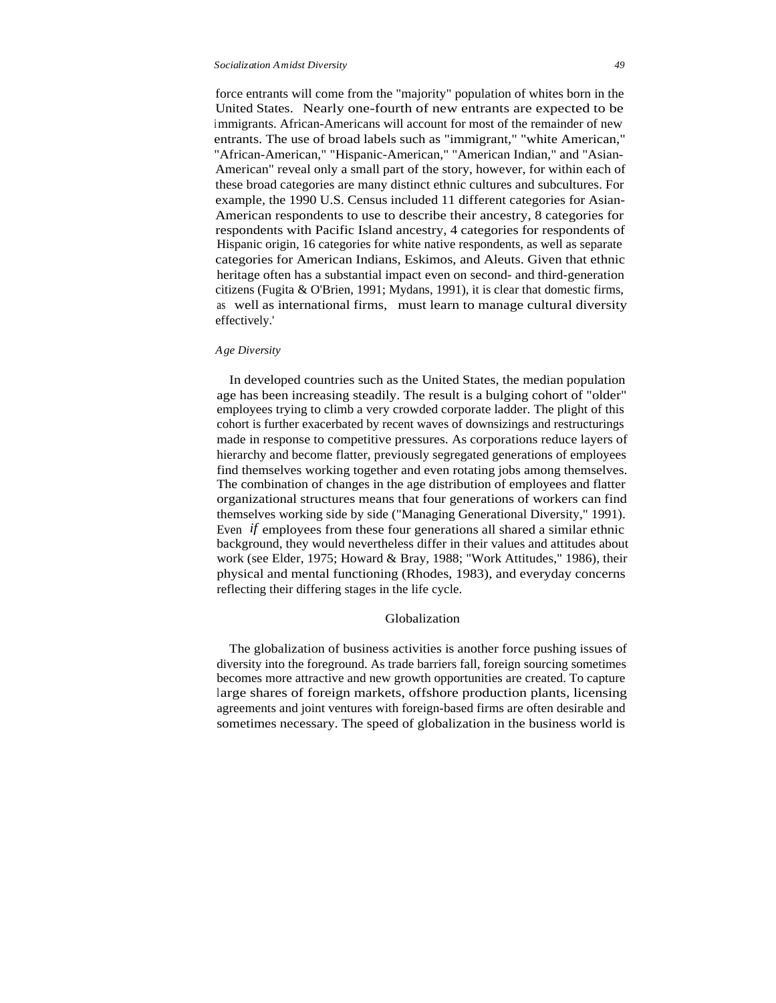force entrants will come from the "majority" population of whites born in the United States. Nearly one-fourth of new entrants are expected to be immigrants. African-Americans will account for most of the remainder of new entrants. The use of broad labels such as "immigrant," "white American," "African-American," "Hispanic-American," "American Indian," and "Asian-American" reveal only a small part of the story, however, for within each of these broad categories are many distinct ethnic cultures and subcultures. For example, the 1990 U.S. Census included 11 different categories for Asian-American respondents to use to describe their ancestry, 8 categories for respondents with Pacific Island ancestry, 4 categories for respondents of Hispanic origin, 16 categories for white native respondents, as well as separate categories for American Indians, Eskimos, and Aleuts. Given that ethnic heritage often has a substantial impact even on second- and third-generation citizens (Fugita & O'Brien, 1991; Mydans, 1991), it is clear that domestic firms, as well as international firms, must learn to manage cultural diversity effectively.'

#### *Age Diversity*

In developed countries such as the United States, the median population age has been increasing steadily. The result is a bulging cohort of "older" employees trying to climb a very crowded corporate ladder. The plight of this cohort is further exacerbated by recent waves of downsizings and restructurings made in response to competitive pressures. As corporations reduce layers of hierarchy and become flatter, previously segregated generations of employees find themselves working together and even rotating jobs among themselves. The combination of changes in the age distribution of employees and flatter organizational structures means that four generations of workers can find themselves working side by side ("Managing Generational Diversity," 1991). Even *if* employees from these four generations all shared a similar ethnic background, they would nevertheless differ in their values and attitudes about work (see Elder, 1975; Howard & Bray, 1988; "Work Attitudes," 1986), their physical and mental functioning (Rhodes, 1983), and everyday concerns reflecting their differing stages in the life cycle.

## Globalization

The globalization of business activities is another force pushing issues of diversity into the foreground. As trade barriers fall, foreign sourcing sometimes becomes more attractive and new growth opportunities are created. To capture large shares of foreign markets, offshore production plants, licensing agreements and joint ventures with foreign-based firms are often desirable and sometimes necessary. The speed of globalization in the business world is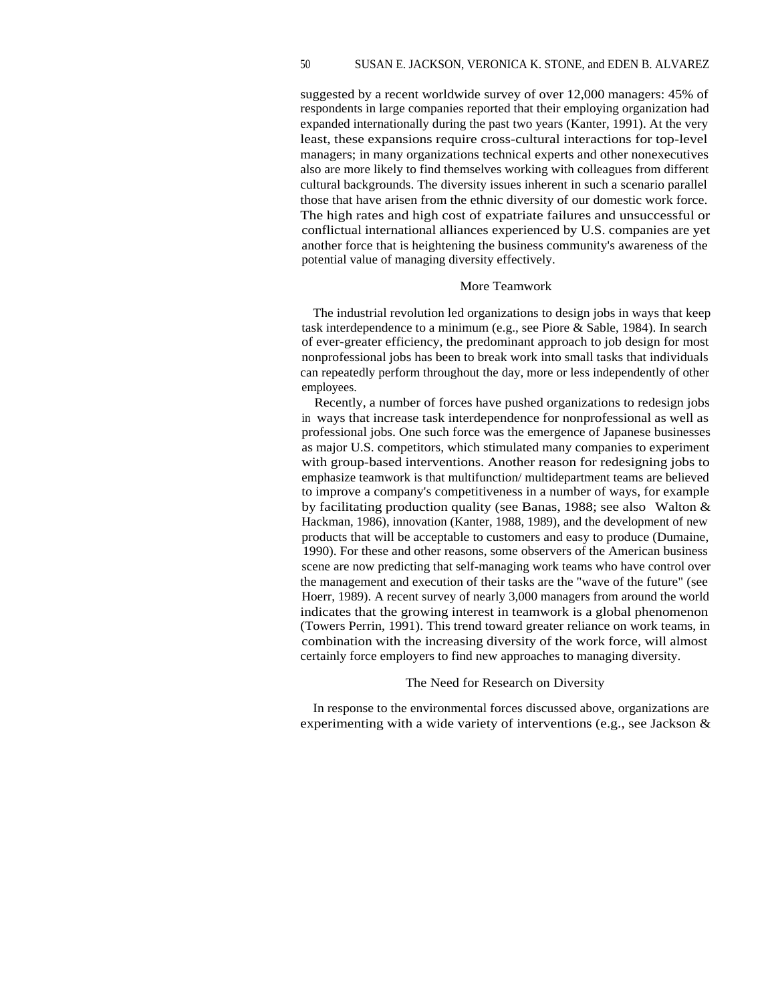suggested by a recent worldwide survey of over 12,000 managers: 45% of respondents in large companies reported that their employing organization had expanded internationally during the past two years (Kanter, 1991). At the very least, these expansions require cross-cultural interactions for top-level managers; in many organizations technical experts and other nonexecutives also are more likely to find themselves working with colleagues from different cultural backgrounds. The diversity issues inherent in such a scenario parallel those that have arisen from the ethnic diversity of our domestic work force. The high rates and high cost of expatriate failures and unsuccessful or conflictual international alliances experienced by U.S. companies are yet another force that is heightening the business community's awareness of the potential value of managing diversity effectively.

#### More Teamwork

The industrial revolution led organizations to design jobs in ways that keep task interdependence to a minimum (e.g., see Piore & Sable, 1984). In search of ever-greater efficiency, the predominant approach to job design for most nonprofessional jobs has been to break work into small tasks that individuals can repeatedly perform throughout the day, more or less independently of other employees.

Recently, a number of forces have pushed organizations to redesign jobs in ways that increase task interdependence for nonprofessional as well as professional jobs. One such force was the emergence of Japanese businesses as major U.S. competitors, which stimulated many companies to experiment with group-based interventions. Another reason for redesigning jobs to emphasize teamwork is that multifunction/ multidepartment teams are believed to improve a company's competitiveness in a number of ways, for example by facilitating production quality (see Banas, 1988; see also Walton & Hackman, 1986), innovation (Kanter, 1988, 1989), and the development of new products that will be acceptable to customers and easy to produce (Dumaine, 1990). For these and other reasons, some observers of the American business scene are now predicting that self-managing work teams who have control over the management and execution of their tasks are the "wave of the future" (see Hoerr, 1989). A recent survey of nearly 3,000 managers from around the world indicates that the growing interest in teamwork is a global phenomenon (Towers Perrin, 1991). This trend toward greater reliance on work teams, in combination with the increasing diversity of the work force, will almost certainly force employers to find new approaches to managing diversity.

#### The Need for Research on Diversity

In response to the environmental forces discussed above, organizations are experimenting with a wide variety of interventions (e.g., see Jackson &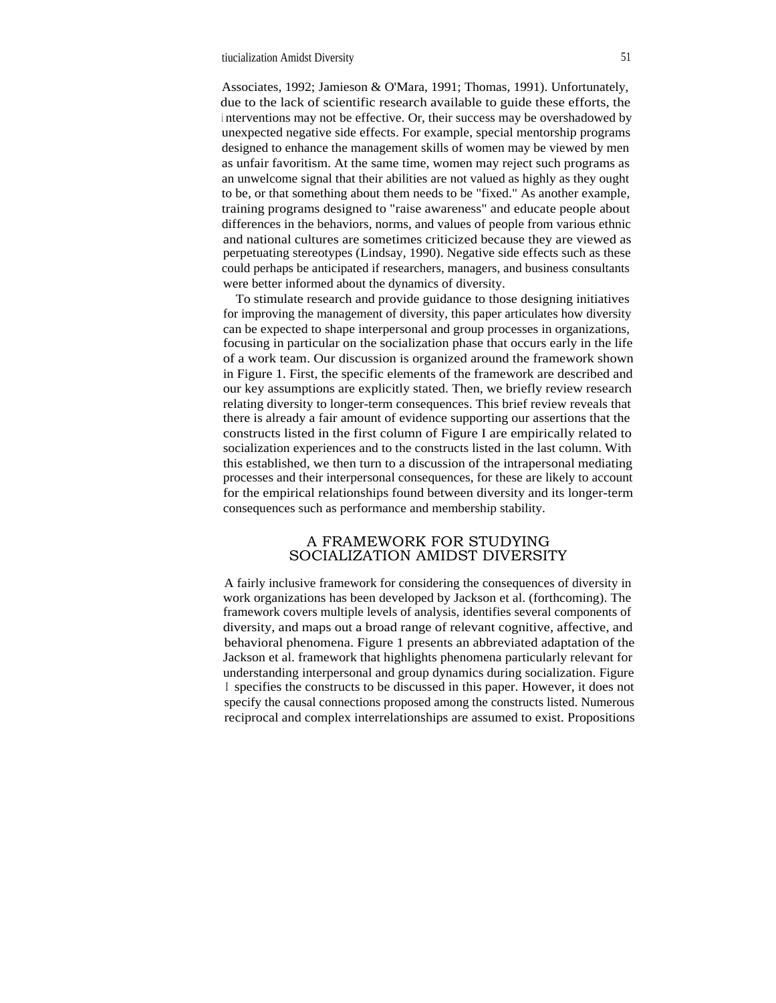Associates, 1992; Jamieson & O'Mara, 1991; Thomas, 1991). Unfortunately, due to the lack of scientific research available to guide these efforts, the <sup>i</sup> nterventions may not be effective. Or, their success may be overshadowed by unexpected negative side effects. For example, special mentorship programs designed to enhance the management skills of women may be viewed by men as unfair favoritism. At the same time, women may reject such programs as an unwelcome signal that their abilities are not valued as highly as they ought to be, or that something about them needs to be "fixed." As another example, training programs designed to "raise awareness" and educate people about differences in the behaviors, norms, and values of people from various ethnic and national cultures are sometimes criticized because they are viewed as perpetuating stereotypes (Lindsay, 1990). Negative side effects such as these could perhaps be anticipated if researchers, managers, and business consultants were better informed about the dynamics of diversity.

To stimulate research and provide guidance to those designing initiatives for improving the management of diversity, this paper articulates how diversity can be expected to shape interpersonal and group processes in organizations, focusing in particular on the socialization phase that occurs early in the life of a work team. Our discussion is organized around the framework shown in Figure 1. First, the specific elements of the framework are described and our key assumptions are explicitly stated. Then, we briefly review research relating diversity to longer-term consequences. This brief review reveals that there is already a fair amount of evidence supporting our assertions that the constructs listed in the first column of Figure I are empirically related to socialization experiences and to the constructs listed in the last column. With this established, we then turn to a discussion of the intrapersonal mediating processes and their interpersonal consequences, for these are likely to account for the empirical relationships found between diversity and its longer-term consequences such as performance and membership stability.

# A FRAMEWORK FOR STUDYING SOCIALIZATION AMIDST DIVERSITY

A fairly inclusive framework for considering the consequences of diversity in work organizations has been developed by Jackson et al. (forthcoming). The framework covers multiple levels of analysis, identifies several components of diversity, and maps out a broad range of relevant cognitive, affective, and behavioral phenomena. Figure 1 presents an abbreviated adaptation of the Jackson et al. framework that highlights phenomena particularly relevant for understanding interpersonal and group dynamics during socialization. Figure <sup>I</sup> specifies the constructs to be discussed in this paper. However, it does not specify the causal connections proposed among the constructs listed. Numerous reciprocal and complex interrelationships are assumed to exist. Propositions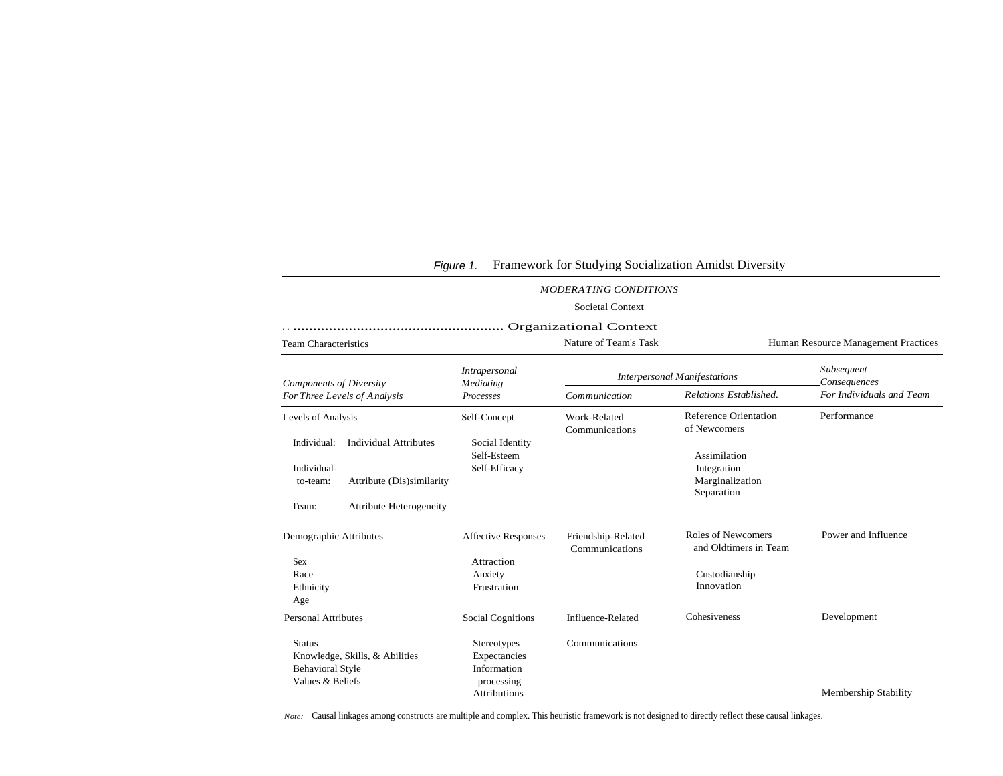| <b>MODERATING CONDITIONS</b>                                                                   |                                                                                             |                                                                                 |                                      |                                                              |                                     |  |
|------------------------------------------------------------------------------------------------|---------------------------------------------------------------------------------------------|---------------------------------------------------------------------------------|--------------------------------------|--------------------------------------------------------------|-------------------------------------|--|
|                                                                                                |                                                                                             |                                                                                 | <b>Societal Context</b>              |                                                              |                                     |  |
| Organizational Context                                                                         |                                                                                             |                                                                                 |                                      |                                                              |                                     |  |
| <b>Team Characteristics</b>                                                                    |                                                                                             | Nature of Team's Task                                                           |                                      |                                                              | Human Resource Management Practices |  |
| <b>Components of Diversity</b><br>For Three Levels of Analysis                                 |                                                                                             | Intrapersonal<br>Mediating<br>Processes                                         | <b>Interpersonal Manifestations</b>  |                                                              | Subsequent<br>Consequences          |  |
|                                                                                                |                                                                                             |                                                                                 | Communication                        | Relations Established.                                       | For Individuals and Team            |  |
| Levels of Analysis                                                                             |                                                                                             | Self-Concept                                                                    | Work-Related<br>Communications       | <b>Reference Orientation</b><br>of Newcomers                 | Performance                         |  |
| Individual:<br>Individual-<br>to-team:<br>Team:                                                | <b>Individual Attributes</b><br>Attribute (Dis)similarity<br><b>Attribute Heterogeneity</b> | Social Identity<br>Self-Esteem<br>Self-Efficacy                                 |                                      | Assimilation<br>Integration<br>Marginalization<br>Separation |                                     |  |
| Demographic Attributes                                                                         |                                                                                             | <b>Affective Responses</b>                                                      | Friendship-Related<br>Communications | <b>Roles of Newcomers</b><br>and Oldtimers in Team           | Power and Influence                 |  |
| Sex<br>Race<br>Ethnicity<br>Age                                                                |                                                                                             | Attraction<br>Anxiety<br>Frustration                                            |                                      | Custodianship<br>Innovation                                  |                                     |  |
| <b>Personal Attributes</b>                                                                     |                                                                                             | <b>Social Cognitions</b>                                                        | Influence-Related                    | Cohesiveness                                                 | Development                         |  |
| <b>Status</b><br>Knowledge, Skills, & Abilities<br><b>Behavioral Style</b><br>Values & Beliefs |                                                                                             | Stereotypes<br>Expectancies<br>Information<br>processing<br><b>Attributions</b> | Communications                       |                                                              | Membership Stability                |  |

# Figure 1. Framework for Studying Socialization Amidst Diversity

*Note:* Causal linkages among constructs are multiple and complex. This heuristic framework is not designed to directly reflect these causal linkages.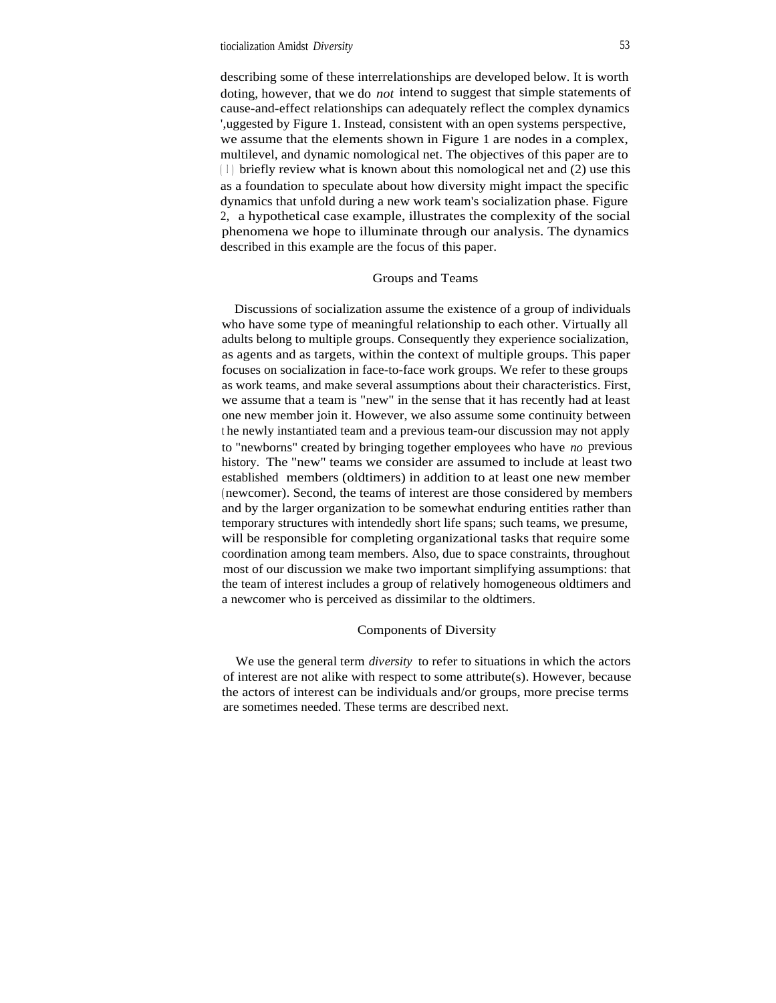## tiocialization Amidst *Diversity* 53

describing some of these interrelationships are developed below. It is worth doting, however, that we do *not* intend to suggest that simple statements of cause-and-effect relationships can adequately reflect the complex dynamics ',uggested by Figure 1. Instead, consistent with an open systems perspective, we assume that the elements shown in Figure 1 are nodes in a complex, multilevel, and dynamic nomological net. The objectives of this paper are to  $(1)$  briefly review what is known about this nomological net and  $(2)$  use this as a foundation to speculate about how diversity might impact the specific dynamics that unfold during a new work team's socialization phase. Figure 2, a hypothetical case example, illustrates the complexity of the social phenomena we hope to illuminate through our analysis. The dynamics described in this example are the focus of this paper.

## Groups and Teams

Discussions of socialization assume the existence of a group of individuals who have some type of meaningful relationship to each other. Virtually all adults belong to multiple groups. Consequently they experience socialization, as agents and as targets, within the context of multiple groups. This paper focuses on socialization in face-to-face work groups. We refer to these groups as work teams, and make several assumptions about their characteristics. First, we assume that a team is "new" in the sense that it has recently had at least one new member join it. However, we also assume some continuity between <sup>t</sup> he newly instantiated team and a previous team-our discussion may not apply to "newborns" created by bringing together employees who have *no* previous history. The "new" teams we consider are assumed to include at least two established members (oldtimers) in addition to at least one new member ( newcomer). Second, the teams of interest are those considered by members and by the larger organization to be somewhat enduring entities rather than temporary structures with intendedly short life spans; such teams, we presume, will be responsible for completing organizational tasks that require some coordination among team members. Also, due to space constraints, throughout most of our discussion we make two important simplifying assumptions: that the team of interest includes a group of relatively homogeneous oldtimers and a newcomer who is perceived as dissimilar to the oldtimers.

## Components of Diversity

We use the general term *diversity* to refer to situations in which the actors of interest are not alike with respect to some attribute(s). However, because the actors of interest can be individuals and/or groups, more precise terms are sometimes needed. These terms are described next.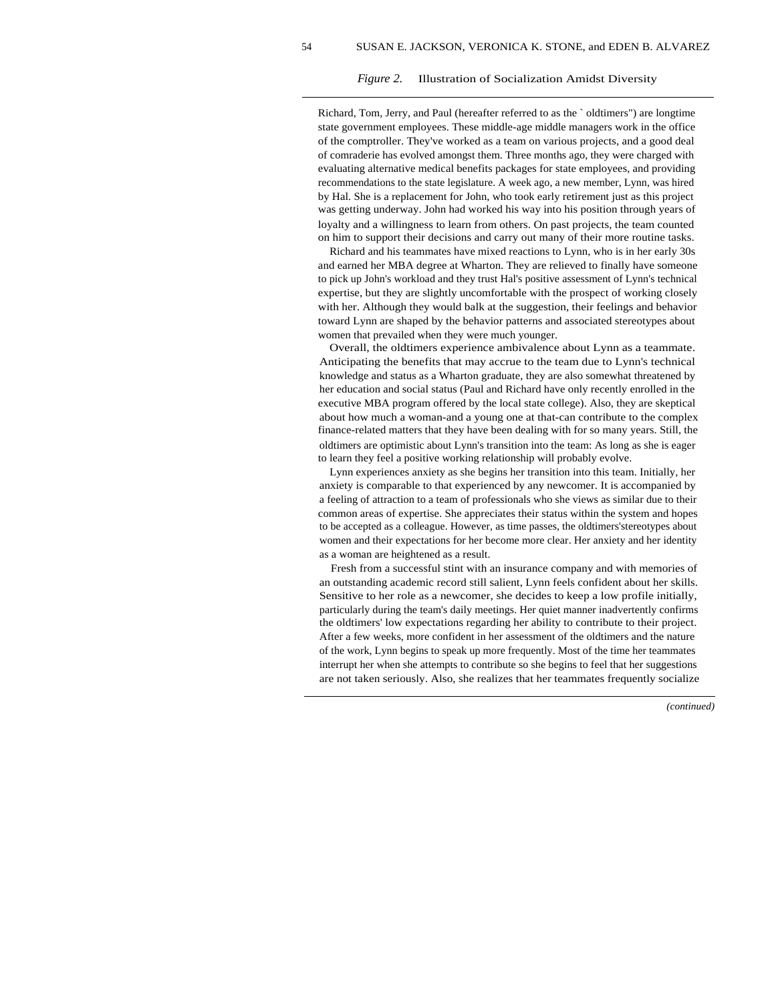#### *Figure 2.* Illustration of Socialization Amidst Diversity

Richard, Tom, Jerry, and Paul (hereafter referred to as the ` oldtimers") are longtime state government employees. These middle-age middle managers work in the office of the comptroller. They've worked as a team on various projects, and a good deal of comraderie has evolved amongst them. Three months ago, they were charged with evaluating alternative medical benefits packages for state employees, and providing recommendations to the state legislature. A week ago, a new member, Lynn, was hired by Hal. She is a replacement for John, who took early retirement just as this project was getting underway. John had worked his way into his position through years of loyalty and a willingness to learn from others. On past projects, the team counted on him to support their decisions and carry out many of their more routine tasks.

Richard and his teammates have mixed reactions to Lynn, who is in her early 30s and earned her MBA degree at Wharton. They are relieved to finally have someone to pick up John's workload and they trust Hal's positive assessment of Lynn's technical expertise, but they are slightly uncomfortable with the prospect of working closely with her. Although they would balk at the suggestion, their feelings and behavior toward Lynn are shaped by the behavior patterns and associated stereotypes about women that prevailed when they were much younger.

Overall, the oldtimers experience ambivalence about Lynn as a teammate. Anticipating the benefits that may accrue to the team due to Lynn's technical knowledge and status as a Wharton graduate, they are also somewhat threatened by her education and social status (Paul and Richard have only recently enrolled in the executive MBA program offered by the local state college). Also, they are skeptical about how much a woman-and a young one at that-can contribute to the complex finance-related matters that they have been dealing with for so many years. Still, the oldtimers are optimistic about Lynn's transition into the team: As long as she is eager to learn they feel a positive working relationship will probably evolve.

Lynn experiences anxiety as she begins her transition into this team. Initially, her anxiety is comparable to that experienced by any newcomer. It is accompanied by a feeling of attraction to a team of professionals who she views as similar due to their common areas of expertise. She appreciates their status within the system and hopes to be accepted as a colleague. However, as time passes, the oldtimers'stereotypes about women and their expectations for her become more clear. Her anxiety and her identity as a woman are heightened as a result.

Fresh from a successful stint with an insurance company and with memories of an outstanding academic record still salient, Lynn feels confident about her skills. Sensitive to her role as a newcomer, she decides to keep a low profile initially, particularly during the team's daily meetings. Her quiet manner inadvertently confirms the oldtimers' low expectations regarding her ability to contribute to their project. After a few weeks, more confident in her assessment of the oldtimers and the nature of the work, Lynn begins to speak up more frequently. Most of the time her teammates interrupt her when she attempts to contribute so she begins to feel that her suggestions are not taken seriously. Also, she realizes that her teammates frequently socialize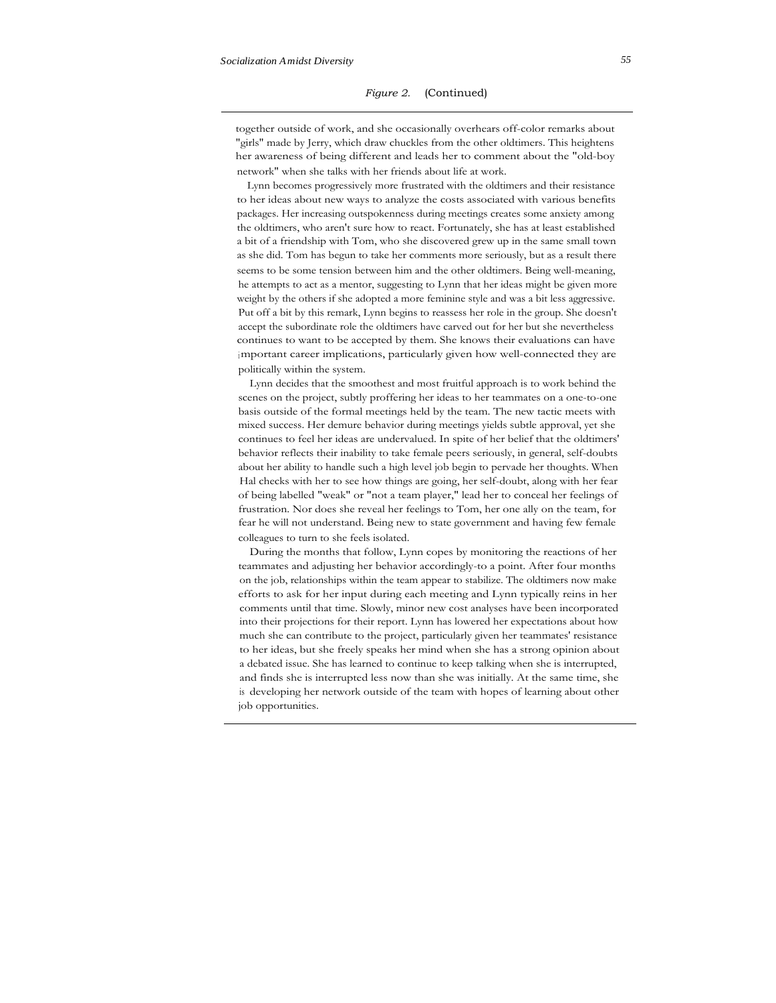together outside of work, and she occasionally overhears off-color remarks about "girls" made by Jerry, which draw chuckles from the other oldtimers. This heightens her awareness of being different and leads her to comment about the "old-boy network" when she talks with her friends about life at work.

Lynn becomes progressively more frustrated with the oldtimers and their resistance to her ideas about new ways to analyze the costs associated with various benefits packages. Her increasing outspokenness during meetings creates some anxiety among the oldtimers, who aren't sure how to react. Fortunately, she has at least established a bit of a friendship with Tom, who she discovered grew up in the same small town as she did. Tom has begun to take her comments more seriously, but as a result there seems to be some tension between him and the other oldtimers. Being well-meaning, he attempts to act as a mentor, suggesting to Lynn that her ideas might be given more weight by the others if she adopted a more feminine style and was a bit less aggressive. Put off a bit by this remark, Lynn begins to reassess her role in the group. She doesn't accept the subordinate role the oldtimers have carved out for her but she nevertheless continues to want to be accepted by them. She knows their evaluations can have important career implications, particularly given how well-connected they are politically within the system.

Lynn decides that the smoothest and most fruitful approach is to work behind the scenes on the project, subtly proffering her ideas to her teammates on a one-to-one basis outside of the formal meetings held by the team. The new tactic meets with mixed success. Her demure behavior during meetings yields subtle approval, yet she continues to feel her ideas are undervalued. In spite of her belief that the oldtimers' behavior reflects their inability to take female peers seriously, in general, self-doubts about her ability to handle such a high level job begin to pervade her thoughts. When Hal checks with her to see how things are going, her self-doubt, along with her fear of being labelled "weak" or "not a team player," lead her to conceal her feelings of frustration. Nor does she reveal her feelings to Tom, her one ally on the team, for fear he will not understand. Being new to state government and having few female colleagues to turn to she feels isolated.

During the months that follow, Lynn copes by monitoring the reactions of her teammates and adjusting her behavior accordingly-to a point. After four months on the job, relationships within the team appear to stabilize. The oldtimers now make efforts to ask for her input during each meeting and Lynn typically reins in her comments until that time. Slowly, minor new cost analyses have been incorporated into their projections for their report. Lynn has lowered her expectations about how much she can contribute to the project, particularly given her teammates' resistance to her ideas, but she freely speaks her mind when she has a strong opinion about a debated issue. She has learned to continue to keep talking when she is interrupted, and finds she is interrupted less now than she was initially. At the same time, she is developing her network outside of the team with hopes of learning about other job opportunities.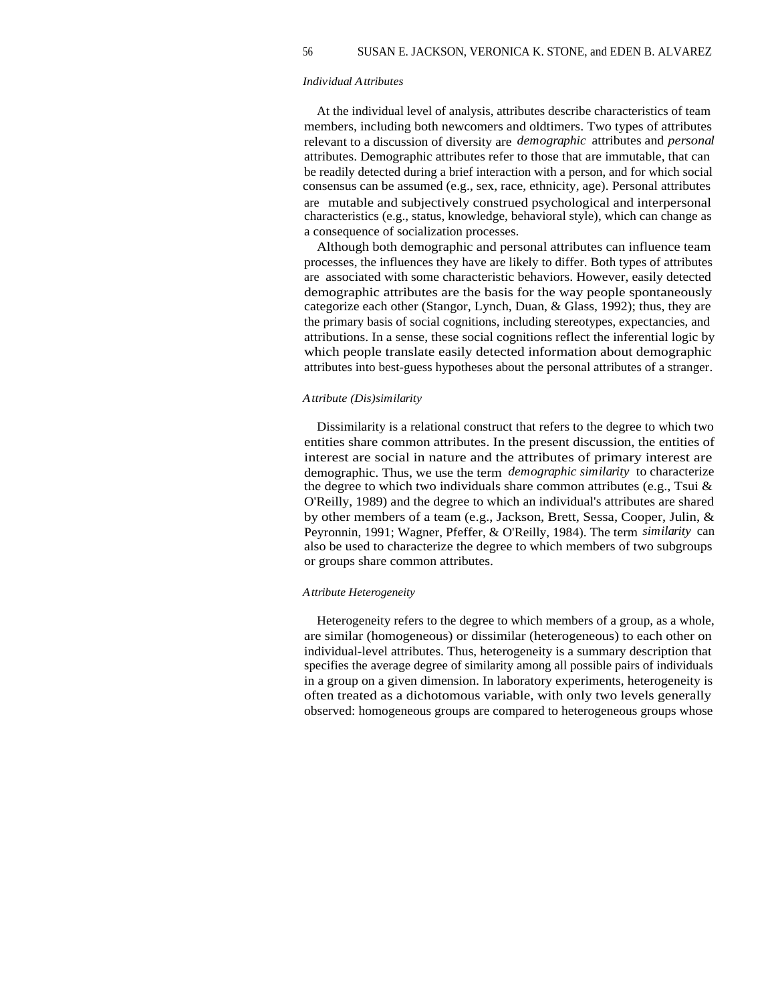#### *Individual Attributes*

At the individual level of analysis, attributes describe characteristics of team members, including both newcomers and oldtimers. Two types of attributes relevant to a discussion of diversity are *demographic* attributes and *personal* attributes. Demographic attributes refer to those that are immutable, that can be readily detected during a brief interaction with a person, and for which social consensus can be assumed (e.g., sex, race, ethnicity, age). Personal attributes are mutable and subjectively construed psychological and interpersonal characteristics (e.g., status, knowledge, behavioral style), which can change as a consequence of socialization processes.

Although both demographic and personal attributes can influence team processes, the influences they have are likely to differ. Both types of attributes are associated with some characteristic behaviors. However, easily detected demographic attributes are the basis for the way people spontaneously categorize each other (Stangor, Lynch, Duan, & Glass, 1992); thus, they are the primary basis of social cognitions, including stereotypes, expectancies, and attributions. In a sense, these social cognitions reflect the inferential logic by which people translate easily detected information about demographic attributes into best-guess hypotheses about the personal attributes of a stranger.

#### *Attribute (Dis)similarity*

Dissimilarity is a relational construct that refers to the degree to which two entities share common attributes. In the present discussion, the entities of interest are social in nature and the attributes of primary interest are demographic. Thus, we use the term *demographic similarity* to characterize the degree to which two individuals share common attributes (e.g., Tsui  $\&$ O'Reilly, 1989) and the degree to which an individual's attributes are shared by other members of a team (e.g., Jackson, Brett, Sessa, Cooper, Julin, & Peyronnin, 1991; Wagner, Pfeffer, & O'Reilly, 1984). The term *similarity* can also be used to characterize the degree to which members of two subgroups or groups share common attributes.

#### *Attribute Heterogeneity*

Heterogeneity refers to the degree to which members of a group, as a whole, are similar (homogeneous) or dissimilar (heterogeneous) to each other on individual-level attributes. Thus, heterogeneity is a summary description that specifies the average degree of similarity among all possible pairs of individuals in a group on a given dimension. In laboratory experiments, heterogeneity is often treated as a dichotomous variable, with only two levels generally observed: homogeneous groups are compared to heterogeneous groups whose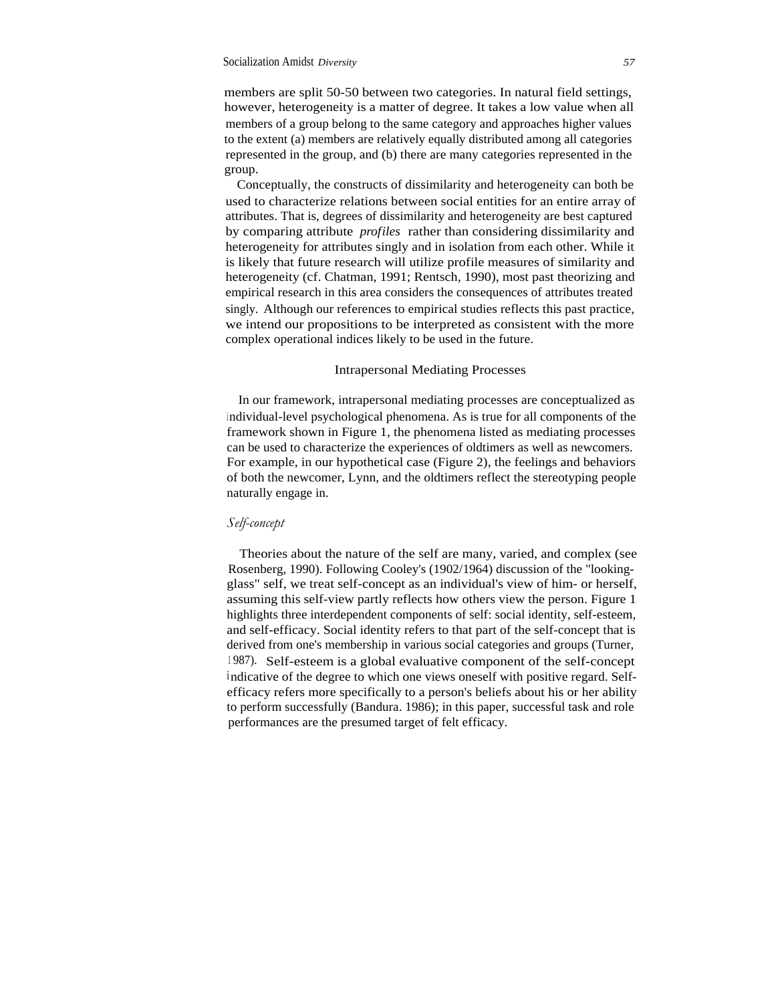members are split 50-50 between two categories. In natural field settings, however, heterogeneity is a matter of degree. It takes a low value when all members of a group belong to the same category and approaches higher values to the extent (a) members are relatively equally distributed among all categories represented in the group, and (b) there are many categories represented in the group.

Conceptually, the constructs of dissimilarity and heterogeneity can both be used to characterize relations between social entities for an entire array of attributes. That is, degrees of dissimilarity and heterogeneity are best captured by comparing attribute *profiles* rather than considering dissimilarity and heterogeneity for attributes singly and in isolation from each other. While it is likely that future research will utilize profile measures of similarity and heterogeneity (cf. Chatman, 1991; Rentsch, 1990), most past theorizing and empirical research in this area considers the consequences of attributes treated singly. Although our references to empirical studies reflects this past practice, we intend our propositions to be interpreted as consistent with the more complex operational indices likely to be used in the future.

#### Intrapersonal Mediating Processes

In our framework, intrapersonal mediating processes are conceptualized as <sup>i</sup> ndividual-level psychological phenomena. As is true for all components of the framework shown in Figure 1, the phenomena listed as mediating processes can be used to characterize the experiences of oldtimers as well as newcomers. For example, in our hypothetical case (Figure 2), the feelings and behaviors of both the newcomer, Lynn, and the oldtimers reflect the stereotyping people naturally engage in.

#### *Self-concept*

Theories about the nature of the self are many, varied, and complex (see Rosenberg, 1990). Following Cooley's (1902/1964) discussion of the "lookingglass" self, we treat self-concept as an individual's view of him- or herself, assuming this self-view partly reflects how others view the person. Figure 1 highlights three interdependent components of self: social identity, self-esteem, and self-efficacy. Social identity refers to that part of the self-concept that is derived from one's membership in various social categories and groups (Turner, <sup>1</sup> 987). Self-esteem is a global evaluative component of the self-concept indicative of the degree to which one views oneself with positive regard. Selfefficacy refers more specifically to a person's beliefs about his or her ability to perform successfully (Bandura. 1986); in this paper, successful task and role performances are the presumed target of felt efficacy.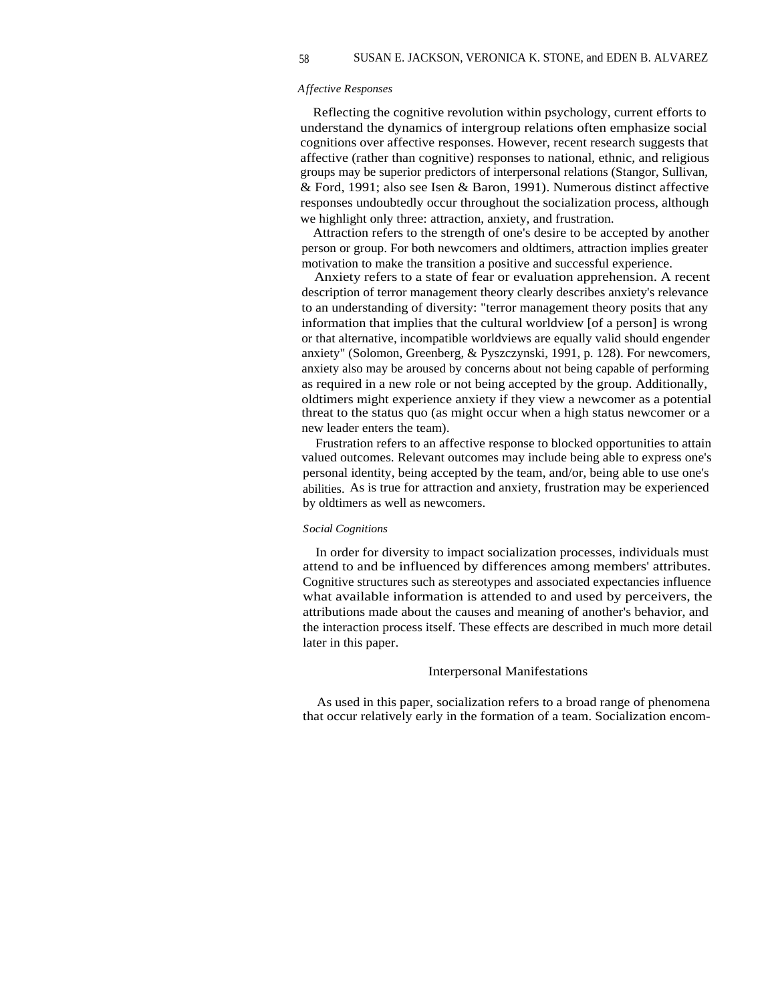#### *Affective Responses*

Reflecting the cognitive revolution within psychology, current efforts to understand the dynamics of intergroup relations often emphasize social cognitions over affective responses. However, recent research suggests that affective (rather than cognitive) responses to national, ethnic, and religious groups may be superior predictors of interpersonal relations (Stangor, Sullivan, & Ford, 1991; also see Isen & Baron, 1991). Numerous distinct affective responses undoubtedly occur throughout the socialization process, although we highlight only three: attraction, anxiety, and frustration.

Attraction refers to the strength of one's desire to be accepted by another person or group. For both newcomers and oldtimers, attraction implies greater motivation to make the transition a positive and successful experience.

Anxiety refers to a state of fear or evaluation apprehension. A recent description of terror management theory clearly describes anxiety's relevance to an understanding of diversity: "terror management theory posits that any information that implies that the cultural worldview [of a person] is wrong or that alternative, incompatible worldviews are equally valid should engender anxiety" (Solomon, Greenberg, & Pyszczynski, 1991, p. 128). For newcomers, anxiety also may be aroused by concerns about not being capable of performing as required in a new role or not being accepted by the group. Additionally, oldtimers might experience anxiety if they view a newcomer as a potential threat to the status quo (as might occur when a high status newcomer or a new leader enters the team).

Frustration refers to an affective response to blocked opportunities to attain valued outcomes. Relevant outcomes may include being able to express one's personal identity, being accepted by the team, and/or, being able to use one's abilities. As is true for attraction and anxiety, frustration may be experienced by oldtimers as well as newcomers.

#### *Social Cognitions*

In order for diversity to impact socialization processes, individuals must attend to and be influenced by differences among members' attributes. Cognitive structures such as stereotypes and associated expectancies influence what available information is attended to and used by perceivers, the attributions made about the causes and meaning of another's behavior, and the interaction process itself. These effects are described in much more detail later in this paper.

## Interpersonal Manifestations

As used in this paper, socialization refers to a broad range of phenomena that occur relatively early in the formation of a team. Socialization encom-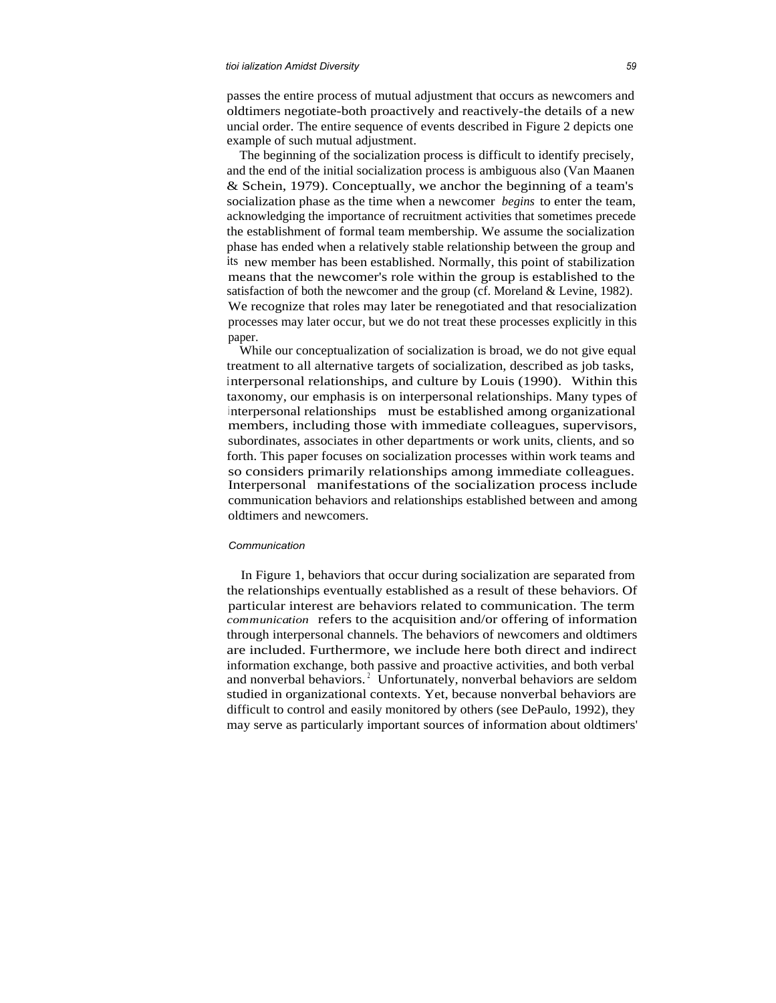#### *tioi ialization Amidst Diversity 59*

passes the entire process of mutual adjustment that occurs as newcomers and oldtimers negotiate-both proactively and reactively-the details of a new uncial order. The entire sequence of events described in Figure 2 depicts one example of such mutual adjustment.

The beginning of the socialization process is difficult to identify precisely, and the end of the initial socialization process is ambiguous also (Van Maanen & Schein, 1979). Conceptually, we anchor the beginning of a team's socialization phase as the time when a newcomer *begins* to enter the team, acknowledging the importance of recruitment activities that sometimes precede the establishment of formal team membership. We assume the socialization phase has ended when a relatively stable relationship between the group and its new member has been established. Normally, this point of stabilization means that the newcomer's role within the group is established to the satisfaction of both the newcomer and the group (cf. Moreland & Levine, 1982). We recognize that roles may later be renegotiated and that resocialization processes may later occur, but we do not treat these processes explicitly in this paper.

While our conceptualization of socialization is broad, we do not give equal treatment to all alternative targets of socialization, described as job tasks, interpersonal relationships, and culture by Louis (1990). Within this taxonomy, our emphasis is on interpersonal relationships. Many types of <sup>i</sup> nterpersonal relationships must be established among organizational members, including those with immediate colleagues, supervisors, subordinates, associates in other departments or work units, clients, and so forth. This paper focuses on socialization processes within work teams and so considers primarily relationships among immediate colleagues. Interpersonal manifestations of the socialization process include communication behaviors and relationships established between and among oldtimers and newcomers.

#### *Communication*

In Figure 1, behaviors that occur during socialization are separated from the relationships eventually established as a result of these behaviors. Of particular interest are behaviors related to communication. The term *communication* refers to the acquisition and/or offering of information through interpersonal channels. The behaviors of newcomers and oldtimers are included. Furthermore, we include here both direct and indirect information exchange, both passive and proactive activities, and both verbal and nonverbal behaviors.<sup>2</sup> Unfortunately, nonverbal behaviors are seldom studied in organizational contexts. Yet, because nonverbal behaviors are difficult to control and easily monitored by others (see DePaulo, 1992), they may serve as particularly important sources of information about oldtimers'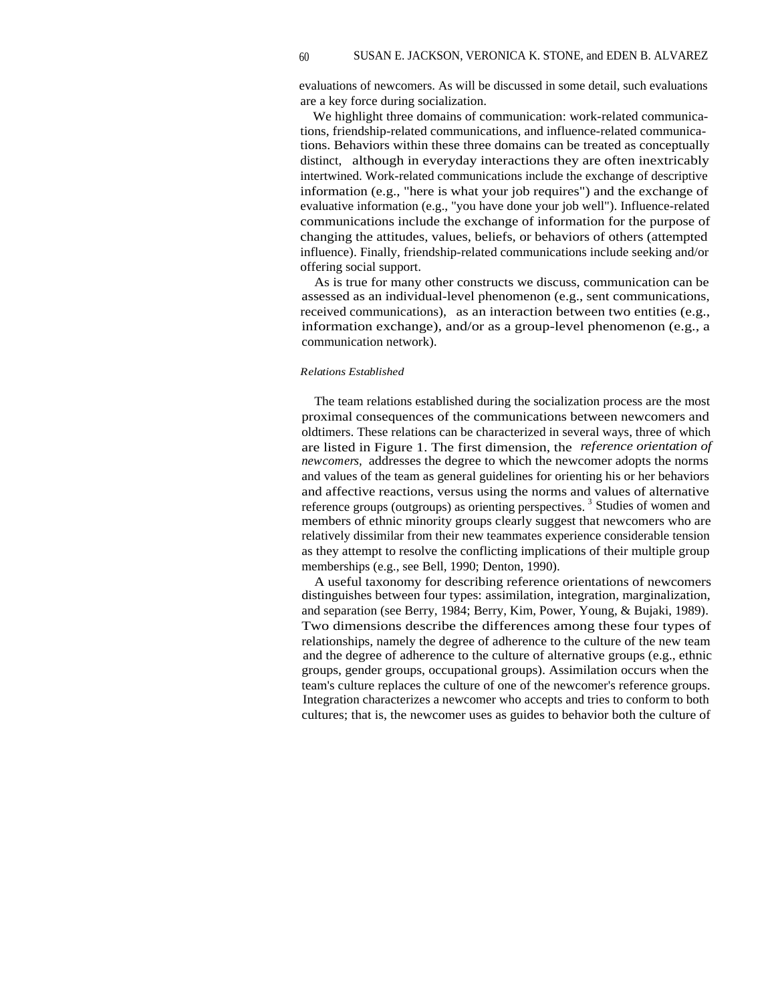evaluations of newcomers. As will be discussed in some detail, such evaluations are a key force during socialization.

We highlight three domains of communication: work-related communications, friendship-related communications, and influence-related communications. Behaviors within these three domains can be treated as conceptually distinct, although in everyday interactions they are often inextricably intertwined. Work-related communications include the exchange of descriptive information (e.g., "here is what your job requires") and the exchange of evaluative information (e.g., "you have done your job well"). Influence-related communications include the exchange of information for the purpose of changing the attitudes, values, beliefs, or behaviors of others (attempted influence). Finally, friendship-related communications include seeking and/or offering social support.

As is true for many other constructs we discuss, communication can be assessed as an individual-level phenomenon (e.g., sent communications, received communications), as an interaction between two entities (e.g., information exchange), and/or as a group-level phenomenon (e.g., a communication network).

## *Relations Established*

The team relations established during the socialization process are the most proximal consequences of the communications between newcomers and oldtimers. These relations can be characterized in several ways, three of which are listed in Figure 1. The first dimension, the *reference orientation of newcomers,* addresses the degree to which the newcomer adopts the norms and values of the team as general guidelines for orienting his or her behaviors and affective reactions, versus using the norms and values of alternative reference groups (outgroups) as orienting perspectives.<sup>3</sup> Studies of women and members of ethnic minority groups clearly suggest that newcomers who are relatively dissimilar from their new teammates experience considerable tension as they attempt to resolve the conflicting implications of their multiple group memberships (e.g., see Bell, 1990; Denton, 1990).

A useful taxonomy for describing reference orientations of newcomers distinguishes between four types: assimilation, integration, marginalization, and separation (see Berry, 1984; Berry, Kim, Power, Young, & Bujaki, 1989). Two dimensions describe the differences among these four types of relationships, namely the degree of adherence to the culture of the new team and the degree of adherence to the culture of alternative groups (e.g., ethnic groups, gender groups, occupational groups). Assimilation occurs when the team's culture replaces the culture of one of the newcomer's reference groups. Integration characterizes a newcomer who accepts and tries to conform to both cultures; that is, the newcomer uses as guides to behavior both the culture of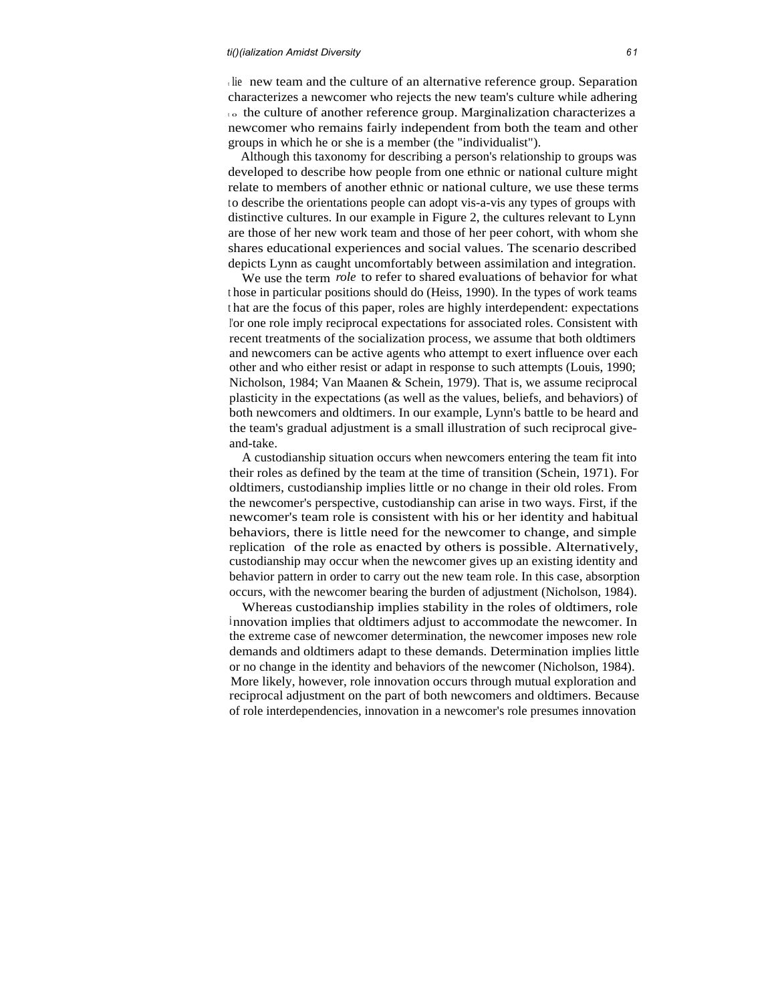the new team and the culture of an alternative reference group. Separation characterizes a newcomer who rejects the new team's culture while adhering  $\overline{\phantom{a}}$  to the culture of another reference group. Marginalization characterizes a newcomer who remains fairly independent from both the team and other groups in which he or she is a member (the "individualist").

Although this taxonomy for describing a person's relationship to groups was developed to describe how people from one ethnic or national culture might relate to members of another ethnic or national culture, we use these terms to describe the orientations people can adopt vis-a-vis any types of groups with distinctive cultures. In our example in Figure 2, the cultures relevant to Lynn are those of her new work team and those of her peer cohort, with whom she shares educational experiences and social values. The scenario described depicts Lynn as caught uncomfortably between assimilation and integration.

We use the term *role* to refer to shared evaluations of behavior for what <sup>t</sup> hose in particular positions should do (Heiss, 1990). In the types of work teams <sup>t</sup> hat are the focus of this paper, roles are highly interdependent: expectations <sup>I</sup>'or one role imply reciprocal expectations for associated roles. Consistent with recent treatments of the socialization process, we assume that both oldtimers and newcomers can be active agents who attempt to exert influence over each other and who either resist or adapt in response to such attempts (Louis, 1990; Nicholson, 1984; Van Maanen & Schein, 1979). That is, we assume reciprocal plasticity in the expectations (as well as the values, beliefs, and behaviors) of both newcomers and oldtimers. In our example, Lynn's battle to be heard and the team's gradual adjustment is a small illustration of such reciprocal giveand-take.

A custodianship situation occurs when newcomers entering the team fit into their roles as defined by the team at the time of transition (Schein, 1971). For oldtimers, custodianship implies little or no change in their old roles. From the newcomer's perspective, custodianship can arise in two ways. First, if the newcomer's team role is consistent with his or her identity and habitual behaviors, there is little need for the newcomer to change, and simple replication of the role as enacted by others is possible. Alternatively, custodianship may occur when the newcomer gives up an existing identity and behavior pattern in order to carry out the new team role. In this case, absorption occurs, with the newcomer bearing the burden of adjustment (Nicholson, 1984).

Whereas custodianship implies stability in the roles of oldtimers, role innovation implies that oldtimers adjust to accommodate the newcomer. In the extreme case of newcomer determination, the newcomer imposes new role demands and oldtimers adapt to these demands. Determination implies little or no change in the identity and behaviors of the newcomer (Nicholson, 1984). More likely, however, role innovation occurs through mutual exploration and reciprocal adjustment on the part of both newcomers and oldtimers. Because of role interdependencies, innovation in a newcomer's role presumes innovation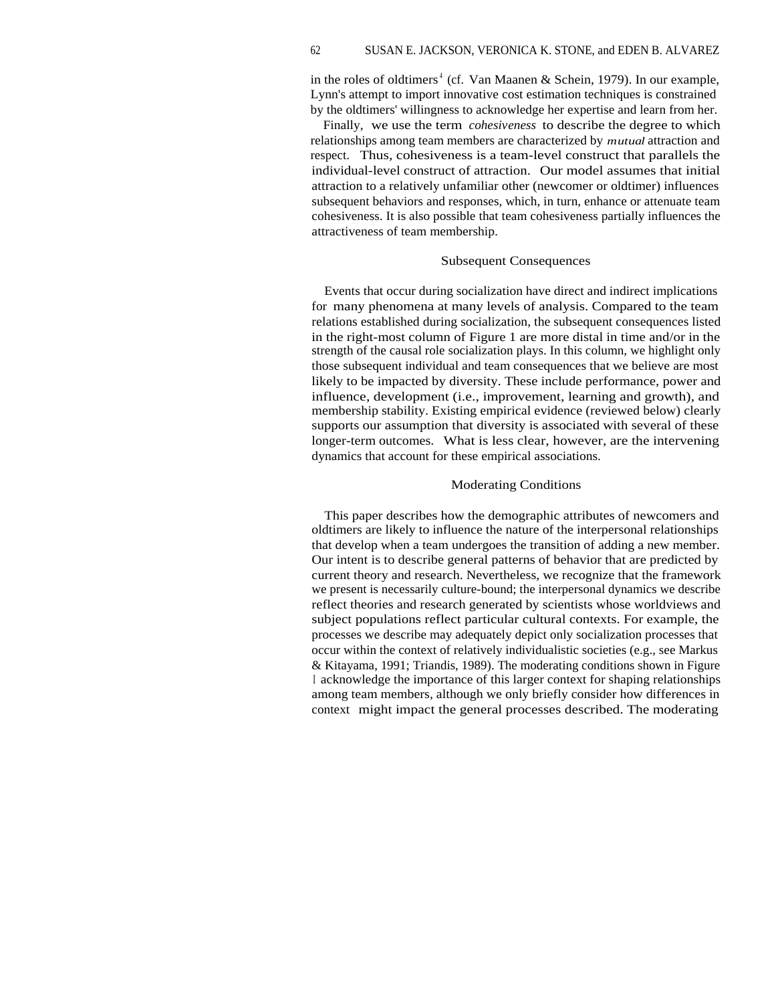in the roles of oldtimers<sup>4</sup> (cf. Van Maanen & Schein, 1979). In our example, Lynn's attempt to import innovative cost estimation techniques is constrained by the oldtimers' willingness to acknowledge her expertise and learn from her.

Finally, we use the term *cohesiveness* to describe the degree to which relationships among team members are characterized by *mutual* attraction and respect. Thus, cohesiveness is a team-level construct that parallels the individual-level construct of attraction. Our model assumes that initial attraction to a relatively unfamiliar other (newcomer or oldtimer) influences subsequent behaviors and responses, which, in turn, enhance or attenuate team cohesiveness. It is also possible that team cohesiveness partially influences the attractiveness of team membership.

#### Subsequent Consequences

Events that occur during socialization have direct and indirect implications for many phenomena at many levels of analysis. Compared to the team relations established during socialization, the subsequent consequences listed in the right-most column of Figure 1 are more distal in time and/or in the strength of the causal role socialization plays. In this column, we highlight only those subsequent individual and team consequences that we believe are most likely to be impacted by diversity. These include performance, power and influence, development (i.e., improvement, learning and growth), and membership stability. Existing empirical evidence (reviewed below) clearly supports our assumption that diversity is associated with several of these longer-term outcomes. What is less clear, however, are the intervening dynamics that account for these empirical associations.

#### Moderating Conditions

This paper describes how the demographic attributes of newcomers and oldtimers are likely to influence the nature of the interpersonal relationships that develop when a team undergoes the transition of adding a new member. Our intent is to describe general patterns of behavior that are predicted by current theory and research. Nevertheless, we recognize that the framework we present is necessarily culture-bound; the interpersonal dynamics we describe reflect theories and research generated by scientists whose worldviews and subject populations reflect particular cultural contexts. For example, the processes we describe may adequately depict only socialization processes that occur within the context of relatively individualistic societies (e.g., see Markus & Kitayama, 1991; Triandis, 1989). The moderating conditions shown in Figure <sup>I</sup> acknowledge the importance of this larger context for shaping relationships among team members, although we only briefly consider how differences in context might impact the general processes described. The moderating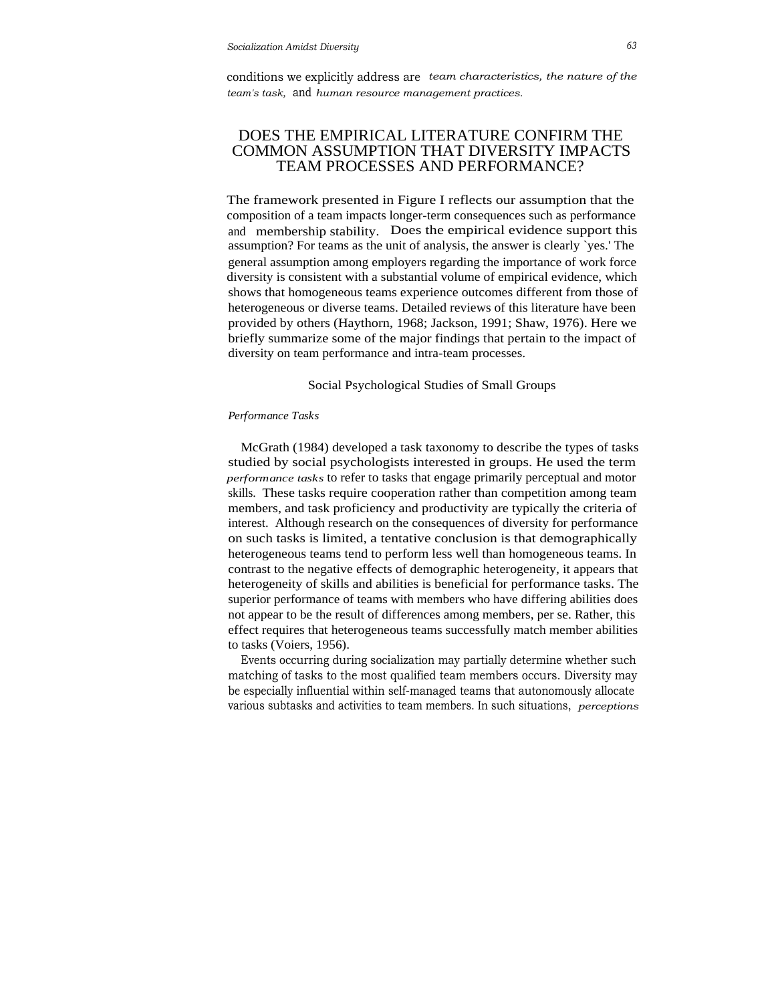conditions we explicitly address are *team characteristics, the nature of the team's task,* and *human resource management practices.*

# DOES THE EMPIRICAL LITERATURE CONFIRM THE COMMON ASSUMPTION THAT DIVERSITY IMPACTS TEAM PROCESSES AND PERFORMANCE?

The framework presented in Figure I reflects our assumption that the composition of a team impacts longer-term consequences such as performance and membership stability. Does the empirical evidence support this assumption? For teams as the unit of analysis, the answer is clearly `yes.' The general assumption among employers regarding the importance of work force diversity is consistent with a substantial volume of empirical evidence, which shows that homogeneous teams experience outcomes different from those of heterogeneous or diverse teams. Detailed reviews of this literature have been provided by others (Haythorn, 1968; Jackson, 1991; Shaw, 1976). Here we briefly summarize some of the major findings that pertain to the impact of diversity on team performance and intra-team processes.

#### Social Psychological Studies of Small Groups

#### *Performance Tasks*

McGrath (1984) developed a task taxonomy to describe the types of tasks studied by social psychologists interested in groups. He used the term *performance tasks* to refer to tasks that engage primarily perceptual and motor skills. These tasks require cooperation rather than competition among team members, and task proficiency and productivity are typically the criteria of interest. Although research on the consequences of diversity for performance on such tasks is limited, a tentative conclusion is that demographically heterogeneous teams tend to perform less well than homogeneous teams. In contrast to the negative effects of demographic heterogeneity, it appears that heterogeneity of skills and abilities is beneficial for performance tasks. The superior performance of teams with members who have differing abilities does not appear to be the result of differences among members, per se. Rather, this effect requires that heterogeneous teams successfully match member abilities to tasks (Voiers, 1956).

Events occurring during socialization may partially determine whether such matching of tasks to the most qualified team members occurs. Diversity may be especially influential within self-managed teams that autonomously allocate various subtasks and activities to team members. In such situations, *perceptions*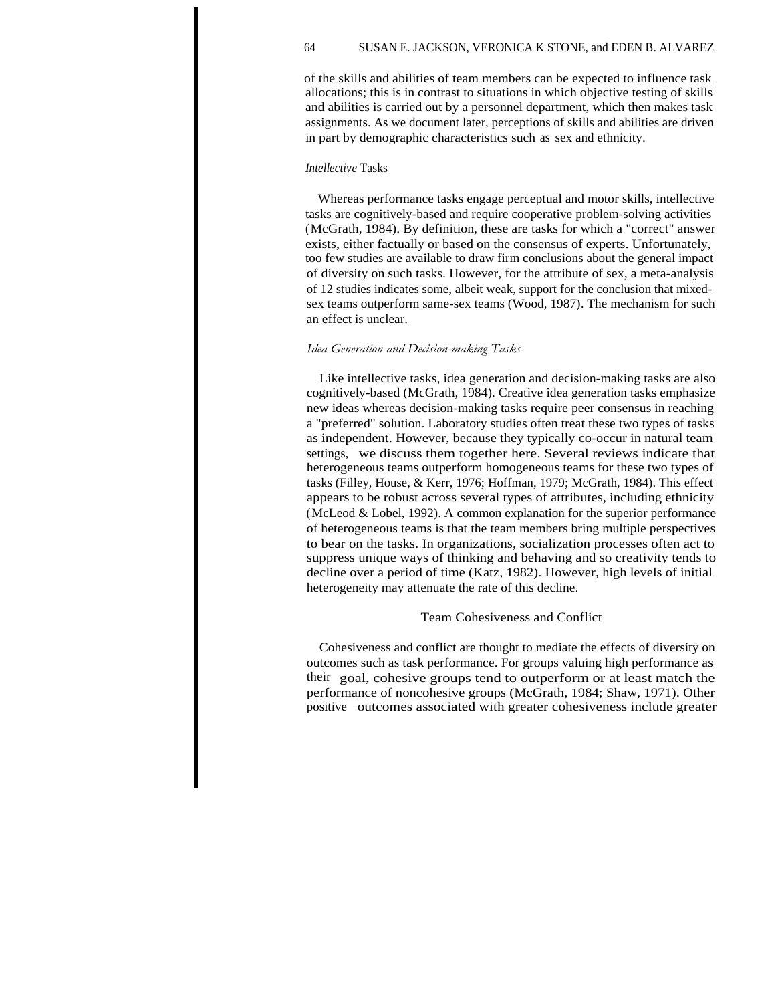of the skills and abilities of team members can be expected to influence task allocations; this is in contrast to situations in which objective testing of skills and abilities is carried out by a personnel department, which then makes task assignments. As we document later, perceptions of skills and abilities are driven in part by demographic characteristics such as sex and ethnicity.

## *Intellective* Tasks

Whereas performance tasks engage perceptual and motor skills, intellective tasks are cognitively-based and require cooperative problem-solving activities (McGrath, 1984). By definition, these are tasks for which a "correct" answer exists, either factually or based on the consensus of experts. Unfortunately, too few studies are available to draw firm conclusions about the general impact of diversity on such tasks. However, for the attribute of sex, a meta-analysis of 12 studies indicates some, albeit weak, support for the conclusion that mixedsex teams outperform same-sex teams (Wood, 1987). The mechanism for such an effect is unclear.

## *Idea Generation and Decision-making Tasks*

Like intellective tasks, idea generation and decision-making tasks are also cognitively-based (McGrath, 1984). Creative idea generation tasks emphasize new ideas whereas decision-making tasks require peer consensus in reaching a "preferred" solution. Laboratory studies often treat these two types of tasks as independent. However, because they typically co-occur in natural team settings, we discuss them together here. Several reviews indicate that heterogeneous teams outperform homogeneous teams for these two types of tasks (Filley, House, & Kerr, 1976; Hoffman, 1979; McGrath, 1984). This effect appears to be robust across several types of attributes, including ethnicity (McLeod & Lobel, 1992). A common explanation for the superior performance of heterogeneous teams is that the team members bring multiple perspectives to bear on the tasks. In organizations, socialization processes often act to suppress unique ways of thinking and behaving and so creativity tends to decline over a period of time (Katz, 1982). However, high levels of initial heterogeneity may attenuate the rate of this decline.

## Team Cohesiveness and Conflict

Cohesiveness and conflict are thought to mediate the effects of diversity on outcomes such as task performance. For groups valuing high performance as their goal, cohesive groups tend to outperform or at least match the performance of noncohesive groups (McGrath, 1984; Shaw, 1971). Other positive outcomes associated with greater cohesiveness include greater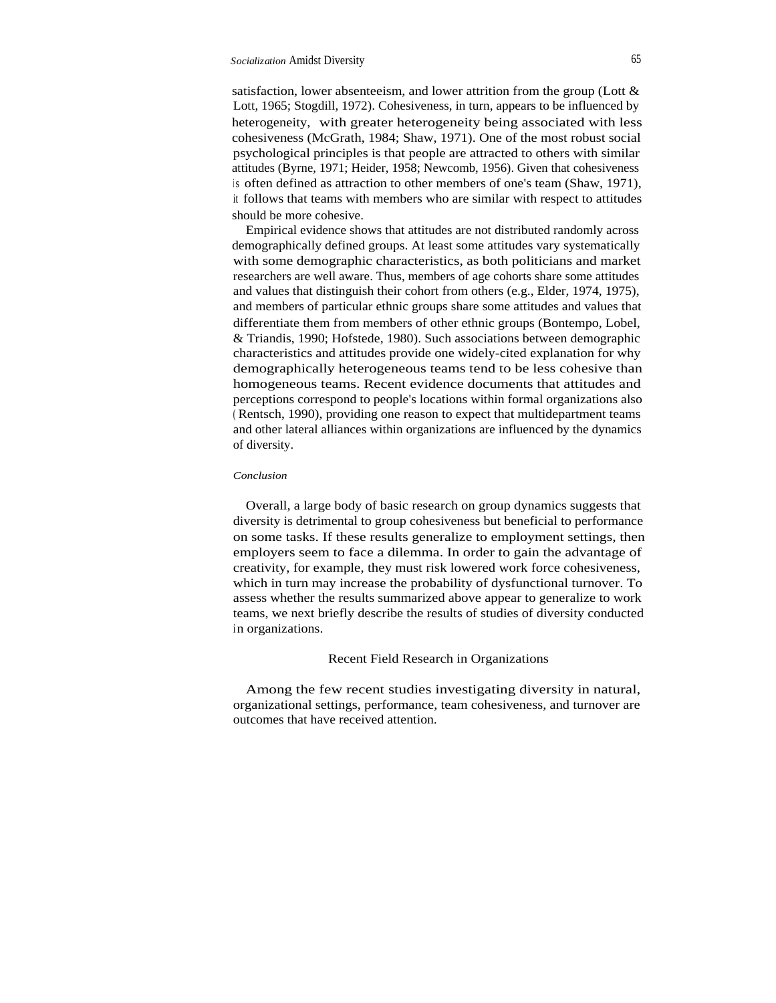satisfaction, lower absenteeism, and lower attrition from the group (Lott & Lott, 1965; Stogdill, 1972). Cohesiveness, in turn, appears to be influenced by heterogeneity, with greater heterogeneity being associated with less cohesiveness (McGrath, 1984; Shaw, 1971). One of the most robust social psychological principles is that people are attracted to others with similar attitudes (Byrne, 1971; Heider, 1958; Newcomb, 1956). Given that cohesiveness is often defined as attraction to other members of one's team (Shaw, 1971), it follows that teams with members who are similar with respect to attitudes should be more cohesive.

Empirical evidence shows that attitudes are not distributed randomly across demographically defined groups. At least some attitudes vary systematically with some demographic characteristics, as both politicians and market researchers are well aware. Thus, members of age cohorts share some attitudes and values that distinguish their cohort from others (e.g., Elder, 1974, 1975), and members of particular ethnic groups share some attitudes and values that differentiate them from members of other ethnic groups (Bontempo, Lobel, & Triandis, 1990; Hofstede, 1980). Such associations between demographic characteristics and attitudes provide one widely-cited explanation for why demographically heterogeneous teams tend to be less cohesive than homogeneous teams. Recent evidence documents that attitudes and perceptions correspond to people's locations within formal organizations also ( Rentsch, 1990), providing one reason to expect that multidepartment teams and other lateral alliances within organizations are influenced by the dynamics of diversity.

## *Conclusion*

Overall, a large body of basic research on group dynamics suggests that diversity is detrimental to group cohesiveness but beneficial to performance on some tasks. If these results generalize to employment settings, then employers seem to face a dilemma. In order to gain the advantage of creativity, for example, they must risk lowered work force cohesiveness, which in turn may increase the probability of dysfunctional turnover. To assess whether the results summarized above appear to generalize to work teams, we next briefly describe the results of studies of diversity conducted in organizations.

## Recent Field Research in Organizations

Among the few recent studies investigating diversity in natural, organizational settings, performance, team cohesiveness, and turnover are outcomes that have received attention.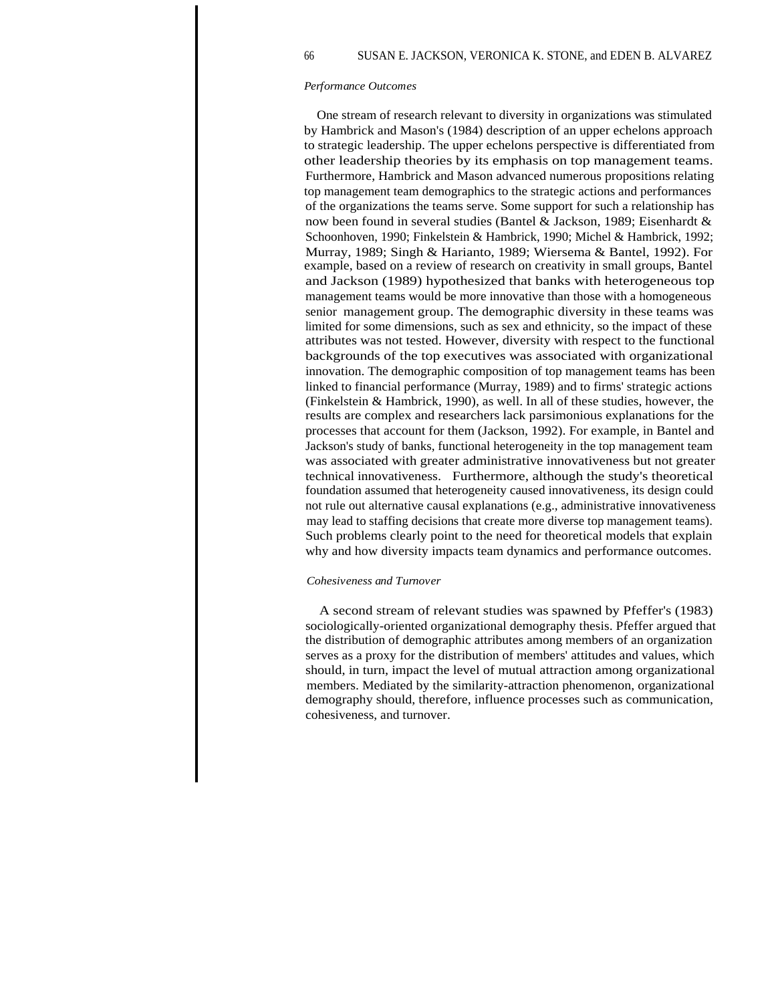66 SUSAN E. JACKSON, VERONICA K. STONE, and EDEN B. ALVAREZ

#### *Performance Outcomes*

One stream of research relevant to diversity in organizations was stimulated by Hambrick and Mason's (1984) description of an upper echelons approach to strategic leadership. The upper echelons perspective is differentiated from other leadership theories by its emphasis on top management teams. Furthermore, Hambrick and Mason advanced numerous propositions relating top management team demographics to the strategic actions and performances of the organizations the teams serve. Some support for such a relationship has now been found in several studies (Bantel & Jackson, 1989; Eisenhardt & Schoonhoven, 1990; Finkelstein & Hambrick, 1990; Michel & Hambrick, 1992; Murray, 1989; Singh & Harianto, 1989; Wiersema & Bantel, 1992). For example, based on a review of research on creativity in small groups, Bantel and Jackson (1989) hypothesized that banks with heterogeneous top management teams would be more innovative than those with a homogeneous senior management group. The demographic diversity in these teams was limited for some dimensions, such as sex and ethnicity, so the impact of these attributes was not tested. However, diversity with respect to the functional backgrounds of the top executives was associated with organizational innovation. The demographic composition of top management teams has been linked to financial performance (Murray, 1989) and to firms' strategic actions (Finkelstein & Hambrick, 1990), as well. In all of these studies, however, the results are complex and researchers lack parsimonious explanations for the processes that account for them (Jackson, 1992). For example, in Bantel and Jackson's study of banks, functional heterogeneity in the top management team was associated with greater administrative innovativeness but not greater technical innovativeness. Furthermore, although the study's theoretical foundation assumed that heterogeneity caused innovativeness, its design could not rule out alternative causal explanations (e.g., administrative innovativeness may lead to staffing decisions that create more diverse top management teams). Such problems clearly point to the need for theoretical models that explain why and how diversity impacts team dynamics and performance outcomes.

#### *Cohesiveness and Turnover*

A second stream of relevant studies was spawned by Pfeffer's (1983) sociologically-oriented organizational demography thesis. Pfeffer argued that the distribution of demographic attributes among members of an organization serves as a proxy for the distribution of members' attitudes and values, which should, in turn, impact the level of mutual attraction among organizational members. Mediated by the similarity-attraction phenomenon, organizational demography should, therefore, influence processes such as communication, cohesiveness, and turnover.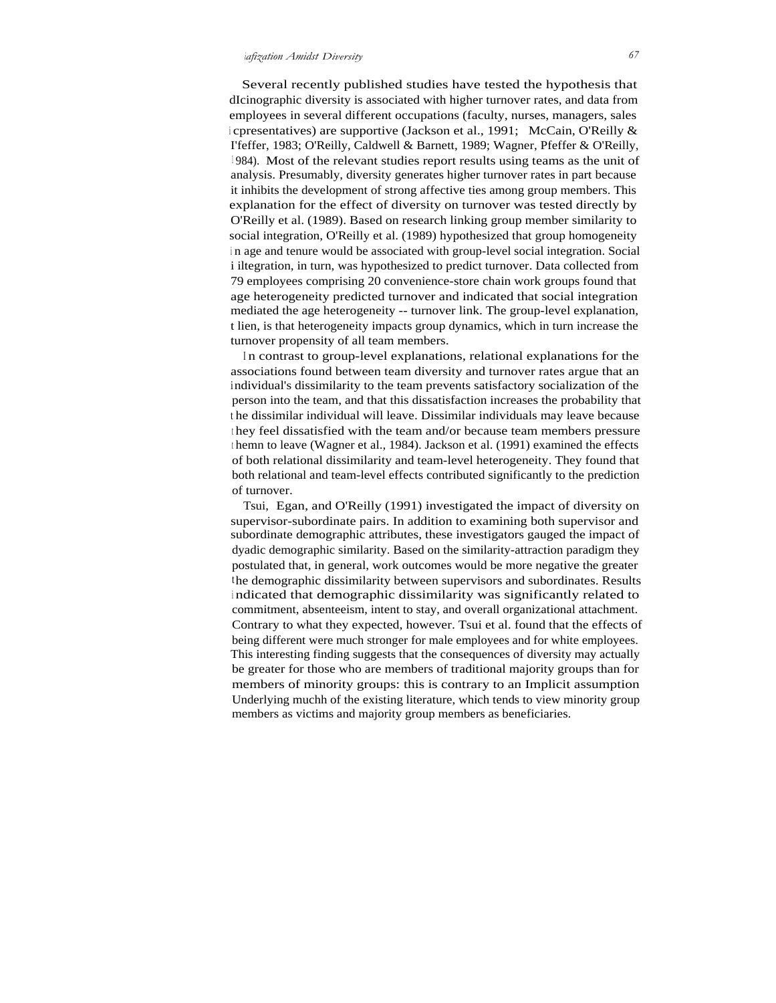Several recently published studies have tested the hypothesis that dIcinographic diversity is associated with higher turnover rates, and data from employees in several different occupations (faculty, nurses, managers, sales <sup>i</sup> cpresentatives) are supportive (Jackson et al., 1991; McCain, O'Reilly & I'feffer, 1983; O'Reilly, Caldwell & Barnett, 1989; Wagner, Pfeffer & O'Reilly, <sup>1</sup> 984). Most of the relevant studies report results using teams as the unit of analysis. Presumably, diversity generates higher turnover rates in part because it inhibits the development of strong affective ties among group members. This explanation for the effect of diversity on turnover was tested directly by O'Reilly et al. (1989). Based on research linking group member similarity to social integration, O'Reilly et al. (1989) hypothesized that group homogeneity <sup>i</sup> n age and tenure would be associated with group-level social integration. Social i iltegration, in turn, was hypothesized to predict turnover. Data collected from 79 employees comprising 20 convenience-store chain work groups found that age heterogeneity predicted turnover and indicated that social integration mediated the age heterogeneity -- turnover link. The group-level explanation, t lien, is that heterogeneity impacts group dynamics, which in turn increase the turnover propensity of all team members.

<sup>I</sup> n contrast to group-level explanations, relational explanations for the associations found between team diversity and turnover rates argue that an individual's dissimilarity to the team prevents satisfactory socialization of the person into the team, and that this dissatisfaction increases the probability that <sup>t</sup> he dissimilar individual will leave. Dissimilar individuals may leave because <sup>t</sup> hey feel dissatisfied with the team and/or because team members pressure <sup>t</sup> hemn to leave (Wagner et al., 1984). Jackson et al. (1991) examined the effects of both relational dissimilarity and team-level heterogeneity. They found that both relational and team-level effects contributed significantly to the prediction of turnover.

Tsui, Egan, and O'Reilly (1991) investigated the impact of diversity on supervisor-subordinate pairs. In addition to examining both supervisor and subordinate demographic attributes, these investigators gauged the impact of dyadic demographic similarity. Based on the similarity-attraction paradigm they postulated that, in general, work outcomes would be more negative the greater the demographic dissimilarity between supervisors and subordinates. Results <sup>i</sup> ndicated that demographic dissimilarity was significantly related to commitment, absenteeism, intent to stay, and overall organizational attachment. Contrary to what they expected, however. Tsui et al. found that the effects of being different were much stronger for male employees and for white employees. This interesting finding suggests that the consequences of diversity may actually be greater for those who are members of traditional majority groups than for members of minority groups: this is contrary to an Implicit assumption Underlying muchh of the existing literature, which tends to view minority group members as victims and majority group members as beneficiaries.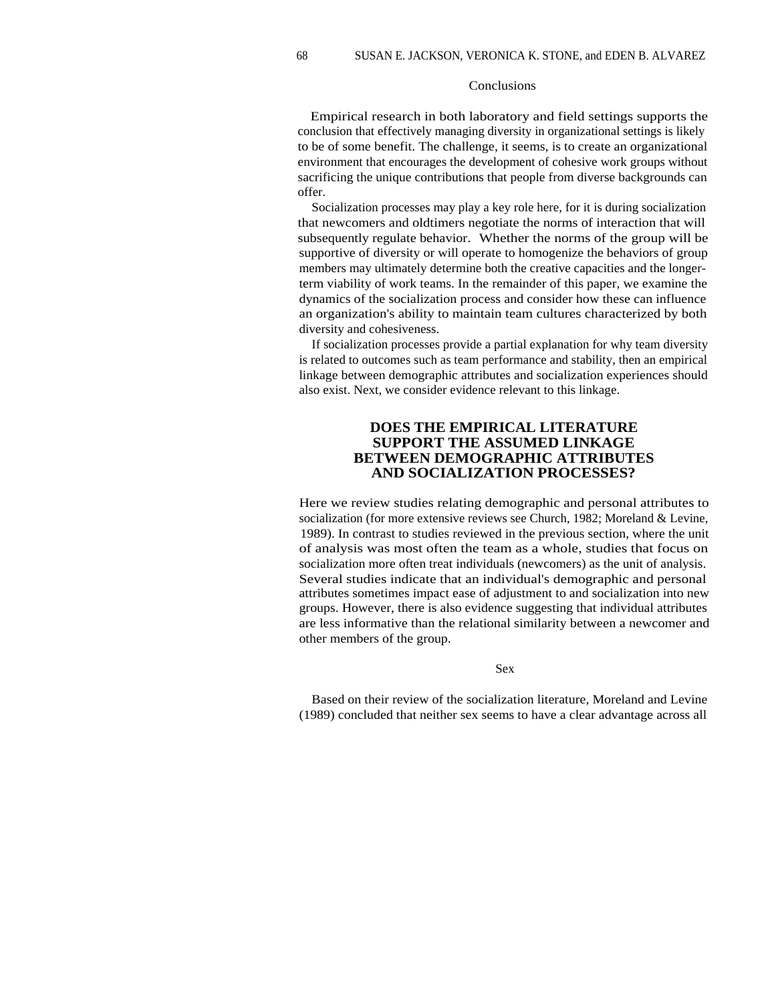#### Conclusions

Empirical research in both laboratory and field settings supports the conclusion that effectively managing diversity in organizational settings is likely to be of some benefit. The challenge, it seems, is to create an organizational environment that encourages the development of cohesive work groups without sacrificing the unique contributions that people from diverse backgrounds can offer.

Socialization processes may play a key role here, for it is during socialization that newcomers and oldtimers negotiate the norms of interaction that will subsequently regulate behavior. Whether the norms of the group will be supportive of diversity or will operate to homogenize the behaviors of group members may ultimately determine both the creative capacities and the longerterm viability of work teams. In the remainder of this paper, we examine the dynamics of the socialization process and consider how these can influence an organization's ability to maintain team cultures characterized by both diversity and cohesiveness.

If socialization processes provide a partial explanation for why team diversity is related to outcomes such as team performance and stability, then an empirical linkage between demographic attributes and socialization experiences should also exist. Next, we consider evidence relevant to this linkage.

# **DOES THE EMPIRICAL LITERATURE SUPPORT THE ASSUMED LINKAGE BETWEEN DEMOGRAPHIC ATTRIBUTES AND SOCIALIZATION PROCESSES?**

Here we review studies relating demographic and personal attributes to socialization (for more extensive reviews see Church, 1982; Moreland & Levine, 1989). In contrast to studies reviewed in the previous section, where the unit of analysis was most often the team as a whole, studies that focus on socialization more often treat individuals (newcomers) as the unit of analysis. Several studies indicate that an individual's demographic and personal attributes sometimes impact ease of adjustment to and socialization into new groups. However, there is also evidence suggesting that individual attributes are less informative than the relational similarity between a newcomer and other members of the group.

Sex

Based on their review of the socialization literature, Moreland and Levine (1989) concluded that neither sex seems to have a clear advantage across all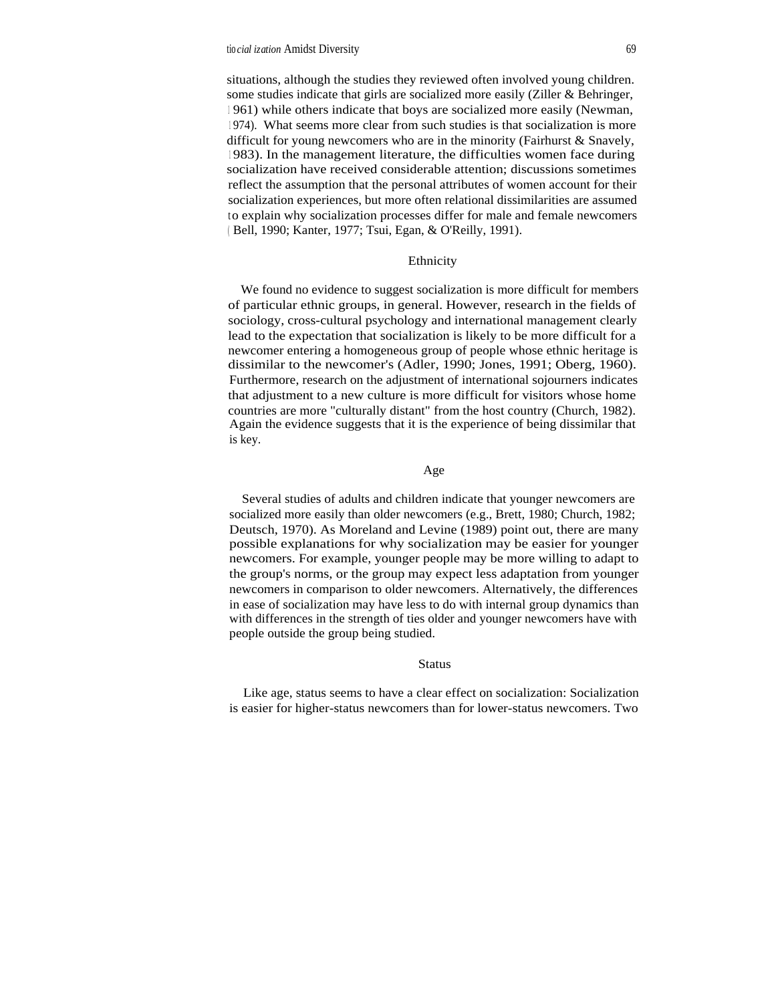situations, although the studies they reviewed often involved young children. some studies indicate that girls are socialized more easily (Ziller & Behringer, <sup>1</sup> 961) while others indicate that boys are socialized more easily (Newman, <sup>1</sup> 974). What seems more clear from such studies is that socialization is more difficult for young new comers who are in the minority (Fairhurst  $\&$  Snavely, <sup>1</sup> 983). In the management literature, the difficulties women face during socialization have received considerable attention; discussions sometimes reflect the assumption that the personal attributes of women account for their socialization experiences, but more often relational dissimilarities are assumed to explain why socialization processes differ for male and female newcomers ( Bell, 1990; Kanter, 1977; Tsui, Egan, & O'Reilly, 1991).

#### Ethnicity

We found no evidence to suggest socialization is more difficult for members of particular ethnic groups, in general. However, research in the fields of sociology, cross-cultural psychology and international management clearly lead to the expectation that socialization is likely to be more difficult for a newcomer entering a homogeneous group of people whose ethnic heritage is dissimilar to the newcomer's (Adler, 1990; Jones, 1991; Oberg, 1960). Furthermore, research on the adjustment of international sojourners indicates that adjustment to a new culture is more difficult for visitors whose home countries are more "culturally distant" from the host country (Church, 1982). Again the evidence suggests that it is the experience of being dissimilar that is key.

## Age

Several studies of adults and children indicate that younger newcomers are socialized more easily than older newcomers (e.g., Brett, 1980; Church, 1982; Deutsch, 1970). As Moreland and Levine (1989) point out, there are many possible explanations for why socialization may be easier for younger newcomers. For example, younger people may be more willing to adapt to the group's norms, or the group may expect less adaptation from younger newcomers in comparison to older newcomers. Alternatively, the differences in ease of socialization may have less to do with internal group dynamics than with differences in the strength of ties older and younger newcomers have with people outside the group being studied.

#### Status

Like age, status seems to have a clear effect on socialization: Socialization is easier for higher-status newcomers than for lower-status newcomers. Two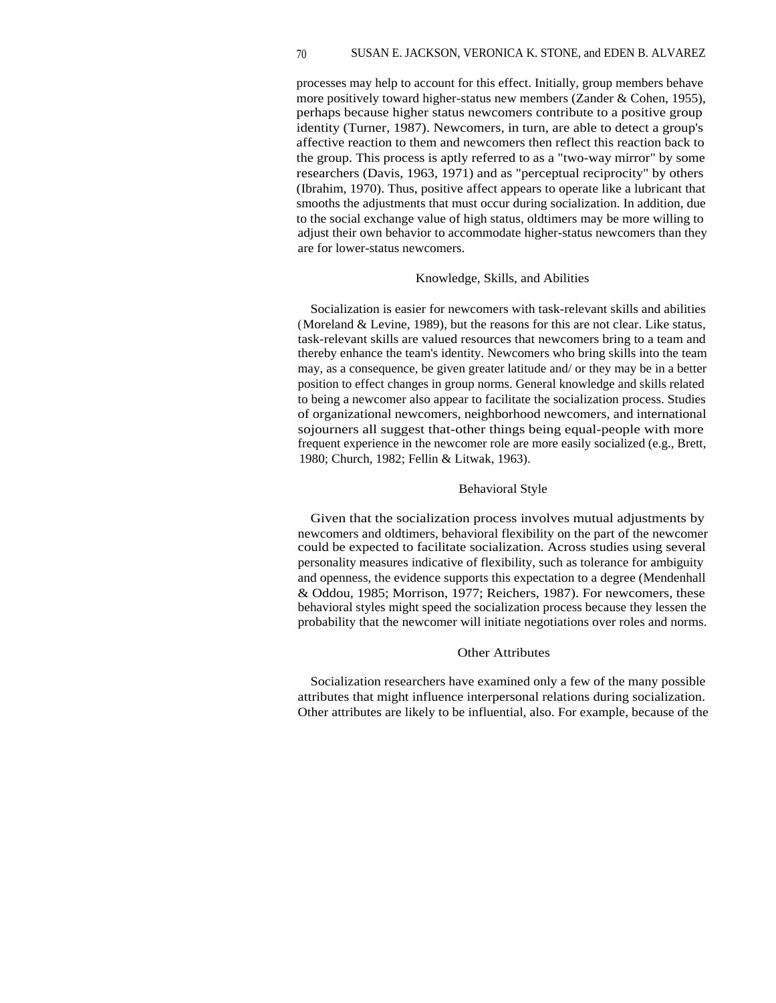processes may help to account for this effect. Initially, group members behave more positively toward higher-status new members (Zander & Cohen, 1955), perhaps because higher status newcomers contribute to a positive group identity (Turner, 1987). Newcomers, in turn, are able to detect a group's affective reaction to them and newcomers then reflect this reaction back to the group. This process is aptly referred to as a "two-way mirror" by some researchers (Davis, 1963, 1971) and as "perceptual reciprocity" by others (Ibrahim, 1970). Thus, positive affect appears to operate like a lubricant that smooths the adjustments that must occur during socialization. In addition, due to the social exchange value of high status, oldtimers may be more willing to adjust their own behavior to accommodate higher-status newcomers than they are for lower-status newcomers.

#### Knowledge, Skills, and Abilities

Socialization is easier for newcomers with task-relevant skills and abilities (Moreland & Levine, 1989), but the reasons for this are not clear. Like status, task-relevant skills are valued resources that newcomers bring to a team and thereby enhance the team's identity. Newcomers who bring skills into the team may, as a consequence, be given greater latitude and/ or they may be in a better position to effect changes in group norms. General knowledge and skills related to being a newcomer also appear to facilitate the socialization process. Studies of organizational newcomers, neighborhood newcomers, and international sojourners all suggest that-other things being equal-people with more frequent experience in the newcomer role are more easily socialized (e.g., Brett, 1980; Church, 1982; Fellin & Litwak, 1963).

## Behavioral Style

Given that the socialization process involves mutual adjustments by newcomers and oldtimers, behavioral flexibility on the part of the newcomer could be expected to facilitate socialization. Across studies using several personality measures indicative of flexibility, such as tolerance for ambiguity and openness, the evidence supports this expectation to a degree (Mendenhall & Oddou, 1985; Morrison, 1977; Reichers, 1987). For newcomers, these behavioral styles might speed the socialization process because they lessen the probability that the newcomer will initiate negotiations over roles and norms.

## Other Attributes

Socialization researchers have examined only a few of the many possible attributes that might influence interpersonal relations during socialization. Other attributes are likely to be influential, also. For example, because of the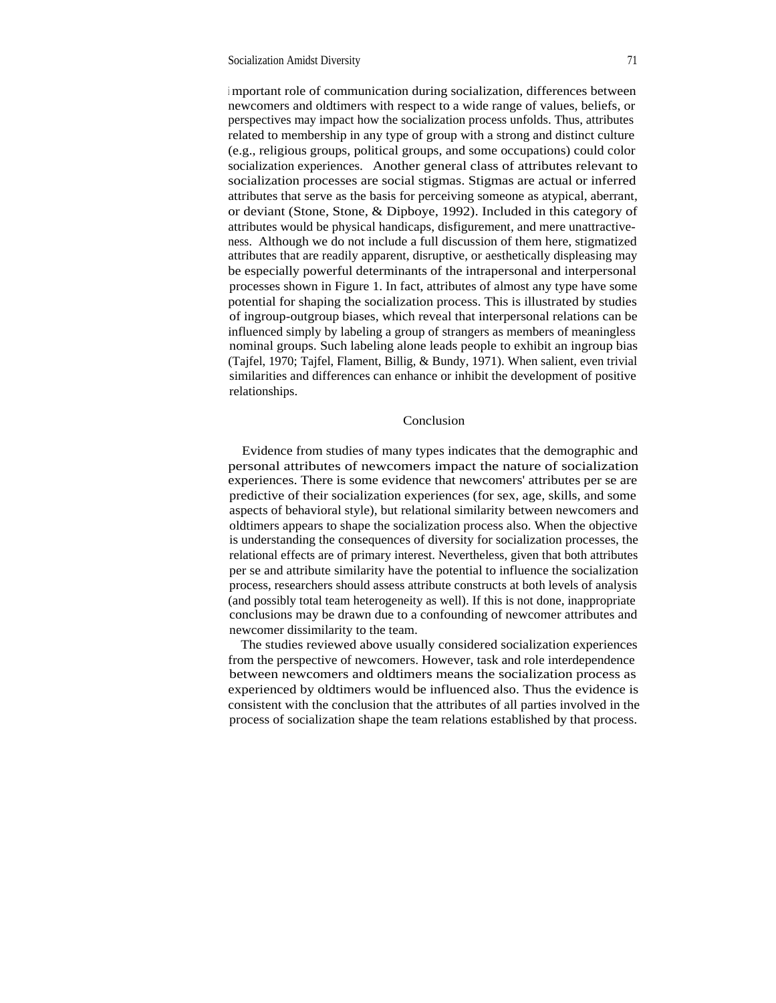<sup>i</sup> mportant role of communication during socialization, differences between newcomers and oldtimers with respect to a wide range of values, beliefs, or perspectives may impact how the socialization process unfolds. Thus, attributes related to membership in any type of group with a strong and distinct culture (e.g., religious groups, political groups, and some occupations) could color socialization experiences. Another general class of attributes relevant to socialization processes are social stigmas. Stigmas are actual or inferred attributes that serve as the basis for perceiving someone as atypical, aberrant, or deviant (Stone, Stone, & Dipboye, 1992). Included in this category of attributes would be physical handicaps, disfigurement, and mere unattractiveness. Although we do not include a full discussion of them here, stigmatized attributes that are readily apparent, disruptive, or aesthetically displeasing may be especially powerful determinants of the intrapersonal and interpersonal processes shown in Figure 1. In fact, attributes of almost any type have some potential for shaping the socialization process. This is illustrated by studies of ingroup-outgroup biases, which reveal that interpersonal relations can be influenced simply by labeling a group of strangers as members of meaningless nominal groups. Such labeling alone leads people to exhibit an ingroup bias (Tajfel, 1970; Tajfel, Flament, Billig, & Bundy, 1971). When salient, even trivial similarities and differences can enhance or inhibit the development of positive relationships.

## Conclusion

Evidence from studies of many types indicates that the demographic and personal attributes of newcomers impact the nature of socialization experiences. There is some evidence that newcomers' attributes per se are predictive of their socialization experiences (for sex, age, skills, and some aspects of behavioral style), but relational similarity between newcomers and oldtimers appears to shape the socialization process also. When the objective is understanding the consequences of diversity for socialization processes, the relational effects are of primary interest. Nevertheless, given that both attributes per se and attribute similarity have the potential to influence the socialization process, researchers should assess attribute constructs at both levels of analysis (and possibly total team heterogeneity as well). If this is not done, inappropriate conclusions may be drawn due to a confounding of newcomer attributes and newcomer dissimilarity to the team.

The studies reviewed above usually considered socialization experiences from the perspective of newcomers. However, task and role interdependence between newcomers and oldtimers means the socialization process as experienced by oldtimers would be influenced also. Thus the evidence is consistent with the conclusion that the attributes of all parties involved in the process of socialization shape the team relations established by that process.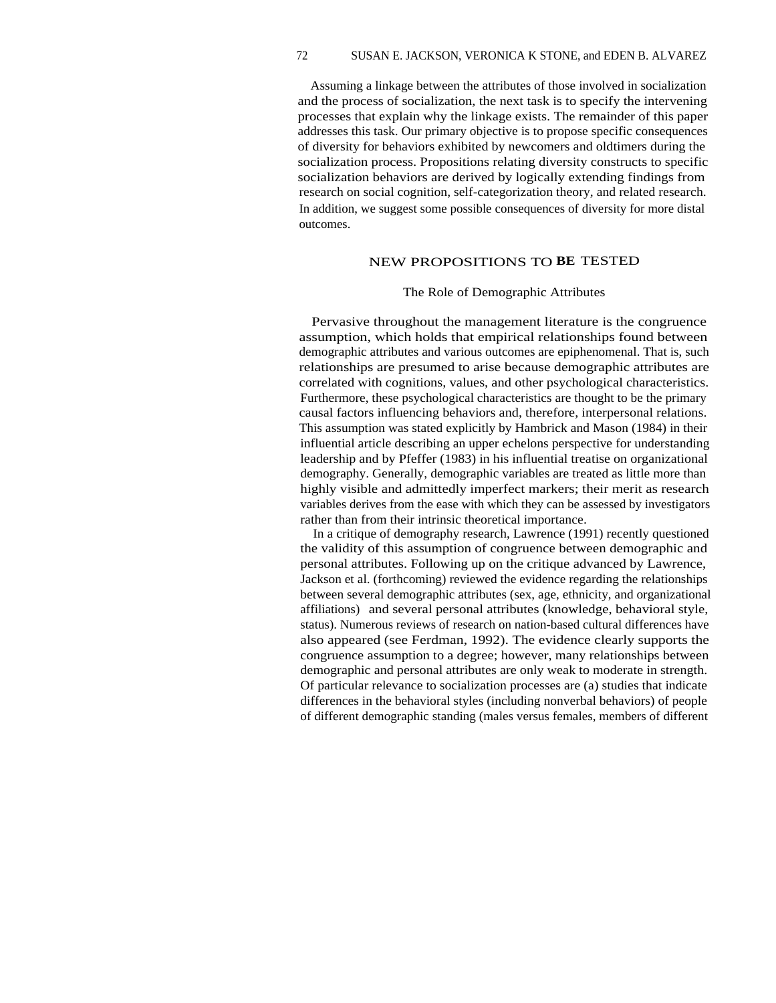## 72 SUSAN E. JACKSON, VERONICA K STONE, and EDEN B. ALVAREZ

Assuming a linkage between the attributes of those involved in socialization and the process of socialization, the next task is to specify the intervening processes that explain why the linkage exists. The remainder of this paper addresses this task. Our primary objective is to propose specific consequences of diversity for behaviors exhibited by newcomers and oldtimers during the socialization process. Propositions relating diversity constructs to specific socialization behaviors are derived by logically extending findings from research on social cognition, self-categorization theory, and related research. In addition, we suggest some possible consequences of diversity for more distal outcomes.

# NEW PROPOSITIONS TO **BE** TESTED

#### The Role of Demographic Attributes

Pervasive throughout the management literature is the congruence assumption, which holds that empirical relationships found between demographic attributes and various outcomes are epiphenomenal. That is, such relationships are presumed to arise because demographic attributes are correlated with cognitions, values, and other psychological characteristics. Furthermore, these psychological characteristics are thought to be the primary causal factors influencing behaviors and, therefore, interpersonal relations. This assumption was stated explicitly by Hambrick and Mason (1984) in their influential article describing an upper echelons perspective for understanding leadership and by Pfeffer (1983) in his influential treatise on organizational demography. Generally, demographic variables are treated as little more than highly visible and admittedly imperfect markers; their merit as research variables derives from the ease with which they can be assessed by investigators rather than from their intrinsic theoretical importance.

In a critique of demography research, Lawrence (1991) recently questioned the validity of this assumption of congruence between demographic and personal attributes. Following up on the critique advanced by Lawrence, Jackson et al. (forthcoming) reviewed the evidence regarding the relationships between several demographic attributes (sex, age, ethnicity, and organizational affiliations) and several personal attributes (knowledge, behavioral style, status). Numerous reviews of research on nation-based cultural differences have also appeared (see Ferdman, 1992). The evidence clearly supports the congruence assumption to a degree; however, many relationships between demographic and personal attributes are only weak to moderate in strength. Of particular relevance to socialization processes are (a) studies that indicate differences in the behavioral styles (including nonverbal behaviors) of people of different demographic standing (males versus females, members of different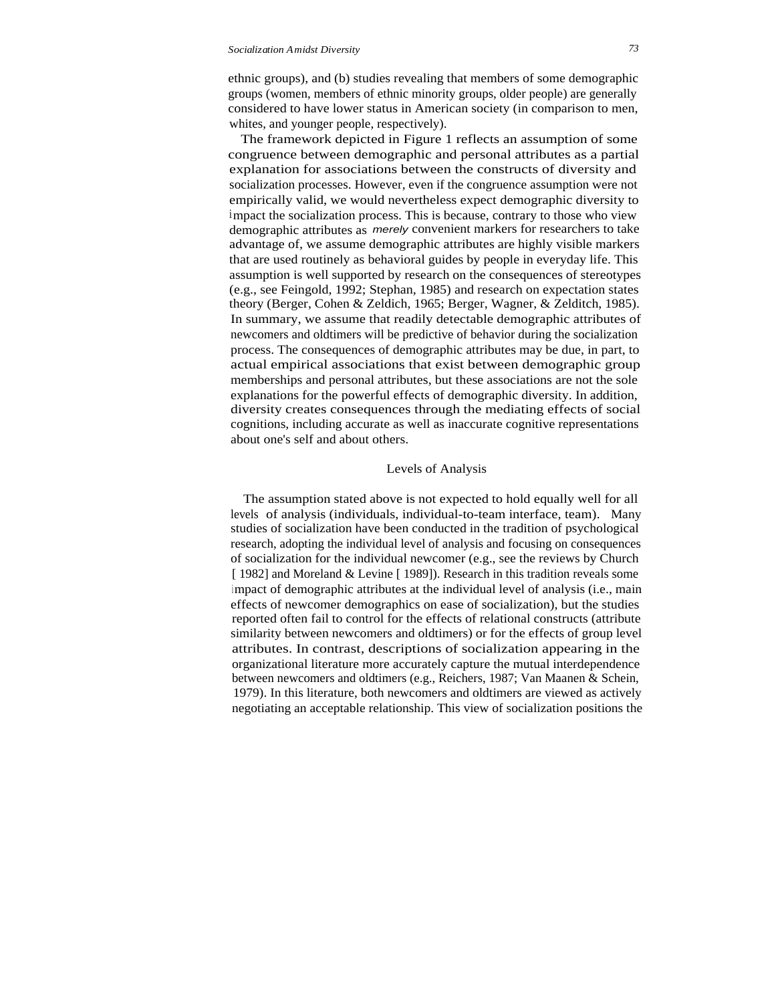#### *Socialization Amidst Diversity 73*

ethnic groups), and (b) studies revealing that members of some demographic groups (women, members of ethnic minority groups, older people) are generally considered to have lower status in American society (in comparison to men, whites, and younger people, respectively).

The framework depicted in Figure 1 reflects an assumption of some congruence between demographic and personal attributes as a partial explanation for associations between the constructs of diversity and socialization processes. However, even if the congruence assumption were not empirically valid, we would nevertheless expect demographic diversity to impact the socialization process. This is because, contrary to those who view demographic attributes as merely convenient markers for researchers to take advantage of, we assume demographic attributes are highly visible markers that are used routinely as behavioral guides by people in everyday life. This assumption is well supported by research on the consequences of stereotypes (e.g., see Feingold, 1992; Stephan, 1985) and research on expectation states theory (Berger, Cohen & Zeldich, 1965; Berger, Wagner, & Zelditch, 1985). In summary, we assume that readily detectable demographic attributes of newcomers and oldtimers will be predictive of behavior during the socialization process. The consequences of demographic attributes may be due, in part, to actual empirical associations that exist between demographic group memberships and personal attributes, but these associations are not the sole explanations for the powerful effects of demographic diversity. In addition, diversity creates consequences through the mediating effects of social cognitions, including accurate as well as inaccurate cognitive representations about one's self and about others.

## Levels of Analysis

The assumption stated above is not expected to hold equally well for all levels of analysis (individuals, individual-to-team interface, team). Many studies of socialization have been conducted in the tradition of psychological research, adopting the individual level of analysis and focusing on consequences of socialization for the individual newcomer (e.g., see the reviews by Church [ 1982] and Moreland & Levine [ 1989]). Research in this tradition reveals some impact of demographic attributes at the individual level of analysis (i.e., main effects of newcomer demographics on ease of socialization), but the studies reported often fail to control for the effects of relational constructs (attribute similarity between newcomers and oldtimers) or for the effects of group level attributes. In contrast, descriptions of socialization appearing in the organizational literature more accurately capture the mutual interdependence between newcomers and oldtimers (e.g., Reichers, 1987; Van Maanen & Schein, 1979). In this literature, both newcomers and oldtimers are viewed as actively negotiating an acceptable relationship. This view of socialization positions the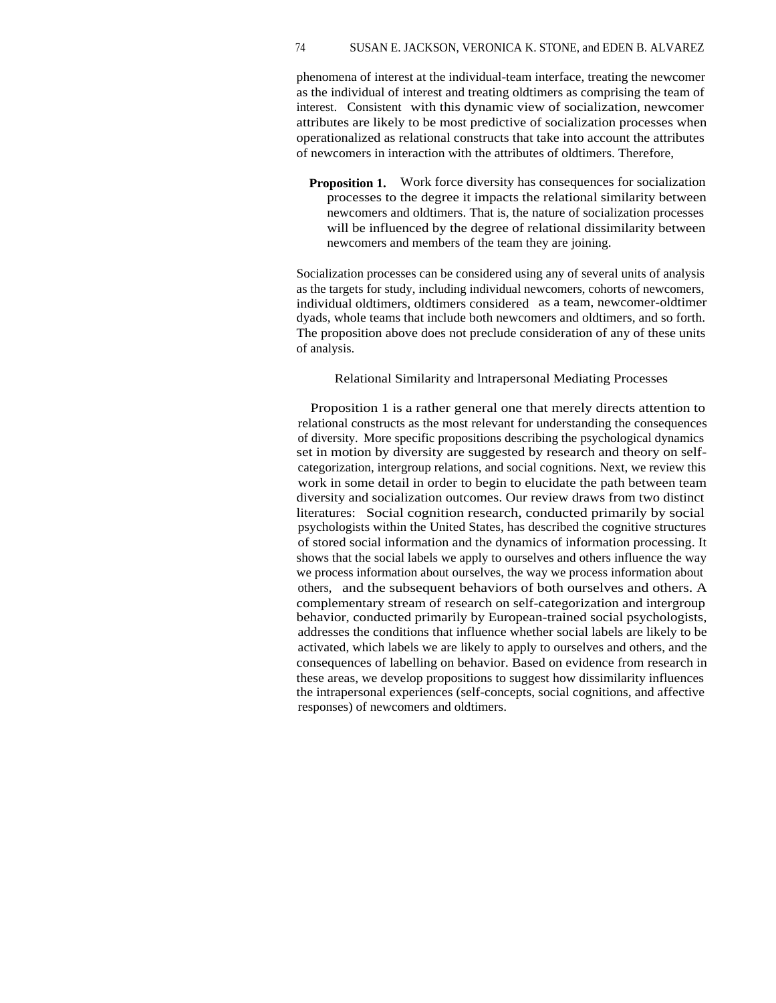## 74 SUSAN E. JACKSON, VERONICA K. STONE, and EDEN B. ALVAREZ

phenomena of interest at the individual-team interface, treating the newcomer as the individual of interest and treating oldtimers as comprising the team of interest. Consistent with this dynamic view of socialization, newcomer attributes are likely to be most predictive of socialization processes when operationalized as relational constructs that take into account the attributes of newcomers in interaction with the attributes of oldtimers. Therefore,

**Proposition 1.** Work force diversity has consequences for socialization processes to the degree it impacts the relational similarity between newcomers and oldtimers. That is, the nature of socialization processes will be influenced by the degree of relational dissimilarity between newcomers and members of the team they are joining.

Socialization processes can be considered using any of several units of analysis as the targets for study, including individual newcomers, cohorts of newcomers, individual oldtimers, oldtimers considered as a team, newcomer-oldtimer dyads, whole teams that include both newcomers and oldtimers, and so forth. The proposition above does not preclude consideration of any of these units of analysis.

## Relational Similarity and lntrapersonal Mediating Processes

Proposition 1 is a rather general one that merely directs attention to relational constructs as the most relevant for understanding the consequences of diversity. More specific propositions describing the psychological dynamics set in motion by diversity are suggested by research and theory on selfcategorization, intergroup relations, and social cognitions. Next, we review this work in some detail in order to begin to elucidate the path between team diversity and socialization outcomes. Our review draws from two distinct literatures: Social cognition research, conducted primarily by social psychologists within the United States, has described the cognitive structures of stored social information and the dynamics of information processing. It shows that the social labels we apply to ourselves and others influence the way we process information about ourselves, the way we process information about others, and the subsequent behaviors of both ourselves and others. A complementary stream of research on self-categorization and intergroup behavior, conducted primarily by European-trained social psychologists, addresses the conditions that influence whether social labels are likely to be activated, which labels we are likely to apply to ourselves and others, and the consequences of labelling on behavior. Based on evidence from research in these areas, we develop propositions to suggest how dissimilarity influences the intrapersonal experiences (self-concepts, social cognitions, and affective responses) of newcomers and oldtimers.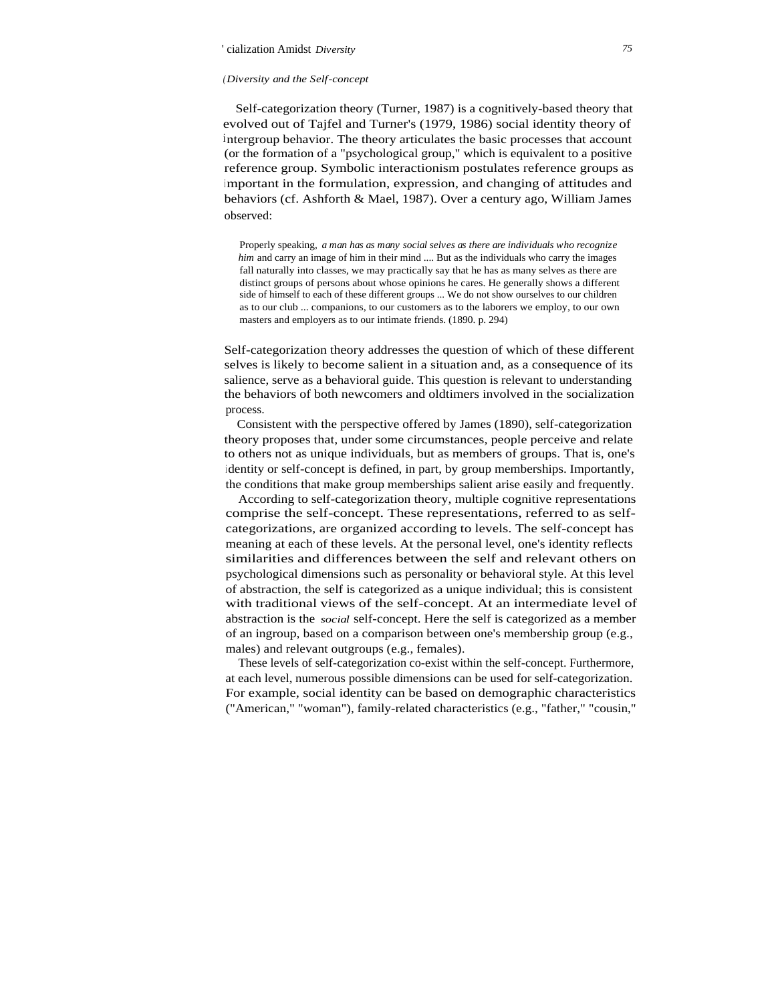#### *(Diversity and the Self-concept*

Self-categorization theory (Turner, 1987) is a cognitively-based theory that evolved out of Tajfel and Turner's (1979, 1986) social identity theory of intergroup behavior. The theory articulates the basic processes that account (or the formation of a "psychological group," which is equivalent to a positive reference group. Symbolic interactionism postulates reference groups as important in the formulation, expression, and changing of attitudes and behaviors (cf. Ashforth & Mael, 1987). Over a century ago, William James observed:

Properly speaking, *a man has as many social selves as there are individuals who recognize him* and carry an image of him in their mind .... But as the individuals who carry the images fall naturally into classes, we may practically say that he has as many selves as there are distinct groups of persons about whose opinions he cares. He generally shows a different side of himself to each of these different groups ... We do not show ourselves to our children as to our club ... companions, to our customers as to the laborers we employ, to our own masters and employers as to our intimate friends. (1890. p. 294)

Self-categorization theory addresses the question of which of these different selves is likely to become salient in a situation and, as a consequence of its salience, serve as a behavioral guide. This question is relevant to understanding the behaviors of both newcomers and oldtimers involved in the socialization process.

Consistent with the perspective offered by James (1890), self-categorization theory proposes that, under some circumstances, people perceive and relate to others not as unique individuals, but as members of groups. That is, one's <sup>i</sup> dentity or self-concept is defined, in part, by group memberships. Importantly, the conditions that make group memberships salient arise easily and frequently.

According to self-categorization theory, multiple cognitive representations comprise the self-concept. These representations, referred to as selfcategorizations, are organized according to levels. The self-concept has meaning at each of these levels. At the personal level, one's identity reflects similarities and differences between the self and relevant others on psychological dimensions such as personality or behavioral style. At this level of abstraction, the self is categorized as a unique individual; this is consistent with traditional views of the self-concept. At an intermediate level of abstraction is the *social* self-concept. Here the self is categorized as a member of an ingroup, based on a comparison between one's membership group (e.g., males) and relevant outgroups (e.g., females).

These levels of self-categorization co-exist within the self-concept. Furthermore, at each level, numerous possible dimensions can be used for self-categorization. For example, social identity can be based on demographic characteristics ("American," "woman"), family-related characteristics (e.g., "father," "cousin,"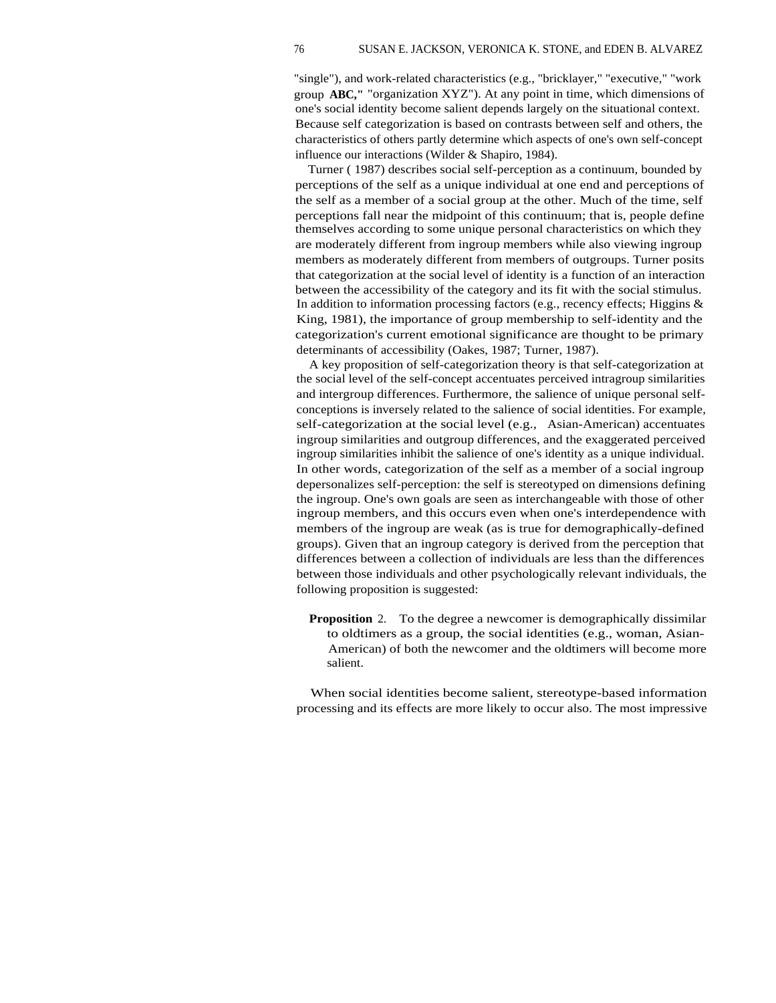"single"), and work-related characteristics (e.g., "bricklayer," "executive," "work group **ABC,"** "organization XYZ"). At any point in time, which dimensions of one's social identity become salient depends largely on the situational context. Because self categorization is based on contrasts between self and others, the characteristics of others partly determine which aspects of one's own self-concept influence our interactions (Wilder & Shapiro, 1984).

Turner ( 1987) describes social self-perception as a continuum, bounded by perceptions of the self as a unique individual at one end and perceptions of the self as a member of a social group at the other. Much of the time, self perceptions fall near the midpoint of this continuum; that is, people define themselves according to some unique personal characteristics on which they are moderately different from ingroup members while also viewing ingroup members as moderately different from members of outgroups. Turner posits that categorization at the social level of identity is a function of an interaction between the accessibility of the category and its fit with the social stimulus. In addition to information processing factors (e.g., recency effects; Higgins & King, 1981), the importance of group membership to self-identity and the categorization's current emotional significance are thought to be primary determinants of accessibility (Oakes, 1987; Turner, 1987).

A key proposition of self-categorization theory is that self-categorization at the social level of the self-concept accentuates perceived intragroup similarities and intergroup differences. Furthermore, the salience of unique personal selfconceptions is inversely related to the salience of social identities. For example, self-categorization at the social level (e.g., Asian-American) accentuates ingroup similarities and outgroup differences, and the exaggerated perceived ingroup similarities inhibit the salience of one's identity as a unique individual. In other words, categorization of the self as a member of a social ingroup depersonalizes self-perception: the self is stereotyped on dimensions defining the ingroup. One's own goals are seen as interchangeable with those of other ingroup members, and this occurs even when one's interdependence with members of the ingroup are weak (as is true for demographically-defined groups). Given that an ingroup category is derived from the perception that differences between a collection of individuals are less than the differences between those individuals and other psychologically relevant individuals, the following proposition is suggested:

**Proposition** 2. To the degree a newcomer is demographically dissimilar to oldtimers as a group, the social identities (e.g., woman, Asian-American) of both the newcomer and the oldtimers will become more salient.

When social identities become salient, stereotype-based information processing and its effects are more likely to occur also. The most impressive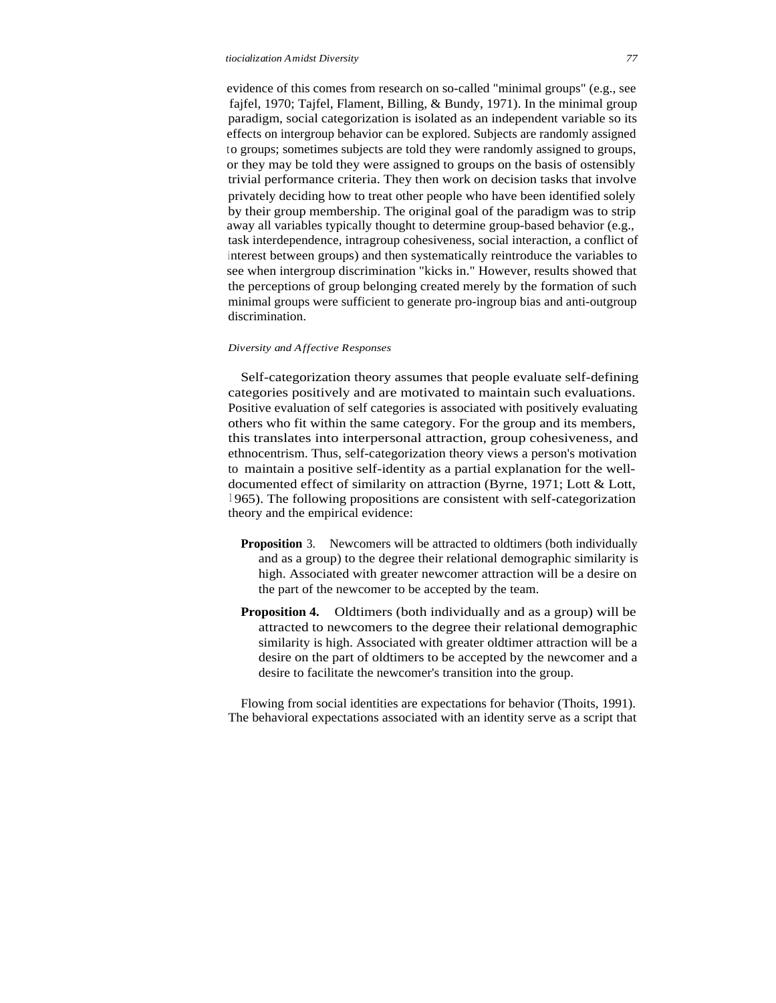evidence of this comes from research on so-called "minimal groups" (e.g., see fajfel, 1970; Tajfel, Flament, Billing, & Bundy, 1971). In the minimal group paradigm, social categorization is isolated as an independent variable so its effects on intergroup behavior can be explored. Subjects are randomly assigned to groups; sometimes subjects are told they were randomly assigned to groups, or they may be told they were assigned to groups on the basis of ostensibly trivial performance criteria. They then work on decision tasks that involve privately deciding how to treat other people who have been identified solely by their group membership. The original goal of the paradigm was to strip away all variables typically thought to determine group-based behavior (e.g., task interdependence, intragroup cohesiveness, social interaction, a conflict of <sup>i</sup> nterest between groups) and then systematically reintroduce the variables to see when intergroup discrimination "kicks in." However, results showed that the perceptions of group belonging created merely by the formation of such minimal groups were sufficient to generate pro-ingroup bias and anti-outgroup discrimination.

#### *Diversity and Affective Responses*

Self-categorization theory assumes that people evaluate self-defining categories positively and are motivated to maintain such evaluations. Positive evaluation of self categories is associated with positively evaluating others who fit within the same category. For the group and its members, this translates into interpersonal attraction, group cohesiveness, and ethnocentrism. Thus, self-categorization theory views a person's motivation to maintain a positive self-identity as a partial explanation for the welldocumented effect of similarity on attraction (Byrne, 1971; Lott & Lott, <sup>1</sup> 965). The following propositions are consistent with self-categorization theory and the empirical evidence:

- **Proposition** 3. New comers will be attracted to oldtimers (both individually and as a group) to the degree their relational demographic similarity is high. Associated with greater newcomer attraction will be a desire on the part of the newcomer to be accepted by the team.
- **Proposition 4.** Oldtimers (both individually and as a group) will be attracted to newcomers to the degree their relational demographic similarity is high. Associated with greater oldtimer attraction will be a desire on the part of oldtimers to be accepted by the newcomer and a desire to facilitate the newcomer's transition into the group.

Flowing from social identities are expectations for behavior (Thoits, 1991). The behavioral expectations associated with an identity serve as a script that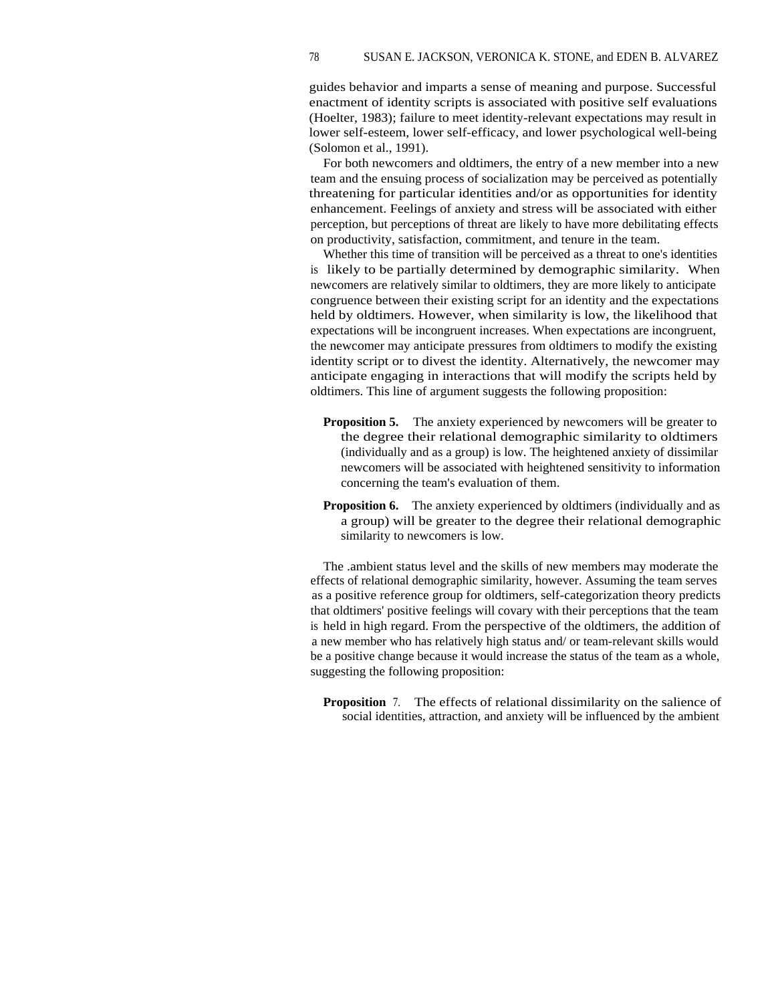guides behavior and imparts a sense of meaning and purpose. Successful enactment of identity scripts is associated with positive self evaluations (Hoelter, 1983); failure to meet identity-relevant expectations may result in lower self-esteem, lower self-efficacy, and lower psychological well-being (Solomon et al., 1991).

For both newcomers and oldtimers, the entry of a new member into a new team and the ensuing process of socialization may be perceived as potentially threatening for particular identities and/or as opportunities for identity enhancement. Feelings of anxiety and stress will be associated with either perception, but perceptions of threat are likely to have more debilitating effects on productivity, satisfaction, commitment, and tenure in the team.

Whether this time of transition will be perceived as a threat to one's identities is likely to be partially determined by demographic similarity. When newcomers are relatively similar to oldtimers, they are more likely to anticipate congruence between their existing script for an identity and the expectations held by oldtimers. However, when similarity is low, the likelihood that expectations will be incongruent increases. When expectations are incongruent, the newcomer may anticipate pressures from oldtimers to modify the existing identity script or to divest the identity. Alternatively, the newcomer may anticipate engaging in interactions that will modify the scripts held by oldtimers. This line of argument suggests the following proposition:

- **Proposition 5.** The anxiety experienced by newcomers will be greater to the degree their relational demographic similarity to oldtimers (individually and as a group) is low. The heightened anxiety of dissimilar newcomers will be associated with heightened sensitivity to information concerning the team's evaluation of them.
- **Proposition 6.** The anxiety experienced by oldtimers (individually and as a group) will be greater to the degree their relational demographic similarity to newcomers is low.

The .ambient status level and the skills of new members may moderate the effects of relational demographic similarity, however. Assuming the team serves as a positive reference group for oldtimers, self-categorization theory predicts that oldtimers' positive feelings will covary with their perceptions that the team is held in high regard. From the perspective of the oldtimers, the addition of a new member who has relatively high status and/ or team-relevant skills would be a positive change because it would increase the status of the team as a whole, suggesting the following proposition:

**Proposition** 7. The effects of relational dissimilarity on the salience of social identities, attraction, and anxiety will be influenced by the ambient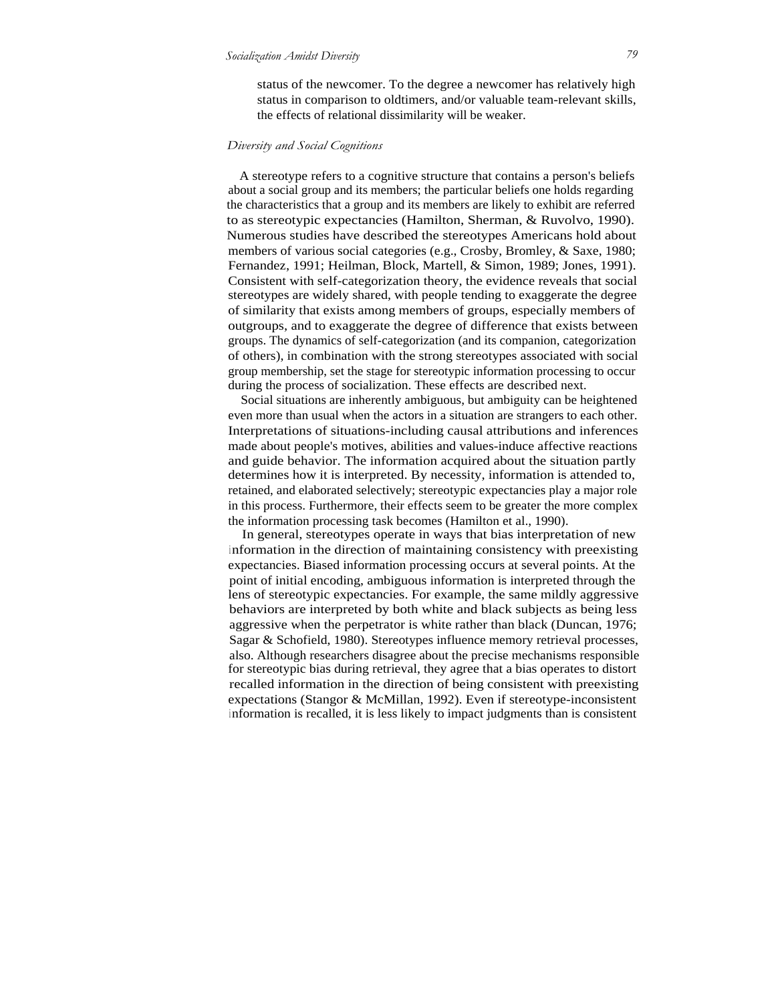status of the newcomer. To the degree a newcomer has relatively high status in comparison to oldtimers, and/or valuable team-relevant skills, the effects of relational dissimilarity will be weaker.

#### *Diversity and Social Cognitions*

A stereotype refers to a cognitive structure that contains a person's beliefs about a social group and its members; the particular beliefs one holds regarding the characteristics that a group and its members are likely to exhibit are referred to as stereotypic expectancies (Hamilton, Sherman, & Ruvolvo, 1990). Numerous studies have described the stereotypes Americans hold about members of various social categories (e.g., Crosby, Bromley, & Saxe, 1980; Fernandez, 1991; Heilman, Block, Martell, & Simon, 1989; Jones, 1991). Consistent with self-categorization theory, the evidence reveals that social stereotypes are widely shared, with people tending to exaggerate the degree of similarity that exists among members of groups, especially members of outgroups, and to exaggerate the degree of difference that exists between groups. The dynamics of self-categorization (and its companion, categorization of others), in combination with the strong stereotypes associated with social group membership, set the stage for stereotypic information processing to occur during the process of socialization. These effects are described next.

Social situations are inherently ambiguous, but ambiguity can be heightened even more than usual when the actors in a situation are strangers to each other. Interpretations of situations-including causal attributions and inferences made about people's motives, abilities and values-induce affective reactions and guide behavior. The information acquired about the situation partly determines how it is interpreted. By necessity, information is attended to, retained, and elaborated selectively; stereotypic expectancies play a major role in this process. Furthermore, their effects seem to be greater the more complex the information processing task becomes (Hamilton et al., 1990).

In general, stereotypes operate in ways that bias interpretation of new <sup>i</sup> nformation in the direction of maintaining consistency with preexisting expectancies. Biased information processing occurs at several points. At the point of initial encoding, ambiguous information is interpreted through the lens of stereotypic expectancies. For example, the same mildly aggressive behaviors are interpreted by both white and black subjects as being less aggressive when the perpetrator is white rather than black (Duncan, 1976; Sagar & Schofield, 1980). Stereotypes influence memory retrieval processes, also. Although researchers disagree about the precise mechanisms responsible for stereotypic bias during retrieval, they agree that a bias operates to distort recalled information in the direction of being consistent with preexisting expectations (Stangor & McMillan, 1992). Even if stereotype-inconsistent <sup>i</sup> nformation is recalled, it is less likely to impact judgments than is consistent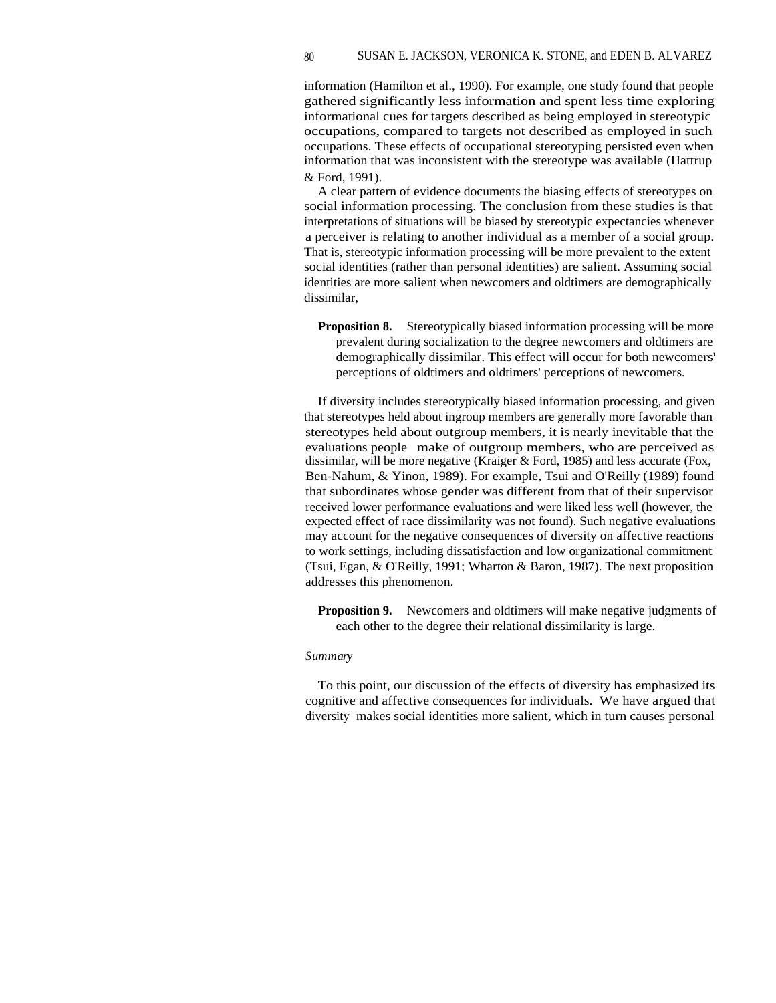information (Hamilton et al., 1990). For example, one study found that people gathered significantly less information and spent less time exploring informational cues for targets described as being employed in stereotypic occupations, compared to targets not described as employed in such occupations. These effects of occupational stereotyping persisted even when information that was inconsistent with the stereotype was available (Hattrup & Ford, 1991).

A clear pattern of evidence documents the biasing effects of stereotypes on social information processing. The conclusion from these studies is that interpretations of situations will be biased by stereotypic expectancies whenever a perceiver is relating to another individual as a member of a social group. That is, stereotypic information processing will be more prevalent to the extent social identities (rather than personal identities) are salient. Assuming social identities are more salient when newcomers and oldtimers are demographically dissimilar,

**Proposition 8.** Stereotypically biased information processing will be more prevalent during socialization to the degree newcomers and oldtimers are demographically dissimilar. This effect will occur for both newcomers' perceptions of oldtimers and oldtimers' perceptions of newcomers.

If diversity includes stereotypically biased information processing, and given that stereotypes held about ingroup members are generally more favorable than stereotypes held about outgroup members, it is nearly inevitable that the evaluations people make of outgroup members, who are perceived as dissimilar, will be more negative (Kraiger & Ford, 1985) and less accurate (Fox, Ben-Nahum, & Yinon, 1989). For example, Tsui and O'Reilly (1989) found that subordinates whose gender was different from that of their supervisor received lower performance evaluations and were liked less well (however, the expected effect of race dissimilarity was not found). Such negative evaluations may account for the negative consequences of diversity on affective reactions to work settings, including dissatisfaction and low organizational commitment (Tsui, Egan, & O'Reilly, 1991; Wharton & Baron, 1987). The next proposition addresses this phenomenon.

**Proposition 9.** Newcomers and oldtimers will make negative judgments of each other to the degree their relational dissimilarity is large.

#### *Summary*

To this point, our discussion of the effects of diversity has emphasized its cognitive and affective consequences for individuals. We have argued that diversity makes social identities more salient, which in turn causes personal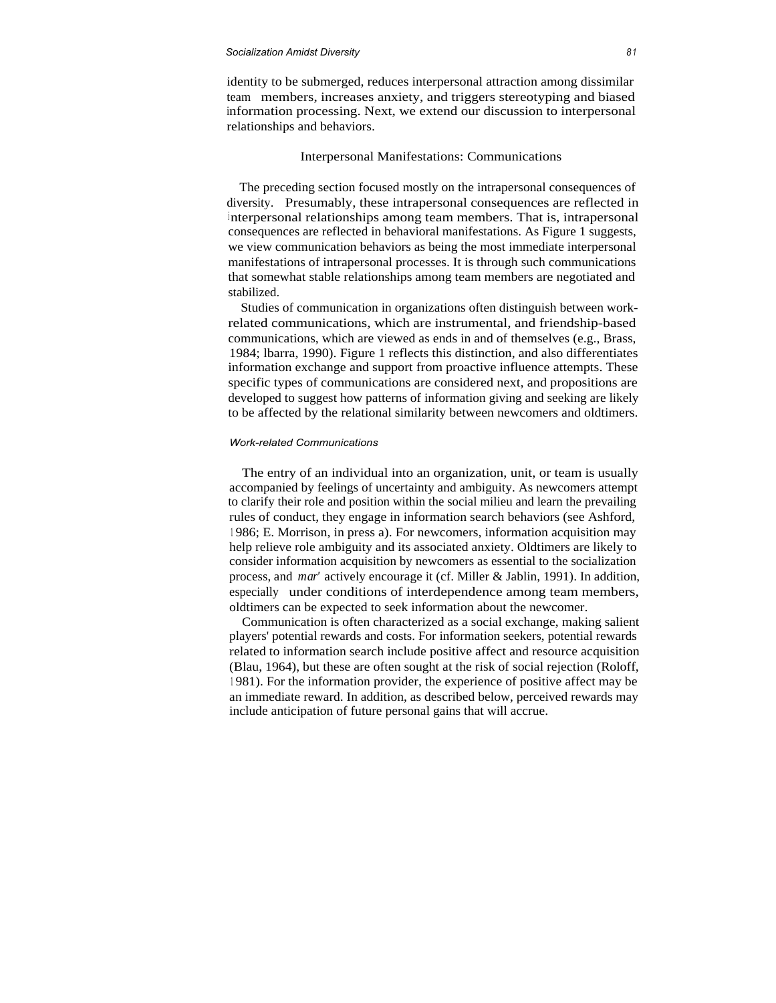#### *Socialization Amidst Diversity 8 <sup>1</sup>*

identity to be submerged, reduces interpersonal attraction among dissimilar team members, increases anxiety, and triggers stereotyping and biased information processing. Next, we extend our discussion to interpersonal relationships and behaviors.

#### Interpersonal Manifestations: Communications

The preceding section focused mostly on the intrapersonal consequences of diversity. Presumably, these intrapersonal consequences are reflected in <sup>i</sup> nterpersonal relationships among team members. That is, intrapersonal consequences are reflected in behavioral manifestations. As Figure 1 suggests, we view communication behaviors as being the most immediate interpersonal manifestations of intrapersonal processes. It is through such communications that somewhat stable relationships among team members are negotiated and stabilized.

Studies of communication in organizations often distinguish between workrelated communications, which are instrumental, and friendship-based communications, which are viewed as ends in and of themselves (e.g., Brass, 1984; lbarra, 1990). Figure 1 reflects this distinction, and also differentiates information exchange and support from proactive influence attempts. These specific types of communications are considered next, and propositions are developed to suggest how patterns of information giving and seeking are likely to be affected by the relational similarity between newcomers and oldtimers.

#### *Work-related Communications*

The entry of an individual into an organization, unit, or team is usually accompanied by feelings of uncertainty and ambiguity. As newcomers attempt to clarify their role and position within the social milieu and learn the prevailing rules of conduct, they engage in information search behaviors (see Ashford, <sup>1</sup> 986; E. Morrison, in press a). For newcomers, information acquisition may help relieve role ambiguity and its associated anxiety. Oldtimers are likely to consider information acquisition by newcomers as essential to the socialization process, and *mar'* actively encourage it (cf. Miller & Jablin, 1991). In addition, especially under conditions of interdependence among team members, oldtimers can be expected to seek information about the newcomer.

Communication is often characterized as a social exchange, making salient players' potential rewards and costs. For information seekers, potential rewards related to information search include positive affect and resource acquisition (Blau, 1964), but these are often sought at the risk of social rejection (Roloff, <sup>1</sup> 981). For the information provider, the experience of positive affect may be an immediate reward. In addition, as described below, perceived rewards may include anticipation of future personal gains that will accrue.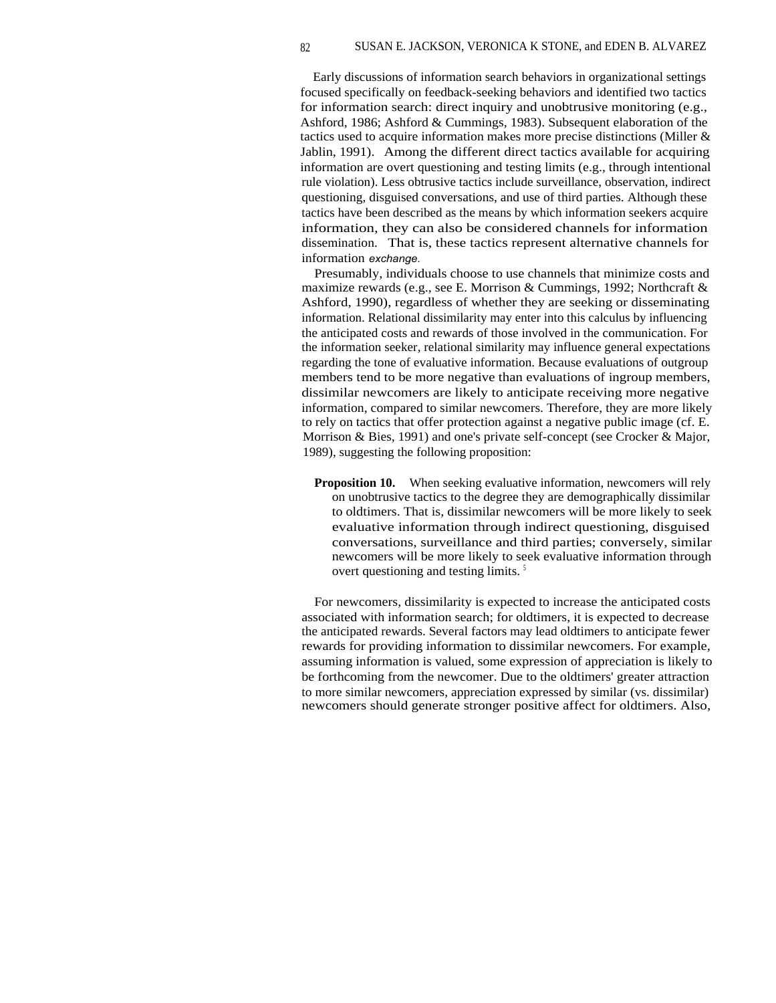Early discussions of information search behaviors in organizational settings focused specifically on feedback-seeking behaviors and identified two tactics for information search: direct inquiry and unobtrusive monitoring (e.g., Ashford, 1986; Ashford & Cummings, 1983). Subsequent elaboration of the tactics used to acquire information makes more precise distinctions (Miller & Jablin, 1991). Among the different direct tactics available for acquiring information are overt questioning and testing limits (e.g., through intentional rule violation). Less obtrusive tactics include surveillance, observation, indirect questioning, disguised conversations, and use of third parties. Although these tactics have been described as the means by which information seekers acquire information, they can also be considered channels for information dissemination. That is, these tactics represent alternative channels for information *exchange.*

Presumably, individuals choose to use channels that minimize costs and maximize rewards (e.g., see E. Morrison & Cummings, 1992; Northcraft & Ashford, 1990), regardless of whether they are seeking or disseminating information. Relational dissimilarity may enter into this calculus by influencing the anticipated costs and rewards of those involved in the communication. For the information seeker, relational similarity may influence general expectations regarding the tone of evaluative information. Because evaluations of outgroup members tend to be more negative than evaluations of ingroup members, dissimilar newcomers are likely to anticipate receiving more negative information, compared to similar newcomers. Therefore, they are more likely to rely on tactics that offer protection against a negative public image (cf. E. Morrison & Bies, 1991) and one's private self-concept (see Crocker & Major, 1989), suggesting the following proposition:

**Proposition 10.** When seeking evaluative information, newcomers will rely on unobtrusive tactics to the degree they are demographically dissimilar to oldtimers. That is, dissimilar newcomers will be more likely to seek evaluative information through indirect questioning, disguised conversations, surveillance and third parties; conversely, similar newcomers will be more likely to seek evaluative information through overt questioning and testing limits.<sup>5</sup>

For newcomers, dissimilarity is expected to increase the anticipated costs associated with information search; for oldtimers, it is expected to decrease the anticipated rewards. Several factors may lead oldtimers to anticipate fewer rewards for providing information to dissimilar newcomers. For example, assuming information is valued, some expression of appreciation is likely to be forthcoming from the newcomer. Due to the oldtimers' greater attraction to more similar newcomers, appreciation expressed by similar (vs. dissimilar) newcomers should generate stronger positive affect for oldtimers. Also,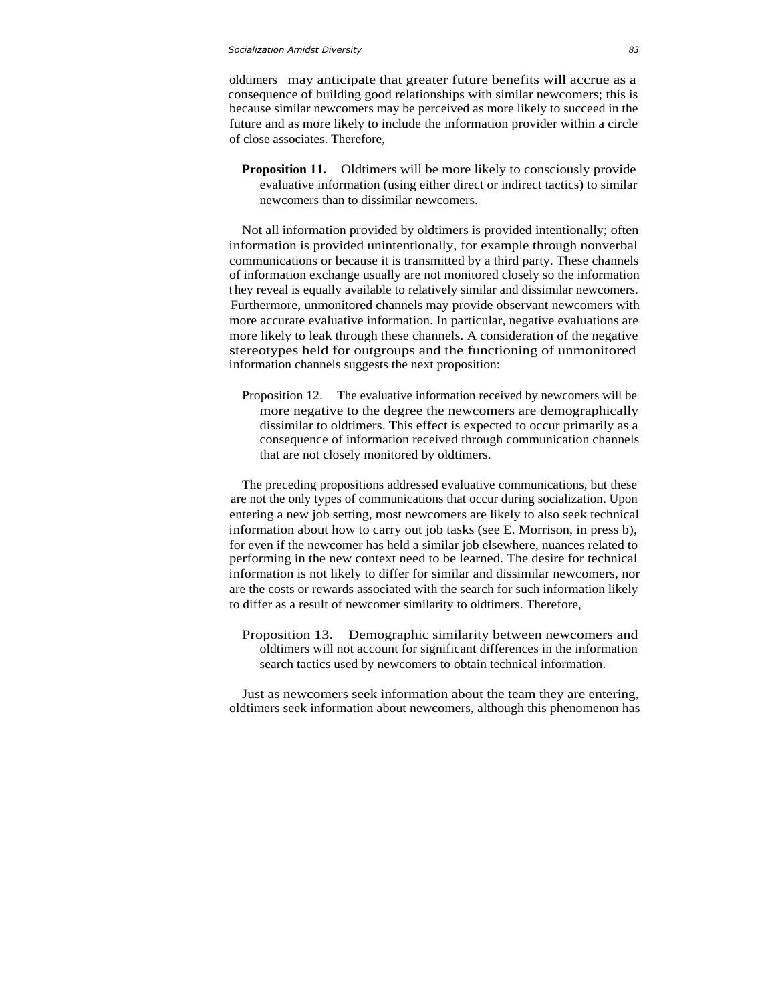#### *Socialization Amidst Diversity 83*

oldtimers may anticipate that greater future benefits will accrue as a consequence of building good relationships with similar newcomers; this is because similar newcomers may be perceived as more likely to succeed in the future and as more likely to include the information provider within a circle of close associates. Therefore,

**Proposition 11.** Oldtimers will be more likely to consciously provide evaluative information (using either direct or indirect tactics) to similar newcomers than to dissimilar newcomers.

Not all information provided by oldtimers is provided intentionally; often information is provided unintentionally, for example through nonverbal communications or because it is transmitted by a third party. These channels of information exchange usually are not monitored closely so the information <sup>t</sup> hey reveal is equally available to relatively similar and dissimilar newcomers. Furthermore, unmonitored channels may provide observant newcomers with more accurate evaluative information. In particular, negative evaluations are more likely to leak through these channels. A consideration of the negative stereotypes held for outgroups and the functioning of unmonitored information channels suggests the next proposition:

Proposition 12. The evaluative information received by newcomers will be more negative to the degree the newcomers are demographically dissimilar to oldtimers. This effect is expected to occur primarily as a consequence of information received through communication channels that are not closely monitored by oldtimers.

The preceding propositions addressed evaluative communications, but these are not the only types of communications that occur during socialization. Upon entering a new job setting, most newcomers are likely to also seek technical information about how to carry out job tasks (see E. Morrison, in press b), for even if the newcomer has held a similar job elsewhere, nuances related to performing in the new context need to be learned. The desire for technical information is not likely to differ for similar and dissimilar newcomers, nor are the costs or rewards associated with the search for such information likely to differ as a result of newcomer similarity to oldtimers. Therefore,

Proposition 13. Demographic similarity between newcomers and oldtimers will not account for significant differences in the information search tactics used by newcomers to obtain technical information.

Just as newcomers seek information about the team they are entering, oldtimers seek information about newcomers, although this phenomenon has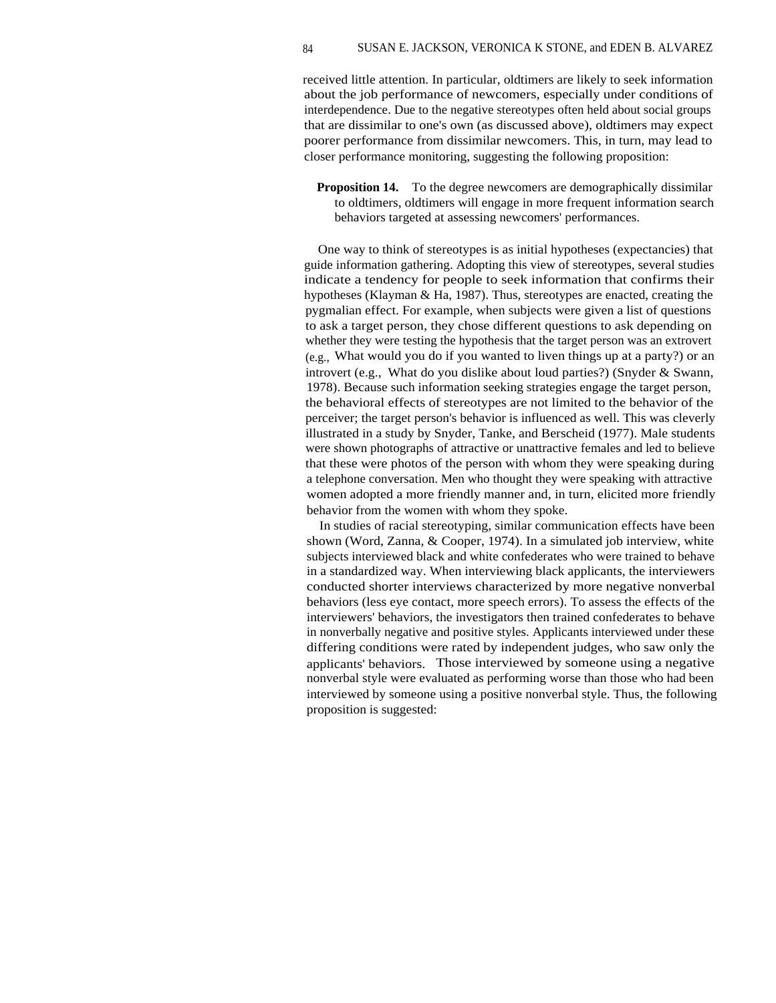received little attention. In particular, oldtimers are likely to seek information about the job performance of newcomers, especially under conditions of interdependence. Due to the negative stereotypes often held about social groups that are dissimilar to one's own (as discussed above), oldtimers may expect poorer performance from dissimilar newcomers. This, in turn, may lead to closer performance monitoring, suggesting the following proposition:

**Proposition 14.** To the degree newcomers are demographically dissimilar to oldtimers, oldtimers will engage in more frequent information search behaviors targeted at assessing newcomers' performances.

One way to think of stereotypes is as initial hypotheses (expectancies) that guide information gathering. Adopting this view of stereotypes, several studies indicate a tendency for people to seek information that confirms their hypotheses (Klayman & Ha, 1987). Thus, stereotypes are enacted, creating the pygmalian effect. For example, when subjects were given a list of questions to ask a target person, they chose different questions to ask depending on whether they were testing the hypothesis that the target person was an extrovert (e.g., What would you do if you wanted to liven things up at a party?) or an introvert (e.g., What do you dislike about loud parties?) (Snyder & Swann, 1978). Because such information seeking strategies engage the target person, the behavioral effects of stereotypes are not limited to the behavior of the perceiver; the target person's behavior is influenced as well. This was cleverly illustrated in a study by Snyder, Tanke, and Berscheid (1977). Male students were shown photographs of attractive or unattractive females and led to believe that these were photos of the person with whom they were speaking during a telephone conversation. Men who thought they were speaking with attractive women adopted a more friendly manner and, in turn, elicited more friendly behavior from the women with whom they spoke.

In studies of racial stereotyping, similar communication effects have been shown (Word, Zanna, & Cooper, 1974). In a simulated job interview, white subjects interviewed black and white confederates who were trained to behave in a standardized way. When interviewing black applicants, the interviewers conducted shorter interviews characterized by more negative nonverbal behaviors (less eye contact, more speech errors). To assess the effects of the interviewers' behaviors, the investigators then trained confederates to behave in nonverbally negative and positive styles. Applicants interviewed under these differing conditions were rated by independent judges, who saw only the applicants' behaviors. Those interviewed by someone using a negative nonverbal style were evaluated as performing worse than those who had been interviewed by someone using a positive nonverbal style. Thus, the following proposition is suggested: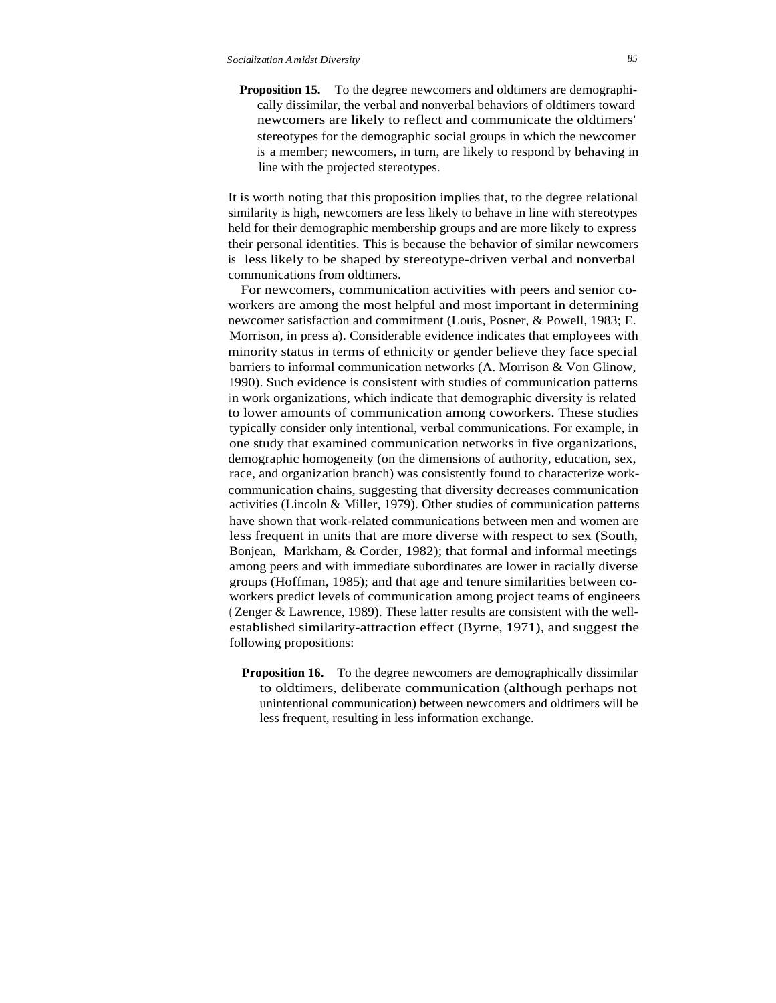**Proposition 15.** To the degree newcomers and oldtimers are demographically dissimilar, the verbal and nonverbal behaviors of oldtimers toward newcomers are likely to reflect and communicate the oldtimers' stereotypes for the demographic social groups in which the newcomer is a member; newcomers, in turn, are likely to respond by behaving in line with the projected stereotypes.

It is worth noting that this proposition implies that, to the degree relational similarity is high, newcomers are less likely to behave in line with stereotypes held for their demographic membership groups and are more likely to express their personal identities. This is because the behavior of similar newcomers is less likely to be shaped by stereotype-driven verbal and nonverbal communications from oldtimers.

For newcomers, communication activities with peers and senior coworkers are among the most helpful and most important in determining newcomer satisfaction and commitment (Louis, Posner, & Powell, 1983; E. Morrison, in press a). Considerable evidence indicates that employees with minority status in terms of ethnicity or gender believe they face special barriers to informal communication networks (A. Morrison & Von Glinow, <sup>1</sup> 990). Such evidence is consistent with studies of communication patterns in work organizations, which indicate that demographic diversity is related to lower amounts of communication among coworkers. These studies typically consider only intentional, verbal communications. For example, in one study that examined communication networks in five organizations, demographic homogeneity (on the dimensions of authority, education, sex, race, and organization branch) was consistently found to characterize workcommunication chains, suggesting that diversity decreases communication activities (Lincoln & Miller, 1979). Other studies of communication patterns have shown that work-related communications between men and women are less frequent in units that are more diverse with respect to sex (South, Bonjean, Markham, & Corder, 1982); that formal and informal meetings among peers and with immediate subordinates are lower in racially diverse groups (Hoffman, 1985); and that age and tenure similarities between coworkers predict levels of communication among project teams of engineers ( Zenger & Lawrence, 1989). These latter results are consistent with the wellestablished similarity-attraction effect (Byrne, 1971), and suggest the following propositions:

**Proposition 16.** To the degree newcomers are demographically dissimilar to oldtimers, deliberate communication (although perhaps not unintentional communication) between newcomers and oldtimers will be less frequent, resulting in less information exchange.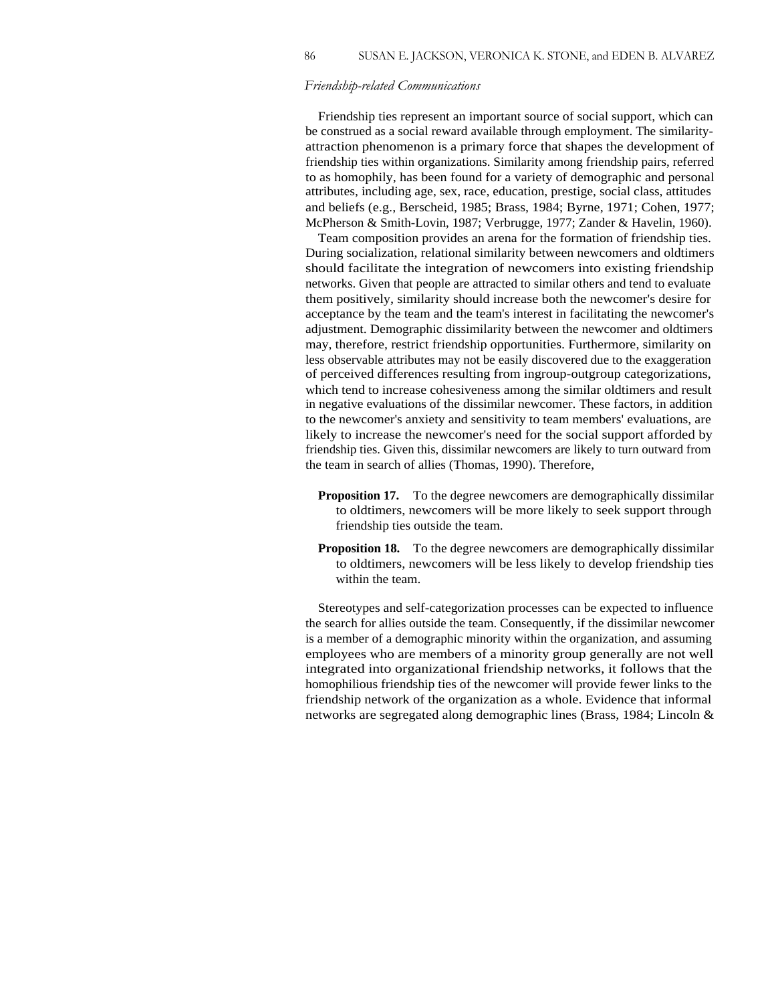#### *Friendship-related Communications*

86

Friendship ties represent an important source of social support, which can be construed as a social reward available through employment. The similarityattraction phenomenon is a primary force that shapes the development of friendship ties within organizations. Similarity among friendship pairs, referred to as homophily, has been found for a variety of demographic and personal attributes, including age, sex, race, education, prestige, social class, attitudes and beliefs (e.g., Berscheid, 1985; Brass, 1984; Byrne, 1971; Cohen, 1977; McPherson & Smith-Lovin, 1987; Verbrugge, 1977; Zander & Havelin, 1960).

Team composition provides an arena for the formation of friendship ties. During socialization, relational similarity between newcomers and oldtimers should facilitate the integration of newcomers into existing friendship networks. Given that people are attracted to similar others and tend to evaluate them positively, similarity should increase both the newcomer's desire for acceptance by the team and the team's interest in facilitating the newcomer's adjustment. Demographic dissimilarity between the newcomer and oldtimers may, therefore, restrict friendship opportunities. Furthermore, similarity on less observable attributes may not be easily discovered due to the exaggeration of perceived differences resulting from ingroup-outgroup categorizations, which tend to increase cohesiveness among the similar oldtimers and result in negative evaluations of the dissimilar newcomer. These factors, in addition to the newcomer's anxiety and sensitivity to team members' evaluations, are likely to increase the newcomer's need for the social support afforded by friendship ties. Given this, dissimilar newcomers are likely to turn outward from the team in search of allies (Thomas, 1990). Therefore,

- **Proposition 17.** To the degree newcomers are demographically dissimilar to oldtimers, newcomers will be more likely to seek support through friendship ties outside the team.
- **Proposition 18.** To the degree newcomers are demographically dissimilar to oldtimers, newcomers will be less likely to develop friendship ties within the team.

Stereotypes and self-categorization processes can be expected to influence the search for allies outside the team. Consequently, if the dissimilar newcomer is a member of a demographic minority within the organization, and assuming employees who are members of a minority group generally are not well integrated into organizational friendship networks, it follows that the homophilious friendship ties of the newcomer will provide fewer links to the friendship network of the organization as a whole. Evidence that informal networks are segregated along demographic lines (Brass, 1984; Lincoln &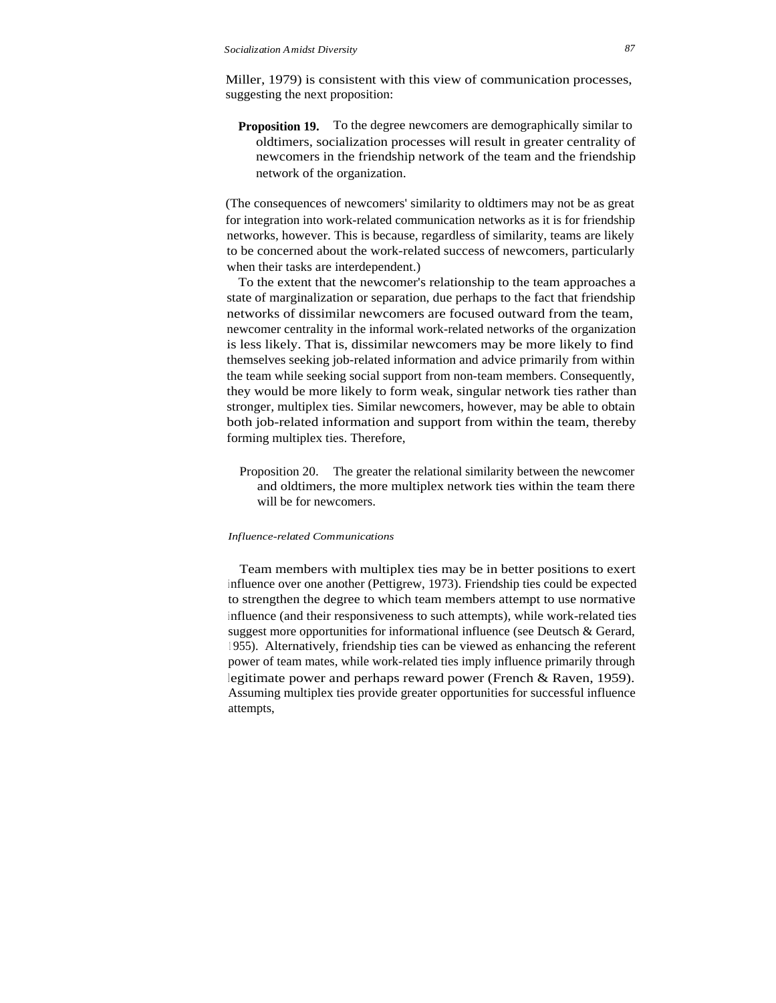Miller, 1979) is consistent with this view of communication processes, suggesting the next proposition:

**Proposition 19.** To the degree newcomers are demographically similar to oldtimers, socialization processes will result in greater centrality of newcomers in the friendship network of the team and the friendship network of the organization.

(The consequences of newcomers' similarity to oldtimers may not be as great for integration into work-related communication networks as it is for friendship networks, however. This is because, regardless of similarity, teams are likely to be concerned about the work-related success of newcomers, particularly when their tasks are interdependent.)

To the extent that the newcomer's relationship to the team approaches a state of marginalization or separation, due perhaps to the fact that friendship networks of dissimilar newcomers are focused outward from the team, newcomer centrality in the informal work-related networks of the organization is less likely. That is, dissimilar newcomers may be more likely to find themselves seeking job-related information and advice primarily from within the team while seeking social support from non-team members. Consequently, they would be more likely to form weak, singular network ties rather than stronger, multiplex ties. Similar newcomers, however, may be able to obtain both job-related information and support from within the team, thereby forming multiplex ties. Therefore,

Proposition 20. The greater the relational similarity between the newcomer and oldtimers, the more multiplex network ties within the team there will be for newcomers.

#### *Influence-related Communications*

Team members with multiplex ties may be in better positions to exert <sup>i</sup> nfluence over one another (Pettigrew, 1973). Friendship ties could be expected to strengthen the degree to which team members attempt to use normative influence (and their responsiveness to such attempts), while work-related ties suggest more opportunities for informational influence (see Deutsch & Gerard, <sup>1</sup> 955). Alternatively, friendship ties can be viewed as enhancing the referent power of team mates, while work-related ties imply influence primarily through legitimate power and perhaps reward power (French & Raven, 1959). Assuming multiplex ties provide greater opportunities for successful influence attempts,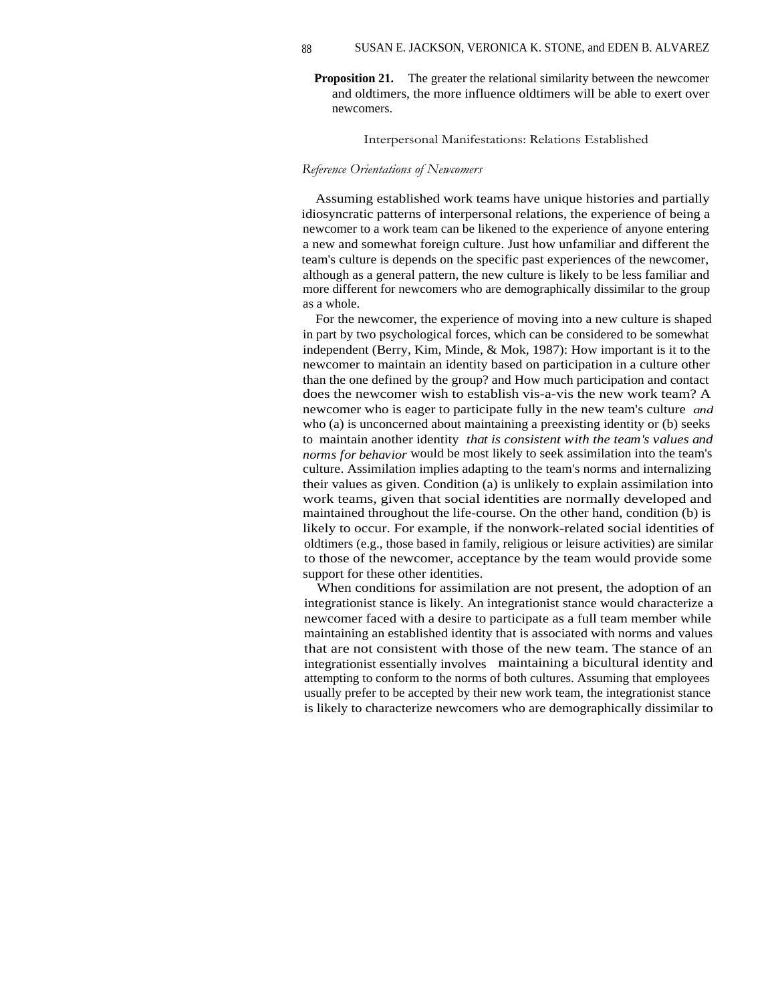**Proposition 21.** The greater the relational similarity between the newcomer and oldtimers, the more influence oldtimers will be able to exert over newcomers.

#### Interpersonal Manifestations: Relations Established

#### *Reference Orientations of Newcomers*

Assuming established work teams have unique histories and partially idiosyncratic patterns of interpersonal relations, the experience of being a newcomer to a work team can be likened to the experience of anyone entering a new and somewhat foreign culture. Just how unfamiliar and different the team's culture is depends on the specific past experiences of the newcomer, although as a general pattern, the new culture is likely to be less familiar and more different for newcomers who are demographically dissimilar to the group as a whole.

For the newcomer, the experience of moving into a new culture is shaped in part by two psychological forces, which can be considered to be somewhat independent (Berry, Kim, Minde, & Mok, 1987): How important is it to the newcomer to maintain an identity based on participation in a culture other than the one defined by the group? and How much participation and contact does the newcomer wish to establish vis-a-vis the new work team? A newcomer who is eager to participate fully in the new team's culture *and* who (a) is unconcerned about maintaining a preexisting identity or (b) seeks to maintain another identity *that is consistent with the team's values and norms for behavior* would be most likely to seek assimilation into the team's culture. Assimilation implies adapting to the team's norms and internalizing their values as given. Condition (a) is unlikely to explain assimilation into work teams, given that social identities are normally developed and maintained throughout the life-course. On the other hand, condition (b) is likely to occur. For example, if the nonwork-related social identities of oldtimers (e.g., those based in family, religious or leisure activities) are similar to those of the newcomer, acceptance by the team would provide some support for these other identities.

When conditions for assimilation are not present, the adoption of an integrationist stance is likely. An integrationist stance would characterize a newcomer faced with a desire to participate as a full team member while maintaining an established identity that is associated with norms and values that are not consistent with those of the new team. The stance of an integrationist essentially involves maintaining a bicultural identity and attempting to conform to the norms of both cultures. Assuming that employees usually prefer to be accepted by their new work team, the integrationist stance is likely to characterize newcomers who are demographically dissimilar to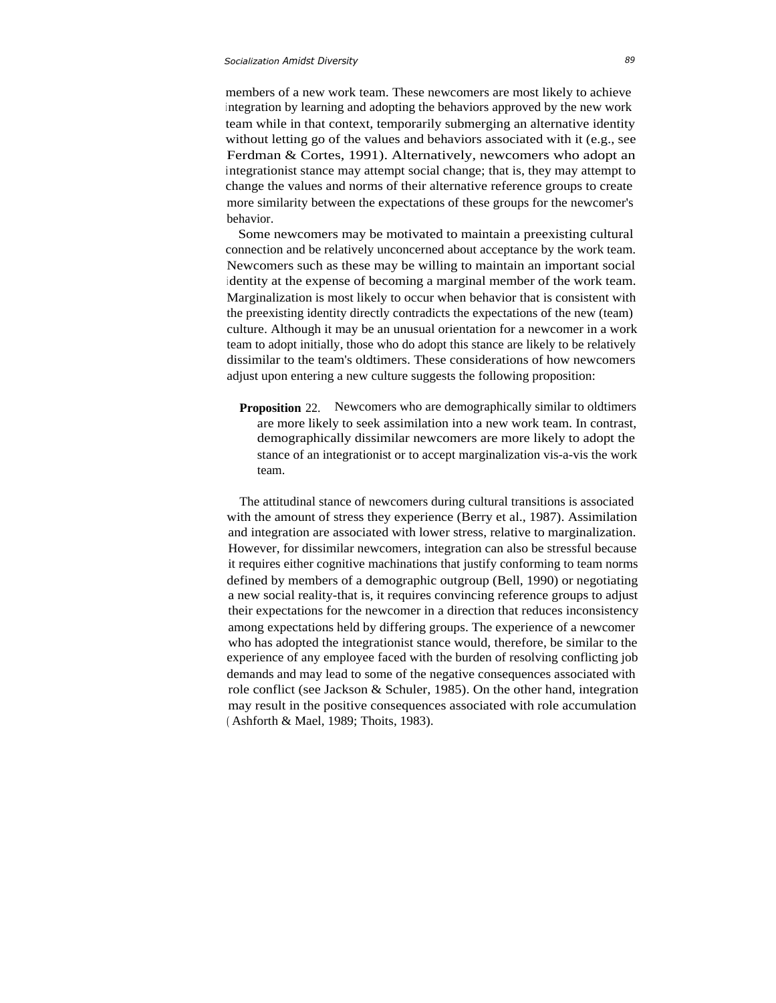members of a new work team. These newcomers are most likely to achieve <sup>i</sup> ntegration by learning and adopting the behaviors approved by the new work team while in that context, temporarily submerging an alternative identity without letting go of the values and behaviors associated with it (e.g., see Ferdman & Cortes, 1991). Alternatively, newcomers who adopt an integrationist stance may attempt social change; that is, they may attempt to change the values and norms of their alternative reference groups to create more similarity between the expectations of these groups for the newcomer's behavior.

Some newcomers may be motivated to maintain a preexisting cultural connection and be relatively unconcerned about acceptance by the work team. Newcomers such as these may be willing to maintain an important social <sup>i</sup> dentity at the expense of becoming a marginal member of the work team. Marginalization is most likely to occur when behavior that is consistent with the preexisting identity directly contradicts the expectations of the new (team) culture. Although it may be an unusual orientation for a newcomer in a work team to adopt initially, those who do adopt this stance are likely to be relatively dissimilar to the team's oldtimers. These considerations of how newcomers adjust upon entering a new culture suggests the following proposition:

**Proposition** 22. Newcomers who are demographically similar to oldtimers are more likely to seek assimilation into a new work team. In contrast, demographically dissimilar newcomers are more likely to adopt the stance of an integrationist or to accept marginalization vis-a-vis the work team.

The attitudinal stance of newcomers during cultural transitions is associated with the amount of stress they experience (Berry et al., 1987). Assimilation and integration are associated with lower stress, relative to marginalization. However, for dissimilar newcomers, integration can also be stressful because it requires either cognitive machinations that justify conforming to team norms defined by members of a demographic outgroup (Bell, 1990) or negotiating a new social reality-that is, it requires convincing reference groups to adjust their expectations for the newcomer in a direction that reduces inconsistency among expectations held by differing groups. The experience of a newcomer who has adopted the integrationist stance would, therefore, be similar to the experience of any employee faced with the burden of resolving conflicting job demands and may lead to some of the negative consequences associated with role conflict (see Jackson & Schuler, 1985). On the other hand, integration may result in the positive consequences associated with role accumulation ( Ashforth & Mael, 1989; Thoits, 1983).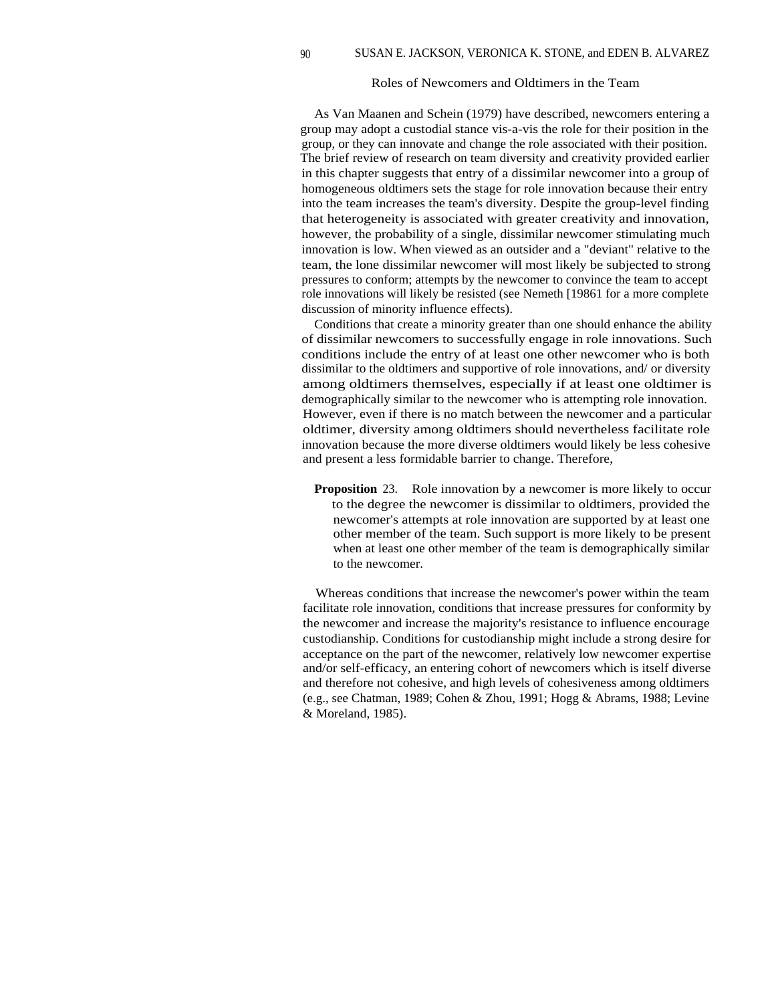#### Roles of Newcomers and Oldtimers in the Team

As Van Maanen and Schein (1979) have described, newcomers entering a group may adopt a custodial stance vis-a-vis the role for their position in the group, or they can innovate and change the role associated with their position. The brief review of research on team diversity and creativity provided earlier in this chapter suggests that entry of a dissimilar newcomer into a group of homogeneous oldtimers sets the stage for role innovation because their entry into the team increases the team's diversity. Despite the group-level finding that heterogeneity is associated with greater creativity and innovation, however, the probability of a single, dissimilar newcomer stimulating much innovation is low. When viewed as an outsider and a "deviant" relative to the team, the lone dissimilar newcomer will most likely be subjected to strong pressures to conform; attempts by the newcomer to convince the team to accept role innovations will likely be resisted (see Nemeth [19861 for a more complete discussion of minority influence effects).

Conditions that create a minority greater than one should enhance the ability of dissimilar newcomers to successfully engage in role innovations. Such conditions include the entry of at least one other newcomer who is both dissimilar to the oldtimers and supportive of role innovations, and/ or diversity among oldtimers themselves, especially if at least one oldtimer is demographically similar to the newcomer who is attempting role innovation. However, even if there is no match between the newcomer and a particular oldtimer, diversity among oldtimers should nevertheless facilitate role innovation because the more diverse oldtimers would likely be less cohesive and present a less formidable barrier to change. Therefore,

**Proposition** 23. Role innovation by a newcomer is more likely to occur to the degree the newcomer is dissimilar to oldtimers, provided the newcomer's attempts at role innovation are supported by at least one other member of the team. Such support is more likely to be present when at least one other member of the team is demographically similar to the newcomer.

Whereas conditions that increase the newcomer's power within the team facilitate role innovation, conditions that increase pressures for conformity by the newcomer and increase the majority's resistance to influence encourage custodianship. Conditions for custodianship might include a strong desire for acceptance on the part of the newcomer, relatively low newcomer expertise and/or self-efficacy, an entering cohort of newcomers which is itself diverse and therefore not cohesive, and high levels of cohesiveness among oldtimers (e.g., see Chatman, 1989; Cohen & Zhou, 1991; Hogg & Abrams, 1988; Levine & Moreland, 1985).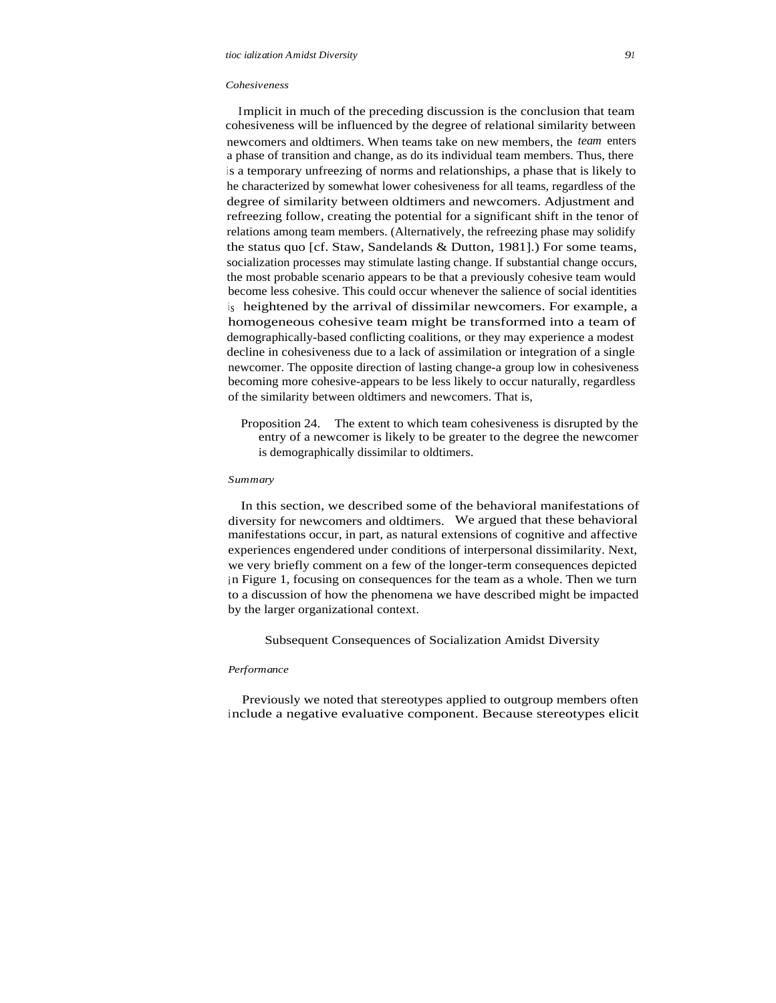#### *Cohesiveness*

Implicit in much of the preceding discussion is the conclusion that team cohesiveness will be influenced by the degree of relational similarity between newcomers and oldtimers. When teams take on new members, the *team* enters a phase of transition and change, as do its individual team members. Thus, there is a temporary unfreezing of norms and relationships, a phase that is likely to he characterized by somewhat lower cohesiveness for all teams, regardless of the degree of similarity between oldtimers and newcomers. Adjustment and refreezing follow, creating the potential for a significant shift in the tenor of relations among team members. (Alternatively, the refreezing phase may solidify the status quo [cf. Staw, Sandelands & Dutton, 1981].) For some teams, socialization processes may stimulate lasting change. If substantial change occurs, the most probable scenario appears to be that a previously cohesive team would become less cohesive. This could occur whenever the salience of social identities is heightened by the arrival of dissimilar newcomers. For example, a homogeneous cohesive team might be transformed into a team of demographically-based conflicting coalitions, or they may experience a modest decline in cohesiveness due to a lack of assimilation or integration of a single newcomer. The opposite direction of lasting change-a group low in cohesiveness becoming more cohesive-appears to be less likely to occur naturally, regardless of the similarity between oldtimers and newcomers. That is,

Proposition 24. The extent to which team cohesiveness is disrupted by the entry of a newcomer is likely to be greater to the degree the newcomer is demographically dissimilar to oldtimers.

#### *Summary*

In this section, we described some of the behavioral manifestations of diversity for newcomers and oldtimers. We argued that these behavioral manifestations occur, in part, as natural extensions of cognitive and affective experiences engendered under conditions of interpersonal dissimilarity. Next, we very briefly comment on a few of the longer-term consequences depicted in Figure 1, focusing on consequences for the team as a whole. Then we turn to a discussion of how the phenomena we have described might be impacted by the larger organizational context.

Subsequent Consequences of Socialization Amidst Diversity

#### *Performance*

Previously we noted that stereotypes applied to outgroup members often include a negative evaluative component. Because stereotypes elicit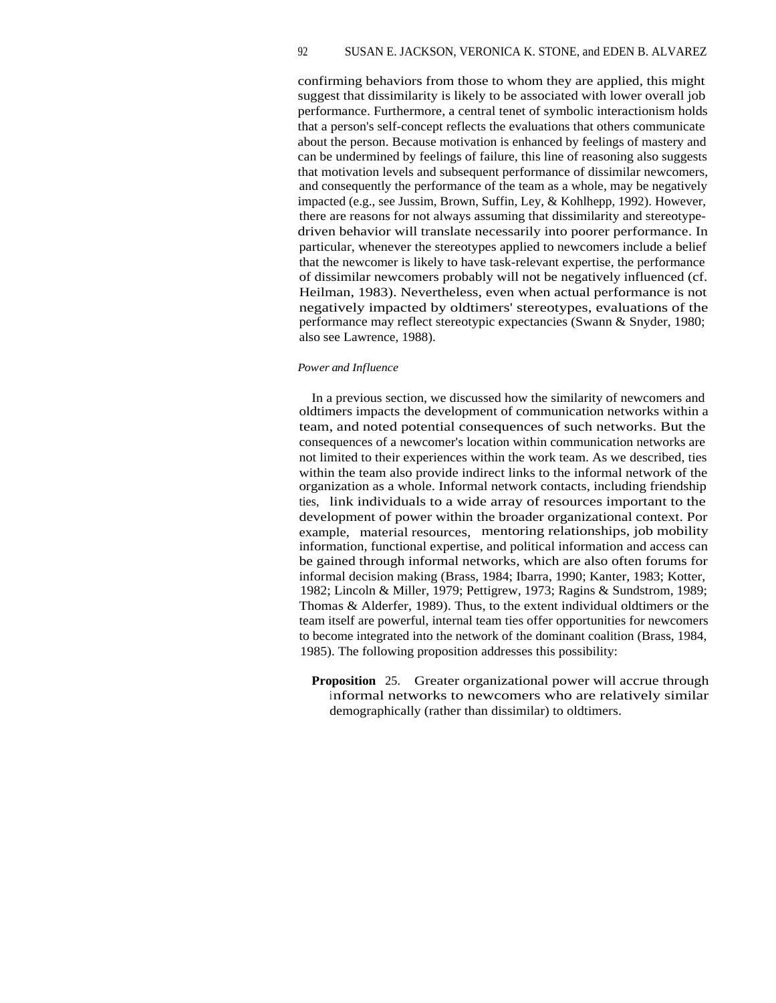## 92 SUSAN E. JACKSON, VERONICA K. STONE, and EDEN B. ALVAREZ

confirming behaviors from those to whom they are applied, this might suggest that dissimilarity is likely to be associated with lower overall job performance. Furthermore, a central tenet of symbolic interactionism holds that a person's self-concept reflects the evaluations that others communicate about the person. Because motivation is enhanced by feelings of mastery and can be undermined by feelings of failure, this line of reasoning also suggests that motivation levels and subsequent performance of dissimilar newcomers, and consequently the performance of the team as a whole, may be negatively impacted (e.g., see Jussim, Brown, Suffin, Ley, & Kohlhepp, 1992). However, there are reasons for not always assuming that dissimilarity and stereotypedriven behavior will translate necessarily into poorer performance. In particular, whenever the stereotypes applied to newcomers include a belief that the newcomer is likely to have task-relevant expertise, the performance of dissimilar newcomers probably will not be negatively influenced (cf. Heilman, 1983). Nevertheless, even when actual performance is not negatively impacted by oldtimers' stereotypes, evaluations of the performance may reflect stereotypic expectancies (Swann & Snyder, 1980; also see Lawrence, 1988).

### *Power and Influence*

In a previous section, we discussed how the similarity of newcomers and oldtimers impacts the development of communication networks within a team, and noted potential consequences of such networks. But the consequences of a newcomer's location within communication networks are not limited to their experiences within the work team. As we described, ties within the team also provide indirect links to the informal network of the organization as a whole. Informal network contacts, including friendship ties, link individuals to a wide array of resources important to the development of power within the broader organizational context. Por example, material resources, mentoring relationships, job mobility information, functional expertise, and political information and access can be gained through informal networks, which are also often forums for informal decision making (Brass, 1984; Ibarra, 1990; Kanter, 1983; Kotter, 1982; Lincoln & Miller, 1979; Pettigrew, 1973; Ragins & Sundstrom, 1989; Thomas & Alderfer, 1989). Thus, to the extent individual oldtimers or the team itself are powerful, internal team ties offer opportunities for newcomers to become integrated into the network of the dominant coalition (Brass, 1984, 1985). The following proposition addresses this possibility:

**Proposition** 25. Greater organizational power will accrue through informal networks to newcomers who are relatively similar demographically (rather than dissimilar) to oldtimers.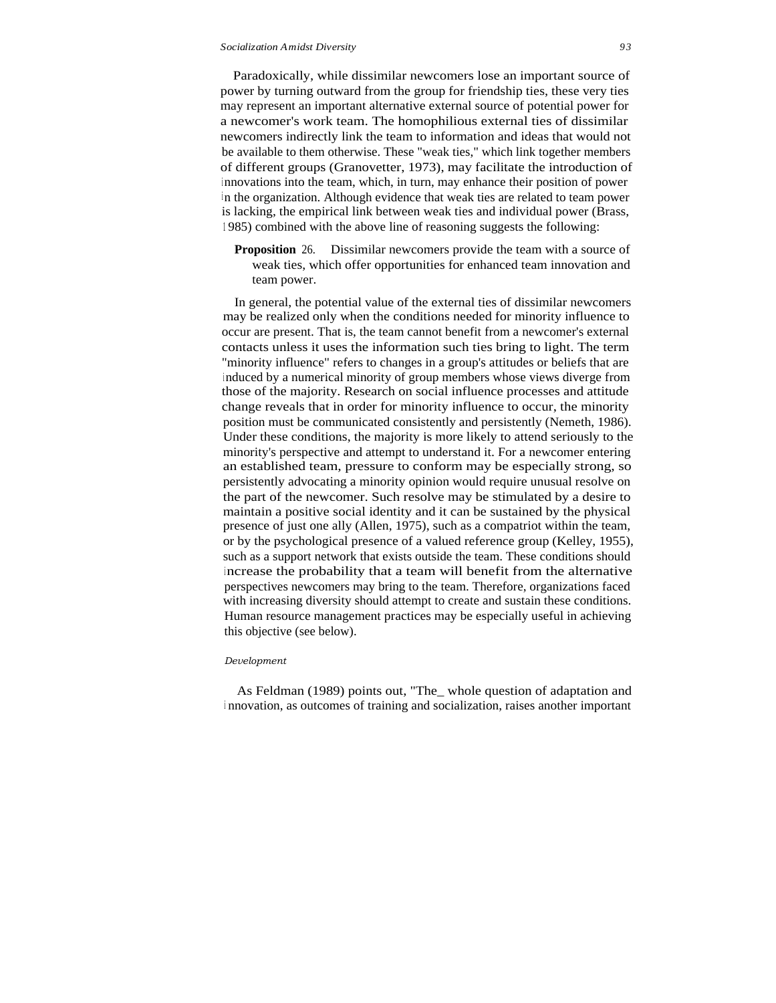## *Socialization Amidst Diversity 9 3*

Paradoxically, while dissimilar newcomers lose an important source of power by turning outward from the group for friendship ties, these very ties may represent an important alternative external source of potential power for a newcomer's work team. The homophilious external ties of dissimilar newcomers indirectly link the team to information and ideas that would not be available to them otherwise. These "weak ties," which link together members of different groups (Granovetter, 1973), may facilitate the introduction of <sup>i</sup> nnovations into the team, which, in turn, may enhance their position of power <sup>i</sup> n the organization. Although evidence that weak ties are related to team power is lacking, the empirical link between weak ties and individual power (Brass, <sup>1</sup> 985) combined with the above line of reasoning suggests the following:

**Proposition** 26. Dissimilar newcomers provide the team with a source of weak ties, which offer opportunities for enhanced team innovation and team power.

In general, the potential value of the external ties of dissimilar newcomers may be realized only when the conditions needed for minority influence to occur are present. That is, the team cannot benefit from a newcomer's external contacts unless it uses the information such ties bring to light. The term "minority influence" refers to changes in a group's attitudes or beliefs that are <sup>i</sup> nduced by a numerical minority of group members whose views diverge from those of the majority. Research on social influence processes and attitude change reveals that in order for minority influence to occur, the minority position must be communicated consistently and persistently (Nemeth, 1986). Under these conditions, the majority is more likely to attend seriously to the minority's perspective and attempt to understand it. For a newcomer entering an established team, pressure to conform may be especially strong, so persistently advocating a minority opinion would require unusual resolve on the part of the newcomer. Such resolve may be stimulated by a desire to maintain a positive social identity and it can be sustained by the physical presence of just one ally (Allen, 1975), such as a compatriot within the team, or by the psychological presence of a valued reference group (Kelley, 1955), such as a support network that exists outside the team. These conditions should <sup>i</sup> ncrease the probability that a team will benefit from the alternative perspectives newcomers may bring to the team. Therefore, organizations faced with increasing diversity should attempt to create and sustain these conditions. Human resource management practices may be especially useful in achieving this objective (see below).

#### *Development*

As Feldman (1989) points out, "The\_ whole question of adaptation and <sup>i</sup> nnovation, as outcomes of training and socialization, raises another important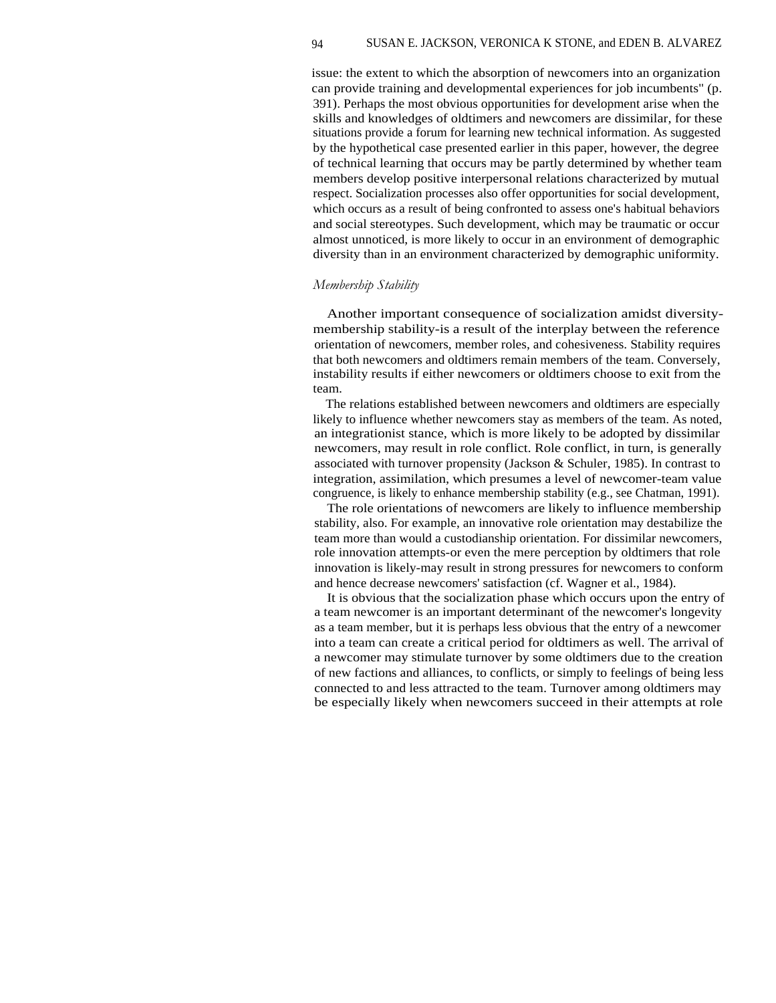## 94 SUSAN E. JACKSON, VERONICA K STONE, and EDEN B. ALVAREZ

issue: the extent to which the absorption of newcomers into an organization can provide training and developmental experiences for job incumbents" (p. 391). Perhaps the most obvious opportunities for development arise when the skills and knowledges of oldtimers and newcomers are dissimilar, for these situations provide a forum for learning new technical information. As suggested by the hypothetical case presented earlier in this paper, however, the degree of technical learning that occurs may be partly determined by whether team members develop positive interpersonal relations characterized by mutual respect. Socialization processes also offer opportunities for social development, which occurs as a result of being confronted to assess one's habitual behaviors and social stereotypes. Such development, which may be traumatic or occur almost unnoticed, is more likely to occur in an environment of demographic diversity than in an environment characterized by demographic uniformity.

## *Membership Stability*

Another important consequence of socialization amidst diversitymembership stability-is a result of the interplay between the reference orientation of newcomers, member roles, and cohesiveness. Stability requires that both newcomers and oldtimers remain members of the team. Conversely, instability results if either newcomers or oldtimers choose to exit from the team.

The relations established between newcomers and oldtimers are especially likely to influence whether newcomers stay as members of the team. As noted, an integrationist stance, which is more likely to be adopted by dissimilar newcomers, may result in role conflict. Role conflict, in turn, is generally associated with turnover propensity (Jackson & Schuler, 1985). In contrast to integration, assimilation, which presumes a level of newcomer-team value congruence, is likely to enhance membership stability (e.g., see Chatman, 1991).

The role orientations of newcomers are likely to influence membership stability, also. For example, an innovative role orientation may destabilize the team more than would a custodianship orientation. For dissimilar newcomers, role innovation attempts-or even the mere perception by oldtimers that role innovation is likely-may result in strong pressures for newcomers to conform and hence decrease newcomers' satisfaction (cf. Wagner et al., 1984).

It is obvious that the socialization phase which occurs upon the entry of a team newcomer is an important determinant of the newcomer's longevity as a team member, but it is perhaps less obvious that the entry of a newcomer into a team can create a critical period for oldtimers as well. The arrival of a newcomer may stimulate turnover by some oldtimers due to the creation of new factions and alliances, to conflicts, or simply to feelings of being less connected to and less attracted to the team. Turnover among oldtimers may be especially likely when newcomers succeed in their attempts at role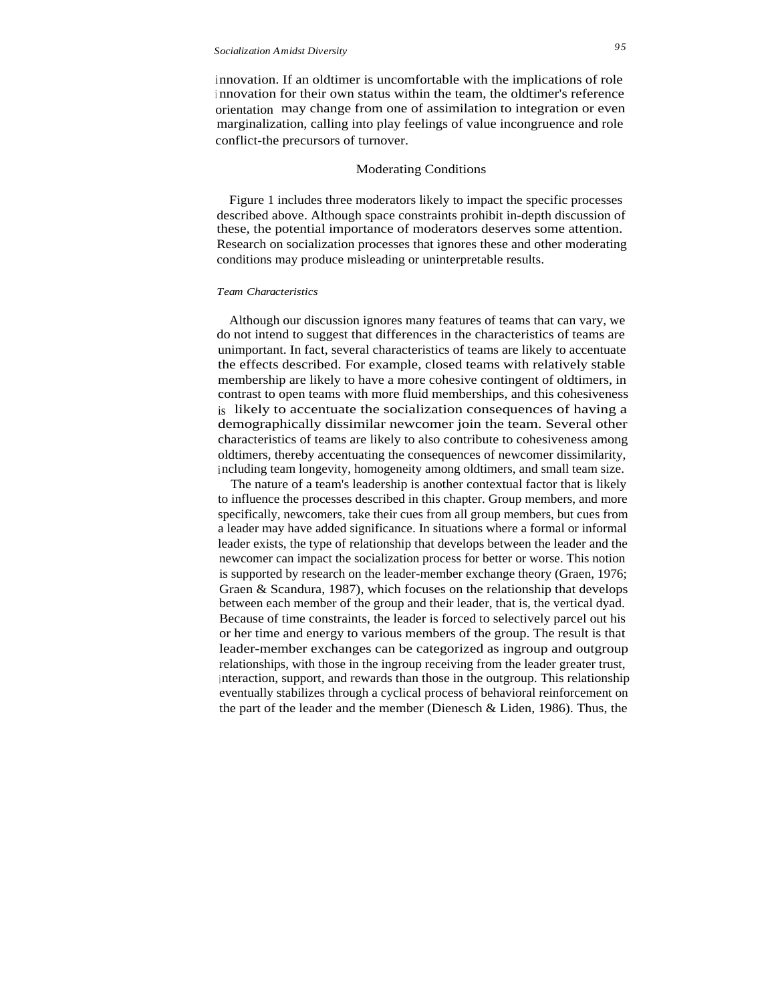innovation. If an oldtimer is uncomfortable with the implications of role <sup>i</sup> nnovation for their own status within the team, the oldtimer's reference orientation may change from one of assimilation to integration or even marginalization, calling into play feelings of value incongruence and role conflict-the precursors of turnover.

#### Moderating Conditions

Figure 1 includes three moderators likely to impact the specific processes described above. Although space constraints prohibit in-depth discussion of these, the potential importance of moderators deserves some attention. Research on socialization processes that ignores these and other moderating conditions may produce misleading or uninterpretable results.

#### *Team Characteristics*

Although our discussion ignores many features of teams that can vary, we do not intend to suggest that differences in the characteristics of teams are unimportant. In fact, several characteristics of teams are likely to accentuate the effects described. For example, closed teams with relatively stable membership are likely to have a more cohesive contingent of oldtimers, in contrast to open teams with more fluid memberships, and this cohesiveness is likely to accentuate the socialization consequences of having a demographically dissimilar newcomer join the team. Several other characteristics of teams are likely to also contribute to cohesiveness among oldtimers, thereby accentuating the consequences of newcomer dissimilarity, including team longevity, homogeneity among oldtimers, and small team size.

The nature of a team's leadership is another contextual factor that is likely to influence the processes described in this chapter. Group members, and more specifically, newcomers, take their cues from all group members, but cues from a leader may have added significance. In situations where a formal or informal leader exists, the type of relationship that develops between the leader and the newcomer can impact the socialization process for better or worse. This notion is supported by research on the leader-member exchange theory (Graen, 1976; Graen & Scandura, 1987), which focuses on the relationship that develops between each member of the group and their leader, that is, the vertical dyad. Because of time constraints, the leader is forced to selectively parcel out his or her time and energy to various members of the group. The result is that leader-member exchanges can be categorized as ingroup and outgroup relationships, with those in the ingroup receiving from the leader greater trust, <sup>i</sup> nteraction, support, and rewards than those in the outgroup. This relationship eventually stabilizes through a cyclical process of behavioral reinforcement on the part of the leader and the member (Dienesch & Liden, 1986). Thus, the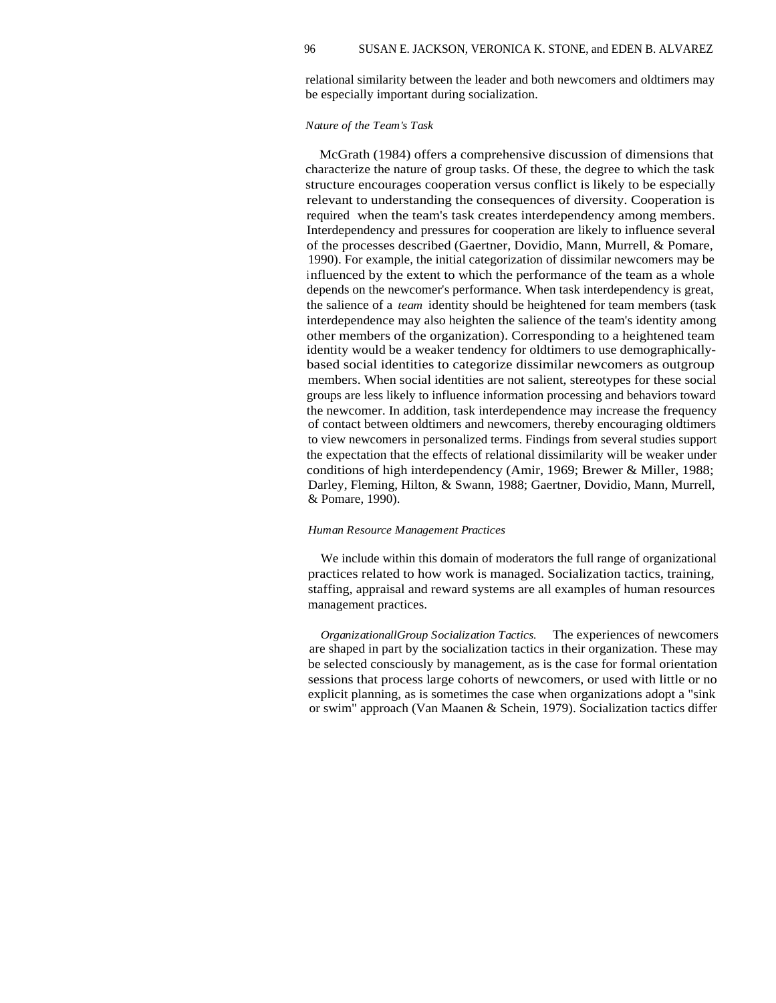relational similarity between the leader and both newcomers and oldtimers may be especially important during socialization.

#### *Nature of the Team's Task*

McGrath (1984) offers a comprehensive discussion of dimensions that characterize the nature of group tasks. Of these, the degree to which the task structure encourages cooperation versus conflict is likely to be especially relevant to understanding the consequences of diversity. Cooperation is required when the team's task creates interdependency among members. Interdependency and pressures for cooperation are likely to influence several of the processes described (Gaertner, Dovidio, Mann, Murrell, & Pomare, 1990). For example, the initial categorization of dissimilar newcomers may be influenced by the extent to which the performance of the team as a whole depends on the newcomer's performance. When task interdependency is great, the salience of a *team* identity should be heightened for team members (task interdependence may also heighten the salience of the team's identity among other members of the organization). Corresponding to a heightened team identity would be a weaker tendency for oldtimers to use demographicallybased social identities to categorize dissimilar newcomers as outgroup members. When social identities are not salient, stereotypes for these social groups are less likely to influence information processing and behaviors toward the newcomer. In addition, task interdependence may increase the frequency of contact between oldtimers and newcomers, thereby encouraging oldtimers to view newcomers in personalized terms. Findings from several studies support the expectation that the effects of relational dissimilarity will be weaker under conditions of high interdependency (Amir, 1969; Brewer & Miller, 1988; Darley, Fleming, Hilton, & Swann, 1988; Gaertner, Dovidio, Mann, Murrell, & Pomare, 1990).

#### *Human Resource Management Practices*

We include within this domain of moderators the full range of organizational practices related to how work is managed. Socialization tactics, training, staffing, appraisal and reward systems are all examples of human resources management practices.

*OrganizationallGroup Socialization Tactics.* The experiences of newcomers are shaped in part by the socialization tactics in their organization. These may be selected consciously by management, as is the case for formal orientation sessions that process large cohorts of newcomers, or used with little or no explicit planning, as is sometimes the case when organizations adopt a "sink or swim" approach (Van Maanen & Schein, 1979). Socialization tactics differ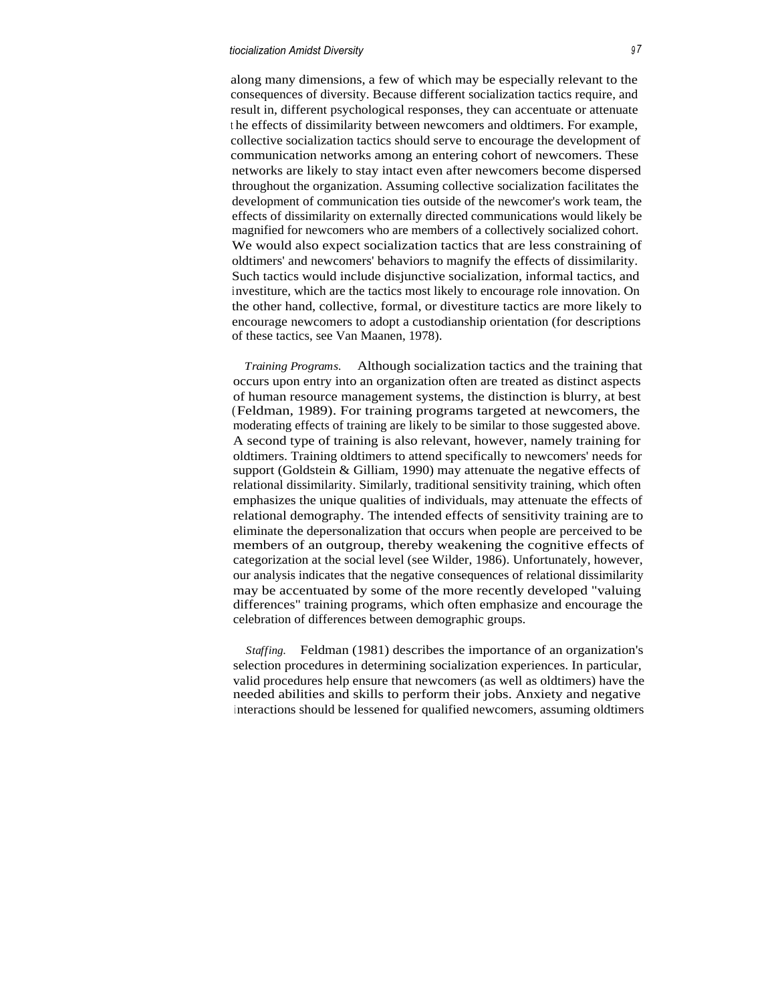## *tiocialization Amidst Diversity <sup>9</sup> 7*

along many dimensions, a few of which may be especially relevant to the consequences of diversity. Because different socialization tactics require, and result in, different psychological responses, they can accentuate or attenuate <sup>t</sup> he effects of dissimilarity between newcomers and oldtimers. For example, collective socialization tactics should serve to encourage the development of communication networks among an entering cohort of newcomers. These networks are likely to stay intact even after newcomers become dispersed throughout the organization. Assuming collective socialization facilitates the development of communication ties outside of the newcomer's work team, the effects of dissimilarity on externally directed communications would likely be magnified for newcomers who are members of a collectively socialized cohort. We would also expect socialization tactics that are less constraining of oldtimers' and newcomers' behaviors to magnify the effects of dissimilarity. Such tactics would include disjunctive socialization, informal tactics, and investiture, which are the tactics most likely to encourage role innovation. On the other hand, collective, formal, or divestiture tactics are more likely to encourage newcomers to adopt a custodianship orientation (for descriptions of these tactics, see Van Maanen, 1978).

*Training Programs.* Although socialization tactics and the training that occurs upon entry into an organization often are treated as distinct aspects of human resource management systems, the distinction is blurry, at best (Feldman, 1989). For training programs targeted at newcomers, the moderating effects of training are likely to be similar to those suggested above. A second type of training is also relevant, however, namely training for oldtimers. Training oldtimers to attend specifically to newcomers' needs for support (Goldstein & Gilliam, 1990) may attenuate the negative effects of relational dissimilarity. Similarly, traditional sensitivity training, which often emphasizes the unique qualities of individuals, may attenuate the effects of relational demography. The intended effects of sensitivity training are to eliminate the depersonalization that occurs when people are perceived to be members of an outgroup, thereby weakening the cognitive effects of categorization at the social level (see Wilder, 1986). Unfortunately, however, our analysis indicates that the negative consequences of relational dissimilarity may be accentuated by some of the more recently developed "valuing differences" training programs, which often emphasize and encourage the celebration of differences between demographic groups.

*Staffing.* Feldman (1981) describes the importance of an organization's selection procedures in determining socialization experiences. In particular, valid procedures help ensure that newcomers (as well as oldtimers) have the needed abilities and skills to perform their jobs. Anxiety and negative interactions should be lessened for qualified newcomers, assuming oldtimers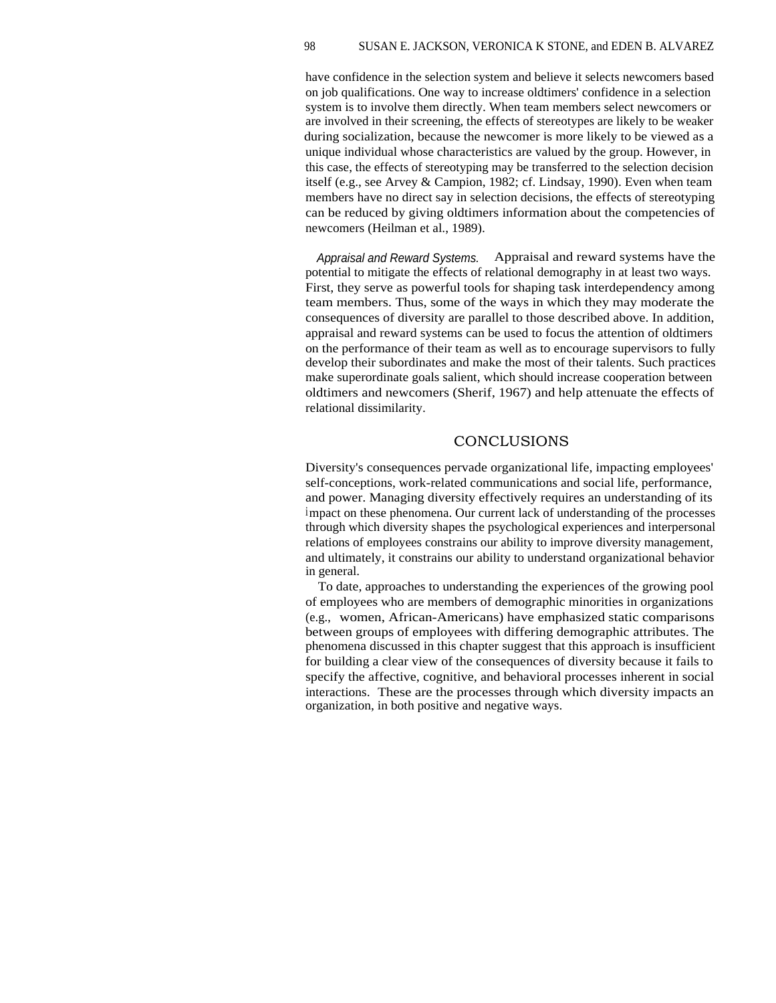## 98 SUSAN E. JACKSON, VERONICA K STONE, and EDEN B. ALVAREZ

have confidence in the selection system and believe it selects newcomers based on job qualifications. One way to increase oldtimers' confidence in a selection system is to involve them directly. When team members select newcomers or are involved in their screening, the effects of stereotypes are likely to be weaker during socialization, because the newcomer is more likely to be viewed as a unique individual whose characteristics are valued by the group. However, in this case, the effects of stereotyping may be transferred to the selection decision itself (e.g., see Arvey & Campion, 1982; cf. Lindsay, 1990). Even when team members have no direct say in selection decisions, the effects of stereotyping can be reduced by giving oldtimers information about the competencies of newcomers (Heilman et al., 1989).

Appraisal and Reward Systems. Appraisal and reward systems have the potential to mitigate the effects of relational demography in at least two ways. First, they serve as powerful tools for shaping task interdependency among team members. Thus, some of the ways in which they may moderate the consequences of diversity are parallel to those described above. In addition, appraisal and reward systems can be used to focus the attention of oldtimers on the performance of their team as well as to encourage supervisors to fully develop their subordinates and make the most of their talents. Such practices make superordinate goals salient, which should increase cooperation between oldtimers and newcomers (Sherif, 1967) and help attenuate the effects of relational dissimilarity.

# **CONCLUSIONS**

Diversity's consequences pervade organizational life, impacting employees' self-conceptions, work-related communications and social life, performance, and power. Managing diversity effectively requires an understanding of its impact on these phenomena. Our current lack of understanding of the processes through which diversity shapes the psychological experiences and interpersonal relations of employees constrains our ability to improve diversity management, and ultimately, it constrains our ability to understand organizational behavior in general.

To date, approaches to understanding the experiences of the growing pool of employees who are members of demographic minorities in organizations (e.g., women, African-Americans) have emphasized static comparisons between groups of employees with differing demographic attributes. The phenomena discussed in this chapter suggest that this approach is insufficient for building a clear view of the consequences of diversity because it fails to specify the affective, cognitive, and behavioral processes inherent in social interactions. These are the processes through which diversity impacts an organization, in both positive and negative ways.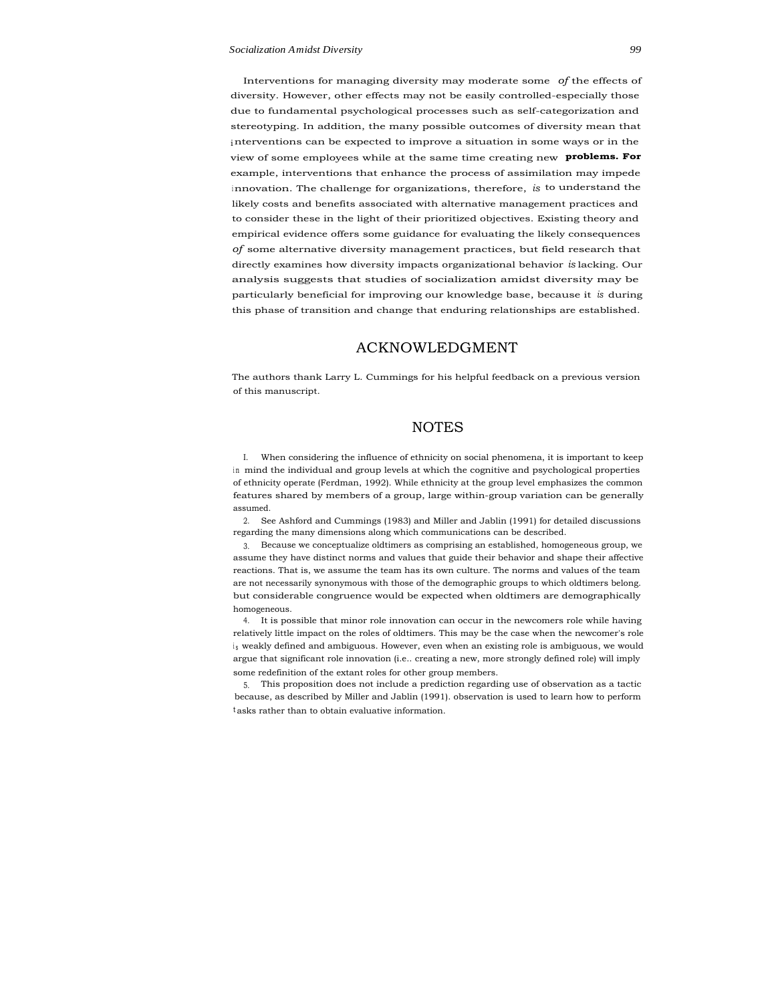Interventions for managing diversity may moderate some *of* the effects of diversity. However, other effects may not be easily controlled-especially those due to fundamental psychological processes such as self-categorization and stereotyping. In addition, the many possible outcomes of diversity mean that interventions can be expected to improve a situation in some ways or in the view of some employees while at the same time creating new **problems. For** example, interventions that enhance the process of assimilation may impede <sup>i</sup> nnovation. The challenge for organizations, therefore, *is* to understand the likely costs and benefits associated with alternative management practices and to consider these in the light of their prioritized objectives. Existing theory and empirical evidence offers some guidance for evaluating the likely consequences *of* some alternative diversity management practices, but field research that directly examines how diversity impacts organizational behavior *is* lacking. Our analysis suggests that studies of socialization amidst diversity may be particularly beneficial for improving our knowledge base, because it *is* during this phase of transition and change that enduring relationships are established.

## ACKNOWLEDGMENT

The authors thank Larry L. Cummings for his helpful feedback on a previous version of this manuscript.

## **NOTES**

I. When considering the influence of ethnicity on social phenomena, it is important to keep in mind the individual and group levels at which the cognitive and psychological properties of ethnicity operate (Ferdman, 1992). While ethnicity at the group level emphasizes the common features shared by members of a group, large within-group variation can be generally assumed.

2. See Ashford and Cummings (1983) and Miller and Jablin (1991) for detailed discussions regarding the many dimensions along which communications can be described.

3. Because we conceptualize oldtimers as comprising an established, homogeneous group, we assume they have distinct norms and values that guide their behavior and shape their affective reactions. That is, we assume the team has its own culture. The norms and values of the team are not necessarily synonymous with those of the demographic groups to which oldtimers belong. but considerable congruence would be expected when oldtimers are demographically homogeneous.

4. It is possible that minor role innovation can occur in the newcomers role while having relatively little impact on the roles of oldtimers. This may be the case when the newcomer's role is weakly defined and ambiguous. However, even when an existing role is ambiguous, we would argue that significant role innovation (i.e.. creating a new, more strongly defined role) will imply some redefinition of the extant roles for other group members.

5. This proposition does not include a prediction regarding use of observation as a tactic because, as described by Miller and Jablin (1991). observation is used to learn how to perform t asks rather than to obtain evaluative information.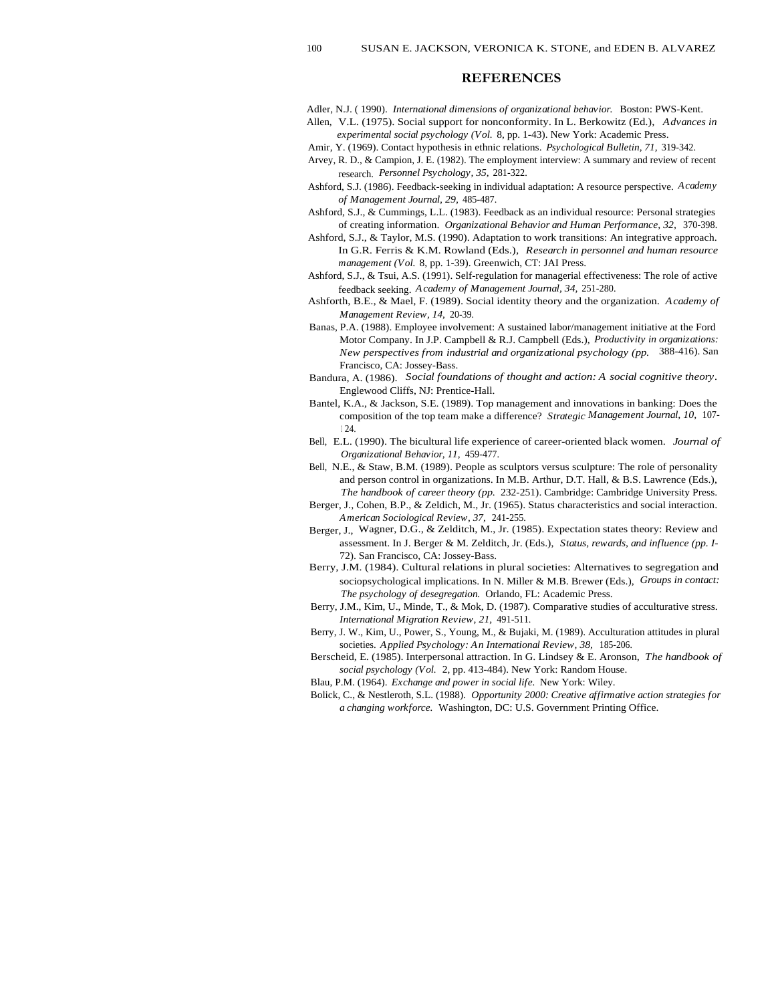## **REFERENCES**

Adler, N.J. ( 1990). *International dimensions of organizational behavior.* Boston: PWS-Kent.

- Allen, V.L. (1975). Social support for nonconformity. In L. Berkowitz (Ed.), *Advances in experimental social psychology (Vol.* 8, pp. 1-43). New York: Academic Press.
- Amir, Y. (1969). Contact hypothesis in ethnic relations. *Psychological Bulletin, 71,* 319-342.
- Arvey, R. D., & Campion, J. E. (1982). The employment interview: A summary and review of recent research. *Personnel Psychology, 35,* 281-322.
- Ashford, S.J. (1986). Feedback-seeking in individual adaptation: A resource perspective. *Academy of Management Journal, 29,* 485-487.
- Ashford, S.J., & Cummings, L.L. (1983). Feedback as an individual resource: Personal strategies of creating information. *Organizational Behavior and Human Performance, 32,* 370-398.
- Ashford, S.J., & Taylor, M.S. (1990). Adaptation to work transitions: An integrative approach. In G.R. Ferris & K.M. Rowland (Eds.), *Research in personnel and human resource management (Vol.* 8, pp. 1-39). Greenwich, CT: JAI Press.
- Ashford, S.J., & Tsui, A.S. (1991). Self-regulation for managerial effectiveness: The role of active feedback seeking. *Academy of Management Journal, 34,* 251-280.
- Ashforth, B.E., & Mael, F. (1989). Social identity theory and the organization. *Academy of Management Review, 14,* 20-39.
- Banas, P.A. (1988). Employee involvement: A sustained labor/management initiative at the Ford Motor Company. In J.P. Campbell & R.J. Campbell (Eds.), *Productivity in organizations: New perspectives from industrial and organizational psychology (pp.* 388-416). San Francisco, CA: Jossey-Bass.
- Bandura, A. (1986). *Social foundations of thought and action: A social cognitive theory.* Englewood Cliffs, NJ: Prentice-Hall.
- Bantel, K.A., & Jackson, S.E. (1989). Top management and innovations in banking: Does the composition of the top team make a difference? *Strategic Management Journal, 10,* 107- <sup>1</sup> 24.
- Bell, E.L. (1990). The bicultural life experience of career-oriented black women. *Journal of Organizational Behavior, 11,* 459-477.
- Bell, N.E., & Staw, B.M. (1989). People as sculptors versus sculpture: The role of personality and person control in organizations. In M.B. Arthur, D.T. Hall, & B.S. Lawrence (Eds.), *The handbook of career theory (pp.* 232-251). Cambridge: Cambridge University Press.
- Berger, J., Cohen, B.P., & Zeldich, M., Jr. (1965). Status characteristics and social interaction. *American Sociological Review, 37,* 241-255.
- Berger, J., Wagner, D.G., & Zelditch, M., Jr. (1985). Expectation states theory: Review and assessment. In J. Berger & M. Zelditch, Jr. (Eds.), *Status, rewards, and influence (pp. I-*72). San Francisco, CA: Jossey-Bass.
- Berry, J.M. (1984). Cultural relations in plural societies: Alternatives to segregation and sociopsychological implications. In N. Miller & M.B. Brewer (Eds.), *Groups in contact: The psychology of desegregation.* Orlando, FL: Academic Press.
- Berry, J.M., Kim, U., Minde, T., & Mok, D. (1987). Comparative studies of acculturative stress. *International Migration Review, 21,* 491-511.
- Berry, J. W., Kim, U., Power, S., Young, M., & Bujaki, M. (1989). Acculturation attitudes in plural societies. *Applied Psychology: An International Review, 38,* 185-206.
- Berscheid, E. (1985). Interpersonal attraction. In G. Lindsey & E. Aronson, *The handbook of social psychology (Vol.* 2, pp. 413-484). New York: Random House.
- Blau, P.M. (1964). *Exchange and power in social life.* New York: Wiley.
- Bolick, C., & Nestleroth, S.L. (1988). *Opportunity 2000: Creative affirmative action strategies for a changing workforce.* Washington, DC: U.S. Government Printing Office.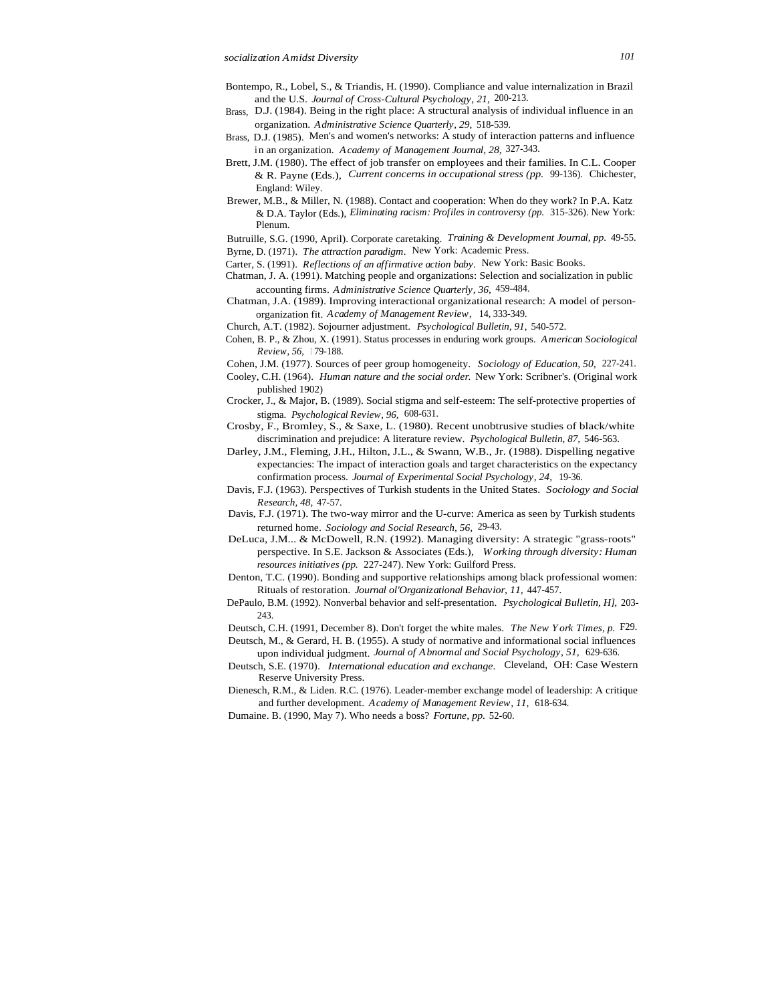- Bontempo, R., Lobel, S., & Triandis, H. (1990). Compliance and value internalization in Brazil and the U.S. *Journal of Cross-Cultural Psychology, 21,* 200-213.
- Brass, D.J. (1984). Being in the right place: A structural analysis of individual influence in an organization. *Administrative Science Quarterly, 29,* 518-539.
- Brass, D.J. (1985). Men's and women's networks: A study of interaction patterns and influence i n an organization. *Academy of Management Journal, 28,* 327-343.
- Brett, J.M. (1980). The effect of job transfer on employees and their families. In C.L. Cooper & R. Payne (Eds.), *Current concerns in occupational stress (pp.* 99-136). Chichester, England: Wiley.
- Brewer, M.B., & Miller, N. (1988). Contact and cooperation: When do they work? In P.A. Katz & D.A. Taylor (Eds.), *Eliminating racism: Profiles in controversy (pp.* 315-326). New York: Plenum.

Butruille, S.G. (1990, April). Corporate caretaking. *Training & Development Journal, pp.* 49-55. Byrne, D. (1971). *The attraction paradigm.* New York: Academic Press.

Carter, S. (1991). *Reflections of an affirmative action baby.* New York: Basic Books.

- Chatman, J. A. (1991). Matching people and organizations: Selection and socialization in public accounting firms. *Administrative Science Quarterly, 36,* 459-484.
- Chatman, J.A. (1989). Improving interactional organizational research: A model of personorganization fit. *Academy of Management Review,* 14, 333-349.

Church, A.T. (1982). Sojourner adjustment. *Psychological Bulletin, 91,* 540-572.

Cohen, B. P., & Zhou, X. (1991). Status processes in enduring work groups. *American Sociological Review, 56,* <sup>1</sup> 79-188.

Cohen, J.M. (1977). Sources of peer group homogeneity. *Sociology of Education, 50,* 227-241.

- Cooley, C.H. (1964). *Human nature and the social order.* New York: Scribner's. (Original work published 1902)
- Crocker, J., & Major, B. (1989). Social stigma and self-esteem: The self-protective properties of stigma. *Psychological Review, 96,* 608-631.

Crosby, F., Bromley, S., & Saxe, L. (1980). Recent unobtrusive studies of black/white discrimination and prejudice: A literature review. *Psychological Bulletin, 87,* 546-563.

- Darley, J.M., Fleming, J.H., Hilton, J.L., & Swann, W.B., Jr. (1988). Dispelling negative expectancies: The impact of interaction goals and target characteristics on the expectancy confirmation process. *Journal of Experimental Social Psychology, 24,* 19-36.
- Davis, F.J. (1963). Perspectives of Turkish students in the United States. *Sociology and Social Research, 48,* 47-57.
- Davis, F.J. (1971). The two-way mirror and the U-curve: America as seen by Turkish students returned home. *Sociology and Social Research, 56,* 29-43.
- DeLuca, J.M... & McDowell, R.N. (1992). Managing diversity: A strategic "grass-roots" perspective. In S.E. Jackson & Associates (Eds.), *Working through diversity: Human resources initiatives (pp.* 227-247). New York: Guilford Press.
- Denton, T.C. (1990). Bonding and supportive relationships among black professional women: Rituals of restoration. *Journal ol'Organizational Behavior, 11,* 447-457.
- DePaulo, B.M. (1992). Nonverbal behavior and self-presentation. *Psychological Bulletin, H],* 203- 243.

Deutsch, C.H. (1991, December 8). Don't forget the white males. *The New York Times, p.* F29.

- Deutsch, M., & Gerard, H. B. (1955). A study of normative and informational social influences upon individual judgment. *Journal of Abnormal and Social Psychology, 51,* 629-636.
- Deutsch, S.E. (1970). *International education and exchange.* Cleveland, OH: Case Western Reserve University Press.
- Dienesch, R.M., & Liden. R.C. (1976). Leader-member exchange model of leadership: A critique and further development. *Academy of Management Review, 11,* 618-634.
- Dumaine. B. (1990, May 7). Who needs a boss? *Fortune, pp.* 52-60.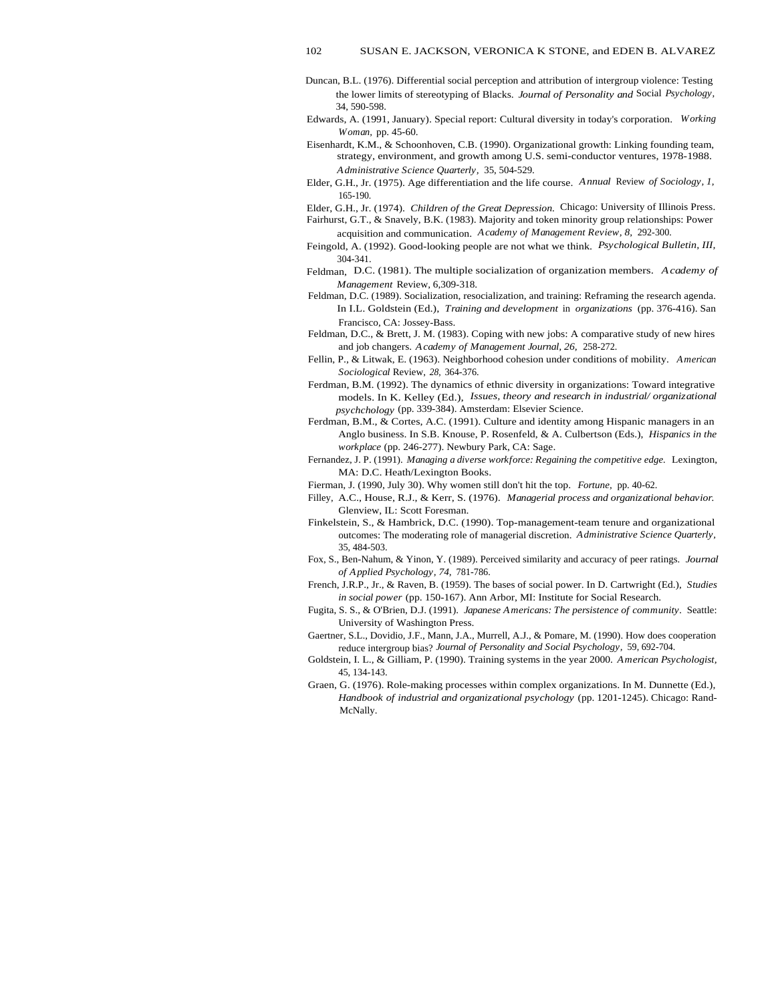- Duncan, B.L. (1976). Differential social perception and attribution of intergroup violence: Testing the lower limits of stereotyping of Blacks. *Journal of Personality and* Social *Psychology,* 34, 590-598.
- Edwards, A. (1991, January). Special report: Cultural diversity in today's corporation. *Working Woman,* pp. 45-60.
- Eisenhardt, K.M., & Schoonhoven, C.B. (1990). Organizational growth: Linking founding team, strategy, environment, and growth among U.S. semi-conductor ventures, 1978-1988. *Administrative Science Quarterly,* 35, 504-529.
- Elder, G.H., Jr. (1975). Age differentiation and the life course. *Annual* Review *of Sociology, 1,* 165-190.
- Elder, G.H., Jr. (1974). *Children of the Great Depression.* Chicago: University of Illinois Press. Fairhurst, G.T., & Snavely, B.K. (1983). Majority and token minority group relationships: Power
- acquisition and communication. *Academy of Management Review, 8,* 292-300.
- Feingold, A. (1992). Good-looking people are not what we think. *Psychological Bulletin, III,* 304-341.
- Feldman, D.C. (1981). The multiple socialization of organization members. *Academy of Management* Review, 6,309-318.
- Feldman, D.C. (1989). Socialization, resocialization, and training: Reframing the research agenda. In I.L. Goldstein (Ed.), *Training and development* in *organizations* (pp. 376-416). San Francisco, CA: Jossey-Bass.
- Feldman, D.C., & Brett, J. M. (1983). Coping with new jobs: A comparative study of new hires and job changers. *Academy of Management Journal, 26,* 258-272.
- Fellin, P., & Litwak, E. (1963). Neighborhood cohesion under conditions of mobility. *American Sociological* Review, *28,* 364-376.
- Ferdman, B.M. (1992). The dynamics of ethnic diversity in organizations: Toward integrative models. In K. Kelley (Ed.), *Issues, theory and research in industrial/ organizational psychchology* (pp. 339-384). Amsterdam: Elsevier Science.
- Ferdman, B.M., & Cortes, A.C. (1991). Culture and identity among Hispanic managers in an Anglo business. In S.B. Knouse, P. Rosenfeld, & A. Culbertson (Eds.), *Hispanics in the workplace* (pp. 246-277). Newbury Park, CA: Sage.
- Fernandez, J. P. (1991). *Managing a diverse workforce: Regaining the competitive edge.* Lexington, MA: D.C. Heath/Lexington Books.
- Fierman, J. (1990, July 30). Why women still don't hit the top. *Fortune,* pp. 40-62.
- Filley, A.C., House, R.J., & Kerr, S. (1976). *Managerial process and organizational behavior.* Glenview, IL: Scott Foresman.
- Finkelstein, S., & Hambrick, D.C. (1990). Top-management-team tenure and organizational outcomes: The moderating role of managerial discretion. *Administrative Science Quarterly,* 35, 484-503.
- Fox, S., Ben-Nahum, & Yinon, Y. (1989). Perceived similarity and accuracy of peer ratings. *Journal of Applied Psychology, 74,* 781-786.
- French, J.R.P., Jr., & Raven, B. (1959). The bases of social power. In D. Cartwright (Ed.), *Studies in social power* (pp. 150-167). Ann Arbor, MI: Institute for Social Research.
- Fugita, S. S., & O'Brien, D.J. (1991). *Japanese Americans: The persistence of community.* Seattle: University of Washington Press.
- Gaertner, S.L., Dovidio, J.F., Mann, J.A., Murrell, A.J., & Pomare, M. (1990). How does cooperation reduce intergroup bias? *Journal of Personality and Social Psychology,* 59, 692-704.
- Goldstein, I. L., & Gilliam, P. (1990). Training systems in the year 2000. *American Psychologist,* 45, 134-143.
- Graen, G. (1976). Role-making processes within complex organizations. In M. Dunnette (Ed.), *Handbook of industrial and organizational psychology* (pp. 1201-1245). Chicago: Rand-McNally.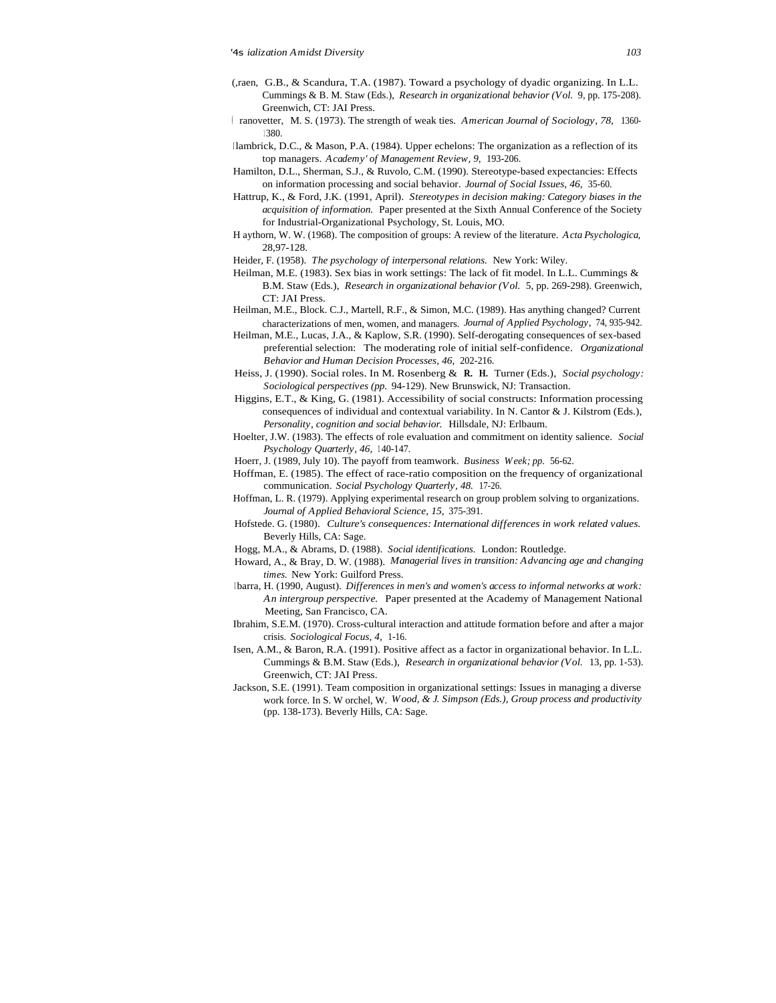- (,raen, G.B., & Scandura, T.A. (1987). Toward a psychology of dyadic organizing. In L.L. Cummings & B. M. Staw (Eds.), *Research in organizational behavior (Vol.* 9, pp. 175-208). Greenwich, CT: JAI Press.
- ( ranovetter, M. S. (1973). The strength of weak ties. *American Journal of Sociology, 78,* 1360- <sup>1</sup> 380.
- Ilambrick, D.C., & Mason, P.A. (1984). Upper echelons: The organization as a reflection of its top managers. *Academy' of Management Review, 9,* 193-206.
- Hamilton, D.L., Sherman, S.J., & Ruvolo, C.M. (1990). Stereotype-based expectancies: Effects on information processing and social behavior. *Journal of Social Issues, 46,* 35-60.
- Hattrup, K., & Ford, J.K. (1991, April). *Stereotypes in decision making: Category biases in the acquisition of information.* Paper presented at the Sixth Annual Conference of the Society for Industrial-Organizational Psychology, St. Louis, MO.
- H aythorn, W. W. (1968). The composition of groups: A review of the literature. *Acta Psychologica,* 28,97-128.
- Heider, F. (1958). *The psychology of interpersonal relations.* New York: Wiley.
- Heilman, M.E. (1983). Sex bias in work settings: The lack of fit model. In L.L. Cummings & B.M. Staw (Eds.), *Research in organizational behavior (Vol.* 5, pp. 269-298). Greenwich, CT: JAI Press.
- Heilman, M.E., Block. C.J., Martell, R.F., & Simon, M.C. (1989). Has anything changed? Current characterizations of men, women, and managers. *Journal of Applied Psychology,* 74, 935-942.
- Heilman, M.E., Lucas, J.A., & Kaplow, S.R. (1990). Self-derogating consequences of sex-based preferential selection: The moderating role of initial self-confidence. *Organizational Behavior and Human Decision Processes, 46,* 202-216.
- Heiss, J. (1990). Social roles. In M. Rosenberg & **R. H.** Turner (Eds.), *Social psychology: Sociological perspectives (pp.* 94-129). New Brunswick, NJ: Transaction.
- Higgins, E.T., & King, G. (1981). Accessibility of social constructs: Information processing consequences of individual and contextual variability. In N. Cantor & J. Kilstrom (Eds.), *Personality, cognition and social behavior.* Hillsdale, NJ: Erlbaum.
- Hoelter, J.W. (1983). The effects of role evaluation and commitment on identity salience. *Social* Psychology Quarterly, 46, 140-147.
- Hoerr, J. (1989, July 10). The payoff from teamwork. *Business Week; pp.* 56-62.
- Hoffman, E. (1985). The effect of race-ratio composition on the frequency of organizational communication. *Social Psychology Quarterly, 48.* 17-26.
- Hoffman, L. R. (1979). Applying experimental research on group problem solving to organizations. *Journal of Applied Behavioral Science, 15,* 375-391.
- Hofstede. G. (1980). *Culture's consequences: International differences in work related values.* Beverly Hills, CA: Sage.
- Hogg, M.A., & Abrams, D. (1988). *Social identifications.* London: Routledge.
- Howard, A., & Bray, D. W. (1988). *Managerial lives in transition: Advancing age and changing times.* New York: Guilford Press.
- <sup>I</sup> barra, H. (1990, August). *Differences in men's and women's access to informal networks at work: An intergroup perspective.* Paper presented at the Academy of Management National Meeting, San Francisco, CA.
- Ibrahim, S.E.M. (1970). Cross-cultural interaction and attitude formation before and after a major crisis. *Sociological Focus, 4,* 1-16.
- Isen, A.M., & Baron, R.A. (1991). Positive affect as a factor in organizational behavior. In L.L. Cummings & B.M. Staw (Eds.), *Research in organizational behavior (Vol.* 13, pp. 1-53). Greenwich, CT: JAI Press.
- Jackson, S.E. (1991). Team composition in organizational settings: Issues in managing a diverse work force. In S. W orchel, W. *Wood, & J. Simpson (Eds.), Group process and productivity* (pp. 138-173). Beverly Hills, CA: Sage.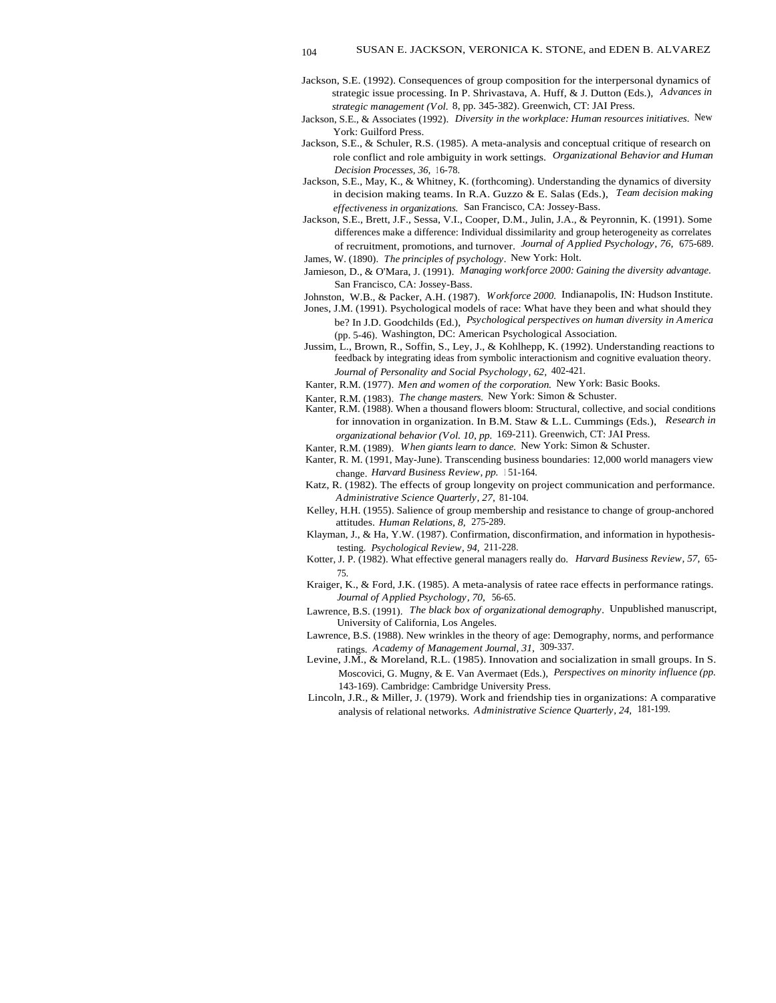- Jackson, S.E. (1992). Consequences of group composition for the interpersonal dynamics of strategic issue processing. In P. Shrivastava, A. Huff, & J. Dutton (Eds.), *Advances in strategic management (Vol.* 8, pp. 345-382). Greenwich, CT: JAI Press.
- Jackson, S.E., & Associates (1992). *Diversity in the workplace: Human resources initiatives.* New York: Guilford Press.
- Jackson, S.E., & Schuler, R.S. (1985). A meta-analysis and conceptual critique of research on role conflict and role ambiguity in work settings. *Organizational Behavior and Human Decision Processes, 36, 16-78.*
- Jackson, S.E., May, K., & Whitney, K. (forthcoming). Understanding the dynamics of diversity in decision making teams. In R.A. Guzzo & E. Salas (Eds.), *Team decision making effectiveness in organizations.* San Francisco, CA: Jossey-Bass.
- Jackson, S.E., Brett, J.F., Sessa, V.I., Cooper, D.M., Julin, J.A., & Peyronnin, K. (1991). Some differences make a difference: Individual dissimilarity and group heterogeneity as correlates of recruitment, promotions, and turnover. *Journal of Applied Psychology, 76,* 675-689. James, W. (1890). *The principles of psychology.* New York: Holt.
- Jamieson, D., & O'Mara, J. (1991). *Managing workforce 2000: Gaining the diversity advantage.*
- San Francisco, CA: Jossey-Bass.
- Johnston, W.B., & Packer, A.H. (1987). *Workforce 2000.* Indianapolis, IN: Hudson Institute.
- Jones, J.M. (1991). Psychological models of race: What have they been and what should they be? In J.D. Goodchilds (Ed.), *Psychological perspectives on human diversity in America* (pp. 5-46). Washington, DC: American Psychological Association.
- Jussim, L., Brown, R., Soffin, S., Ley, J., & Kohlhepp, K. (1992). Understanding reactions to feedback by integrating ideas from symbolic interactionism and cognitive evaluation theory. *Journal of Personality and Social Psychology, 62,* 402-421.
- Kanter, R.M. (1977). *Men and women of the corporation.* New York: Basic Books.
- Kanter, R.M. (1983). *The change masters.* New York: Simon & Schuster.
- Kanter, R.M. (1988). When a thousand flowers bloom: Structural, collective, and social conditions for innovation in organization. In B.M. Staw & L.L. Cummings (Eds.), *Research in organizational behavior (Vol. 10, pp.* 169-211). Greenwich, CT: JAI Press.
- Kanter, R.M. (1989). *When giants learn to dance.* New York: Simon & Schuster.
- Kanter, R. M. (1991, May-June). Transcending business boundaries: 12,000 world managers view change. Harvard Business Review, pp. 151-164.
- Katz, R. (1982). The effects of group longevity on project communication and performance. *Administrative Science Quarterly, 27,* 81-104.
- Kelley, H.H. (1955). Salience of group membership and resistance to change of group-anchored attitudes. *Human Relations, 8,* 275-289.
- Klayman, J., & Ha, Y.W. (1987). Confirmation, disconfirmation, and information in hypothesistesting. *Psychological Review, 94,* 211-228.
- Kotter, J. P. (1982). What effective general managers really do. *Harvard Business Review, 57,* 65- 75.
- Kraiger, K., & Ford, J.K. (1985). A meta-analysis of ratee race effects in performance ratings. *Journal of Applied Psychology, 70,* 56-65.
- Lawrence, B.S. (1991). *The black box of organizational demography.* Unpublished manuscript, University of California, Los Angeles.
- Lawrence, B.S. (1988). New wrinkles in the theory of age: Demography, norms, and performance ratings. *Academy of Management Journal, 31,* 309-337.
- Levine, J.M., & Moreland, R.L. (1985). Innovation and socialization in small groups. In S. Moscovici, G. Mugny, & E. Van Avermaet (Eds.), *Perspectives on minority influence (pp.* 143-169). Cambridge: Cambridge University Press.
- Lincoln, J.R., & Miller, J. (1979). Work and friendship ties in organizations: A comparative analysis of relational networks. *Administrative Science Quarterly, 24,* 181-199.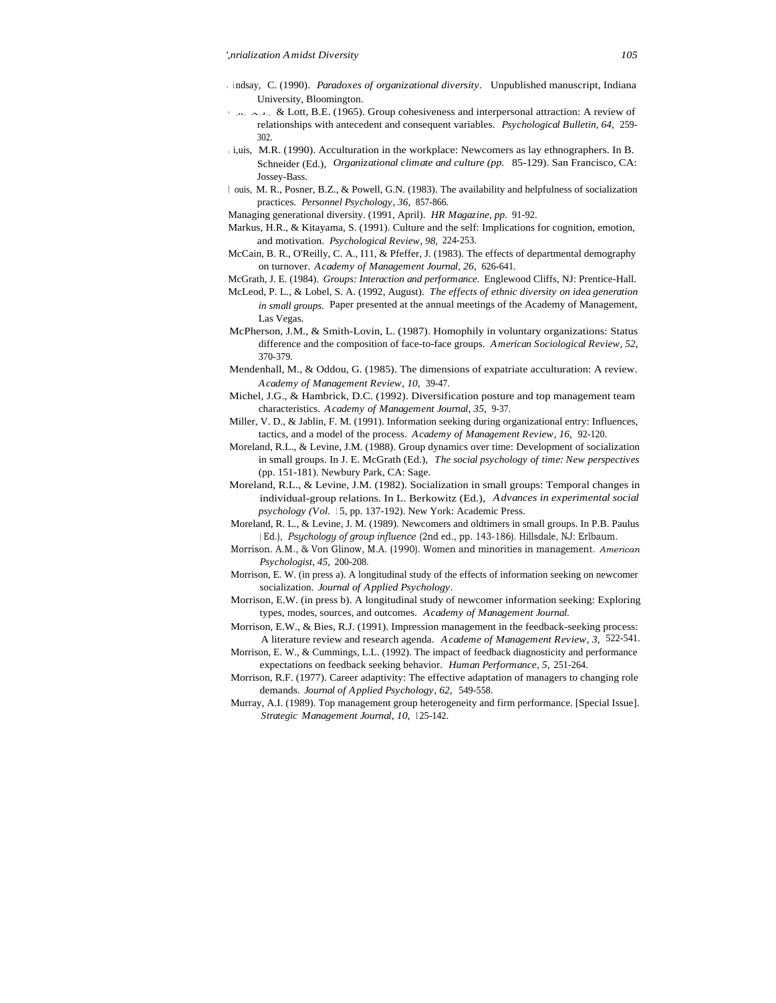- <sup>I</sup> <sup>i</sup> ndsay, C. (1990). *Paradoxes of organizational diversity.* Unpublished manuscript, Indiana University, Bloomington.
- $\sim$  .t.  $\sim$  .t. & Lott, B.E. (1965). Group cohesiveness and interpersonal attraction: A review of relationships with antecedent and consequent variables. *Psychological Bulletin, 64,* 259- 302.
- i,uis, M.R. (1990). Acculturation in the workplace: Newcomers as lay ethnographers. In B. Schneider (Ed.), *Organizational climate and culture (pp.* 85-129). San Francisco, CA: Jossey-Bass.
- <sup>I</sup> ouis, M. R., Posner, B.Z., & Powell, G.N. (1983). The availability and helpfulness of socialization practices. *Personnel Psychology, 36,* 857-866.
- Managing generational diversity. (1991, April). *HR Magazine, pp.* 91-92.
- Markus, H.R., & Kitayama, S. (1991). Culture and the self: Implications for cognition, emotion, and motivation. *Psychological Review, 98,* 224-253.
- McCain, B. R., O'Reilly, C. A., I11, & Pfeffer, J. (1983). The effects of departmental demography on turnover. *Academy of Management Journal, 26,* 626-641.
- McGrath, J. E. (1984). *Groups: Interaction and performance.* Englewood Cliffs, NJ: Prentice-Hall.
- McLeod, P. L., & Lobel, S. A. (1992, August). *The effects of ethnic diversity on idea generation in small groups.* Paper presented at the annual meetings of the Academy of Management, Las Vegas.
- McPherson, J.M., & Smith-Lovin, L. (1987). Homophily in voluntary organizations: Status difference and the composition of face-to-face groups. *American Sociological Review, 52,* 370-379.
- Mendenhall, M., & Oddou, G. (1985). The dimensions of expatriate acculturation: A review. *Academy of Management Review, 10,* 39-47.
- Michel, J.G., & Hambrick, D.C. (1992). Diversification posture and top management team characteristics. *Academy of Management Journal, 35,* 9-37.
- Miller, V. D., & Jablin, F. M. (1991). Information seeking during organizational entry: Influences, tactics, and a model of the process. *Academy of Management Review, 16,* 92-120.
- Moreland, R.L., & Levine, J.M. (1988). Group dynamics over time: Development of socialization in small groups. In J. E. McGrath (Ed.), *The social psychology of time: New perspectives* (pp. 151-181). Newbury Park, CA: Sage.
- Moreland, R.L., & Levine, J.M. (1982). Socialization in small groups: Temporal changes in individual-group relations. In L. Berkowitz (Ed.), *Advances in experimental social psychology (Vol.* 15, pp. 137-192). New York: Academic Press.
- Moreland, R. L., & Levine, J. M. (1989). Newcomers and oldtimers in small groups. In P.B. Paulus ( Ed.), *Psychology of group influence* (2nd ed., pp. 143-186). Hillsdale, NJ: Erlbaum.
- Morrison. A.M., & Von Glinow, M.A. (1990). Women and minorities in management. *American Psychologist, 45,* 200-208.
- Morrison, E. W. (in press a). A longitudinal study of the effects of information seeking on newcomer socialization. *Journal of Applied Psychology.*
- Morrison, E.W. (in press b). A longitudinal study of newcomer information seeking: Exploring types, modes, sources, and outcomes. *Academy of Management Journal.*
- Morrison, E.W., & Bies, R.J. (1991). Impression management in the feedback-seeking process: A literature review and research agenda. *Academe of Management Review, 3,* 522-541.
- Morrison, E. W., & Cummings, L.L. (1992). The impact of feedback diagnosticity and performance expectations on feedback seeking behavior. *Human Performance, 5,* 251-264.
- Morrison, R.F. (1977). Career adaptivity: The effective adaptation of managers to changing role demands. *Journal of Applied Psychology, 62,* 549-558.
- Murray, A.I. (1989). Top management group heterogeneity and firm performance. [Special Issue]. *Strategic Management Journal, 10,* <sup>1</sup> 25-142.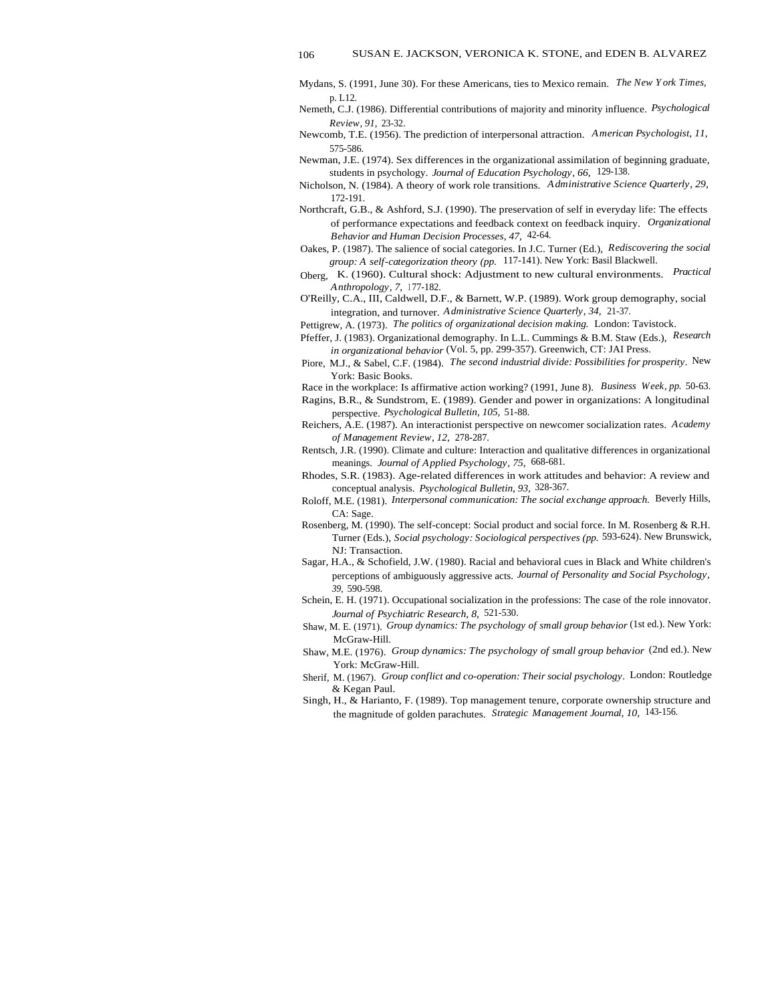- Mydans, S. (1991, June 30). For these Americans, ties to Mexico remain. *The New York Times,* p. L12.
- Nemeth, C.J. (1986). Differential contributions of majority and minority influence. *Psychological Review, 91,* 23-32.
- Newcomb, T.E. (1956). The prediction of interpersonal attraction. *American Psychologist, 11,* 575-586.
- Newman, J.E. (1974). Sex differences in the organizational assimilation of beginning graduate, students in psychology. *Journal of Education Psychology, 66,* 129-138.
- Nicholson, N. (1984). A theory of work role transitions. *Administrative Science Quarterly, 29,* 172-191.
- Northcraft, G.B., & Ashford, S.J. (1990). The preservation of self in everyday life: The effects of performance expectations and feedback context on feedback inquiry. *Organizational Behavior and Human Decision Processes, 47,* 42-64.
- Oakes, P. (1987). The salience of social categories. In J.C. Turner (Ed.), *Rediscovering the social group: A self-categorization theory (pp.* 117-141). New York: Basil Blackwell.
- Oberg, K. (1960). Cultural shock: Adjustment to new cultural environments. *Practical Anthropology, 7,* <sup>1</sup> 77-182.
- O'Reilly, C.A., III, Caldwell, D.F., & Barnett, W.P. (1989). Work group demography, social integration, and turnover. *Administrative Science Quarterly, 34,* 21-37.
- Pettigrew, A. (1973). *The politics of organizational decision making.* London: Tavistock.
- Pfeffer, J. (1983). Organizational demography. In L.L. Cummings & B.M. Staw (Eds.), *Research in organizational behavior* (Vol. 5, pp. 299-357). Greenwich, CT: JAI Press.
- Piore, M.J., & Sabel, C.F. (1984). *The second industrial divide: Possibilities for prosperity.* New York: Basic Books.
- Race in the workplace: Is affirmative action working? (1991, June 8). *Business Week, pp.* 50-63.
- Ragins, B.R., & Sundstrom, E. (1989). Gender and power in organizations: A longitudinal perspective. *Psychological Bulletin, 105,* 51-88.
- Reichers, A.E. (1987). An interactionist perspective on newcomer socialization rates. *Academy of Management Review, 12,* 278-287.
- Rentsch, J.R. (1990). Climate and culture: Interaction and qualitative differences in organizational meanings. *Journal of Applied Psychology, 75,* 668-681.
- Rhodes, S.R. (1983). Age-related differences in work attitudes and behavior: A review and conceptual analysis. *Psychological Bulletin, 93,* 328-367.
- Roloff, M.E. (1981). *Interpersonal communication: The social exchange approach.* Beverly Hills, CA: Sage.
- Rosenberg, M. (1990). The self-concept: Social product and social force. In M. Rosenberg & R.H. Turner (Eds.), *Social psychology: Sociological perspectives (pp.* 593-624). New Brunswick, NJ: Transaction.
- Sagar, H.A., & Schofield, J.W. (1980). Racial and behavioral cues in Black and White children's perceptions of ambiguously aggressive acts. *Journal of Personality and Social Psychology, 39,* 590-598.
- Schein, E. H. (1971). Occupational socialization in the professions: The case of the role innovator. *Journal of Psychiatric Research, 8,* 521-530.
- Shaw, M. E. (1971). *Group dynamics: The psychology of small group behavior* (1st ed.). New York: McGraw-Hill.
- Shaw, M.E. (1976). *Group dynamics: The psychology of small group behavior* (2nd ed.). New York: McGraw-Hill.
- Sherif, M. (1967). *Group conflict and co-operation: Their social psychology.* London: Routledge & Kegan Paul.
- Singh, H., & Harianto, F. (1989). Top management tenure, corporate ownership structure and the magnitude of golden parachutes. *Strategic Management Journal, 10,* 143-156.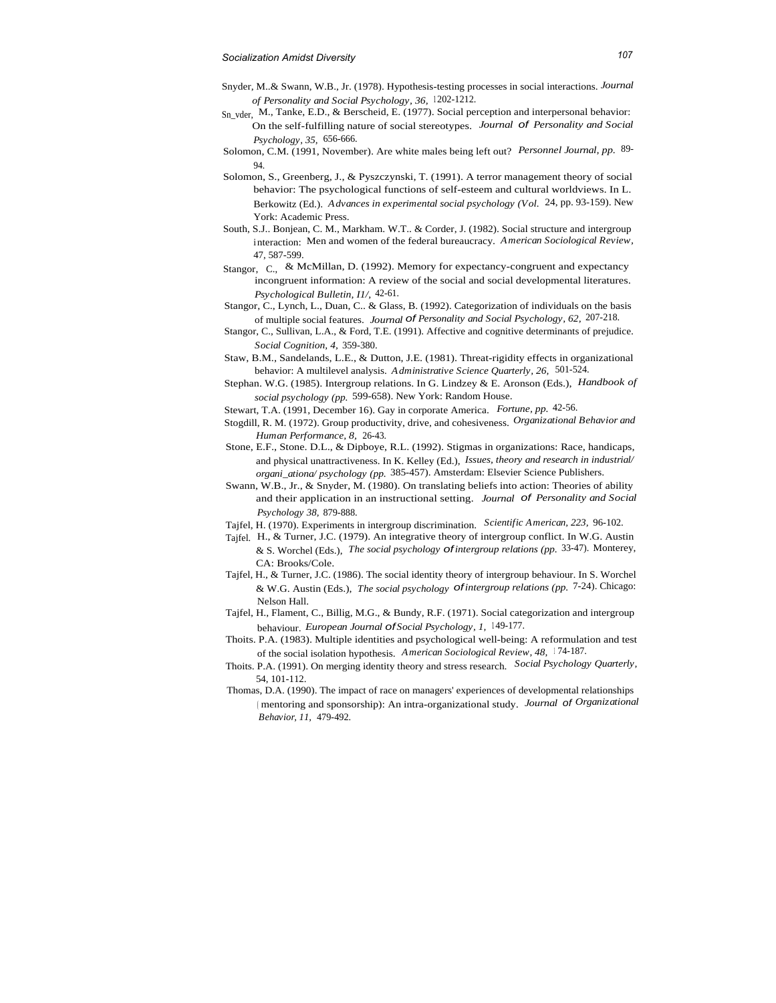- Snyder, M..& Swann, W.B., Jr. (1978). Hypothesis-testing processes in social interactions. *Journal of Personality and Social Psychology, 36, 1202-1212.*
- Sn<sub>yder,</sub> M., Tanke, E.D., & Berscheid, E. (1977). Social perception and interpersonal behavior: On the self-fulfilling nature of social stereotypes. *Journal* of *Personality and Social Psychology, 35,* 656-666.
- Solomon, C.M. (1991, November). Are white males being left out? *Personnel Journal, pp.* 89- 94.
- Solomon, S., Greenberg, J., & Pyszczynski, T. (1991). A terror management theory of social behavior: The psychological functions of self-esteem and cultural worldviews. In L. Berkowitz (Ed.). *Advances in experimental social psychology (Vol.* 24, pp. 93-159). New York: Academic Press.
- South, S.J.. Bonjean, C. M., Markham. W.T.. & Corder, J. (1982). Social structure and intergroup i nteraction: Men and women of the federal bureaucracy. *American Sociological Review,* 47, 587-599.
- Stangor, C., & McMillan, D. (1992). Memory for expectancy-congruent and expectancy incongruent information: A review of the social and social developmental literatures. *Psychological Bulletin, I1/,* 42-61.
- Stangor, C., Lynch, L., Duan, C.. & Glass, B. (1992). Categorization of individuals on the basis of multiple social features. *Journal* of *Personality and Social Psychology, 62,* 207-218.
- Stangor, C., Sullivan, L.A., & Ford, T.E. (1991). Affective and cognitive determinants of prejudice. *Social Cognition, 4,* 359-380.
- Staw, B.M., Sandelands, L.E., & Dutton, J.E. (1981). Threat-rigidity effects in organizational behavior: A multilevel analysis. *Administrative Science Quarterly, 26,* 501-524.
- Stephan. W.G. (1985). Intergroup relations. In G. Lindzey & E. Aronson (Eds.), *Handbook of social psychology (pp.* 599-658). New York: Random House.
- Stewart, T.A. (1991, December 16). Gay in corporate America. *Fortune, pp.* 42-56.
- Stogdill, R. M. (1972). Group productivity, drive, and cohesiveness. *Organizational Behavior and Human Performance, 8,* 26-43.
- Stone, E.F., Stone. D.L., & Dipboye, R.L. (1992). Stigmas in organizations: Race, handicaps, and physical unattractiveness. In K. Kelley (Ed.), *Issues, theory and research in industrial/ organi\_ationa/ psychology (pp.* 385-457). Amsterdam: Elsevier Science Publishers.
- Swann, W.B., Jr., & Snyder, M. (1980). On translating beliefs into action: Theories of ability and their application in an instructional setting. *Journal* of *Personality and Social Psychology 38,* 879-888.
- Tajfel, H. (1970). Experiments in intergroup discrimination. *Scientific American, 223,* 96-102.
- Tajfel. H., & Turner, J.C. (1979). An integrative theory of intergroup conflict. In W.G. Austin & S. Worchel (Eds.), *The social psychology* of*intergroup relations (pp.* 33-47). Monterey, CA: Brooks/Cole.
- Tajfel, H., & Turner, J.C. (1986). The social identity theory of intergroup behaviour. In S. Worchel & W.G. Austin (Eds.), *The social psychology* of*intergroup relations (pp.* 7-24). Chicago: Nelson Hall.
- Tajfel, H., Flament, C., Billig, M.G., & Bundy, R.F. (1971). Social categorization and intergroup behaviour. *European Journal* of*Social Psychology, 1,* <sup>1</sup> 49-177.
- Thoits. P.A. (1983). Multiple identities and psychological well-being: A reformulation and test of the social isolation hypothesis. *American Sociological Review, 48,* <sup>1</sup> 74-187.
- Thoits. P.A. (1991). On merging identity theory and stress research. *Social Psychology Quarterly,* 54, 101-112.
- Thomas, D.A. (1990). The impact of race on managers' experiences of developmental relationships ( mentoring and sponsorship): An intra-organizational study. *Journal* of *Organizational Behavior, 11,* 479-492.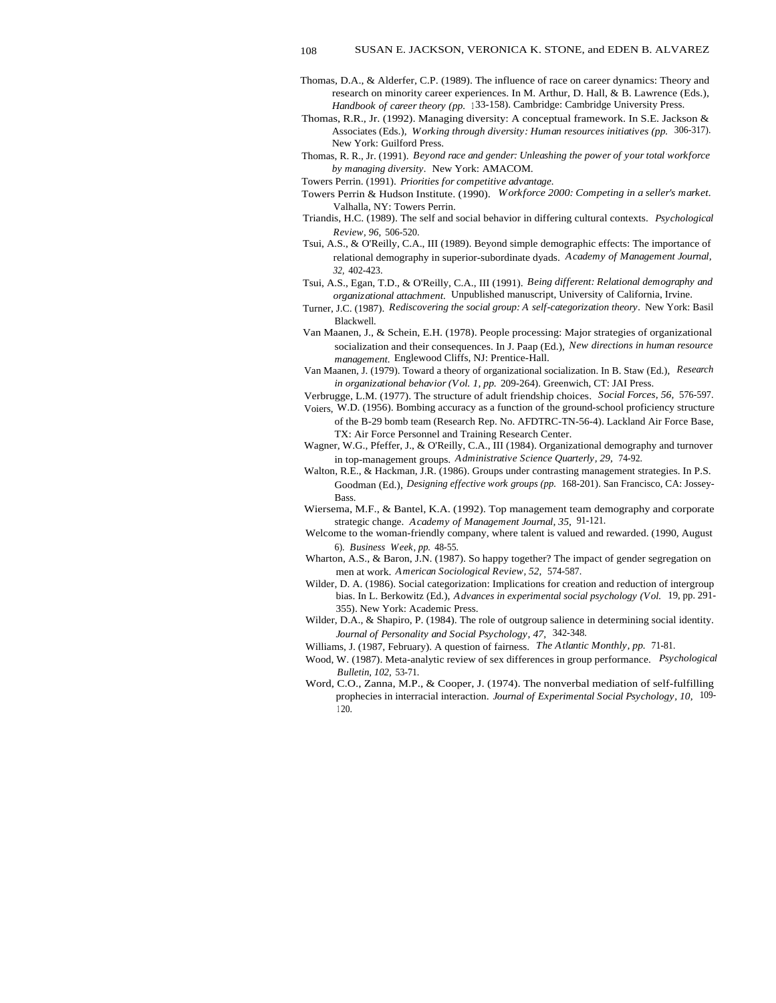- Thomas, D.A., & Alderfer, C.P. (1989). The influence of race on career dynamics: Theory and research on minority career experiences. In M. Arthur, D. Hall, & B. Lawrence (Eds.), Handbook of career theory (pp. 133-158). Cambridge: Cambridge University Press.
- Thomas, R.R., Jr. (1992). Managing diversity: A conceptual framework. In S.E. Jackson & Associates (Eds.), *Working through diversity: Human resources initiatives (pp.* 306-317). New York: Guilford Press.
- Thomas, R. R., Jr. (1991). *Beyond race and gender: Unleashing the power of your total workforce by managing diversity.* New York: AMACOM.
- Towers Perrin. (1991). *Priorities for competitive advantage.*
- Towers Perrin & Hudson Institute. (1990). *Workforce 2000: Competing in a seller's market.* Valhalla, NY: Towers Perrin.
- Triandis, H.C. (1989). The self and social behavior in differing cultural contexts. *Psychological Review, 96,* 506-520.
- Tsui, A.S., & O'Reilly, C.A., III (1989). Beyond simple demographic effects: The importance of relational demography in superior-subordinate dyads. *Academy of Management Journal, 32,* 402-423.
- Tsui, A.S., Egan, T.D., & O'Reilly, C.A., III (1991). *Being different: Relational demography and organizational attachment.* Unpublished manuscript, University of California, Irvine.
- Turner, J.C. (1987). *Rediscovering the social group: A self-categorization theory.* New York: Basil Blackwell.
- Van Maanen, J., & Schein, E.H. (1978). People processing: Major strategies of organizational socialization and their consequences. In J. Paap (Ed.), *New directions in human resource management.* Englewood Cliffs, NJ: Prentice-Hall.
- Van Maanen, J. (1979). Toward a theory of organizational socialization. In B. Staw (Ed.), *Research in organizational behavior (Vol. 1, pp.* 209-264). Greenwich, CT: JAI Press.
- Verbrugge, L.M. (1977). The structure of adult friendship choices. *Social Forces, 56,* 576-597.
- Voiers, W.D. (1956). Bombing accuracy as a function of the ground-school proficiency structure of the B-29 bomb team (Research Rep. No. AFDTRC-TN-56-4). Lackland Air Force Base, TX: Air Force Personnel and Training Research Center.
- Wagner, W.G., Pfeffer, J., & O'Reilly, C.A., III (1984). Organizational demography and turnover in top-management groups. *Administrative Science Quarterly, 29,* 74-92.
- Walton, R.E., & Hackman, J.R. (1986). Groups under contrasting management strategies. In P.S. Goodman (Ed.), *Designing effective work groups (pp.* 168-201). San Francisco, CA: Jossey-Bass.
- Wiersema, M.F., & Bantel, K.A. (1992). Top management team demography and corporate strategic change. *Academy of Management Journal, 35,* 91-121.
- Welcome to the woman-friendly company, where talent is valued and rewarded. (1990, August 6). *Business Week, pp.* 48-55.
- Wharton, A.S., & Baron, J.N. (1987). So happy together? The impact of gender segregation on men at work. *American Sociological Review, 52,* 574-587.
- Wilder, D. A. (1986). Social categorization: Implications for creation and reduction of intergroup bias. In L. Berkowitz (Ed.), *Advances in experimental social psychology (Vol.* 19, pp. 291- 355). New York: Academic Press.
- Wilder, D.A., & Shapiro, P. (1984). The role of outgroup salience in determining social identity. *Journal of Personality and Social Psychology, 47,* 342-348.
- Williams, J. (1987, February). A question of fairness. *The Atlantic Monthly, pp.* 71-81.
- Wood, W. (1987). Meta-analytic review of sex differences in group performance. *Psychological Bulletin, 102,* 53-71.
- Word, C.O., Zanna, M.P., & Cooper, J. (1974). The nonverbal mediation of self-fulfilling prophecies in interracial interaction. *Journal of Experimental Social Psychology, 10,* 109- <sup>1</sup> 20.